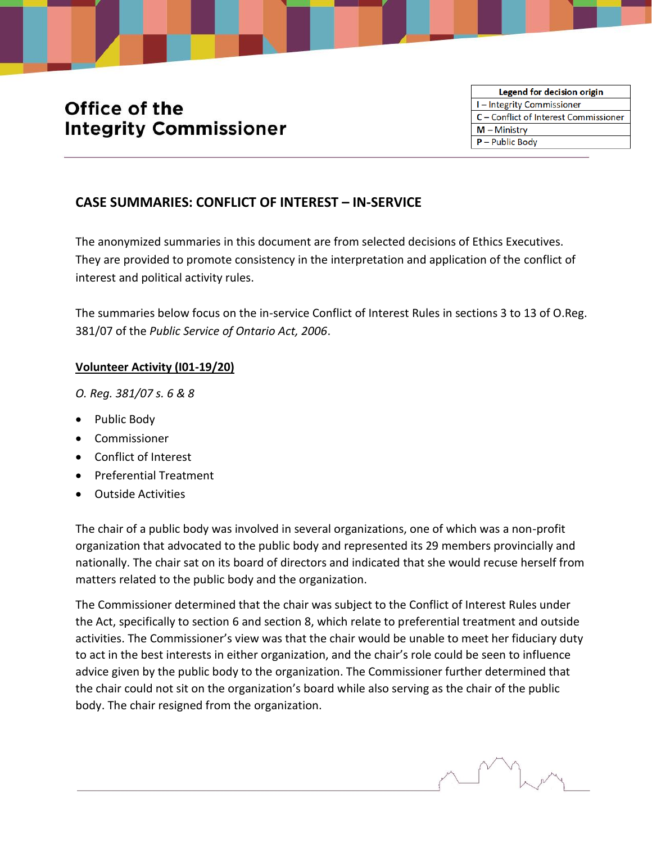# Office of the **Integrity Commissioner**



# **CASE SUMMARIES: CONFLICT OF INTEREST – IN-SERVICE**

The anonymized summaries in this document are from selected decisions of Ethics Executives. They are provided to promote consistency in the interpretation and application of the conflict of interest and political activity rules.

The summaries below focus on the in-service Conflict of Interest Rules in sections 3 to 13 of O.Reg. 381/07 of the *Public Service of Ontario Act, 2006*.

#### **Volunteer Activity (I01-19/20)**

*O. Reg. 381/07 s. 6 & 8*

- Public Body
- Commissioner
- Conflict of Interest
- Preferential Treatment
- Outside Activities

The chair of a public body was involved in several organizations, one of which was a non-profit organization that advocated to the public body and represented its 29 members provincially and nationally. The chair sat on its board of directors and indicated that she would recuse herself from matters related to the public body and the organization.

The Commissioner determined that the chair was subject to the Conflict of Interest Rules under the Act, specifically to section 6 and section 8, which relate to preferential treatment and outside activities. The Commissioner's view was that the chair would be unable to meet her fiduciary duty to act in the best interests in either organization, and the chair's role could be seen to influence advice given by the public body to the organization. The Commissioner further determined that the chair could not sit on the organization's board while also serving as the chair of the public body. The chair resigned from the organization.

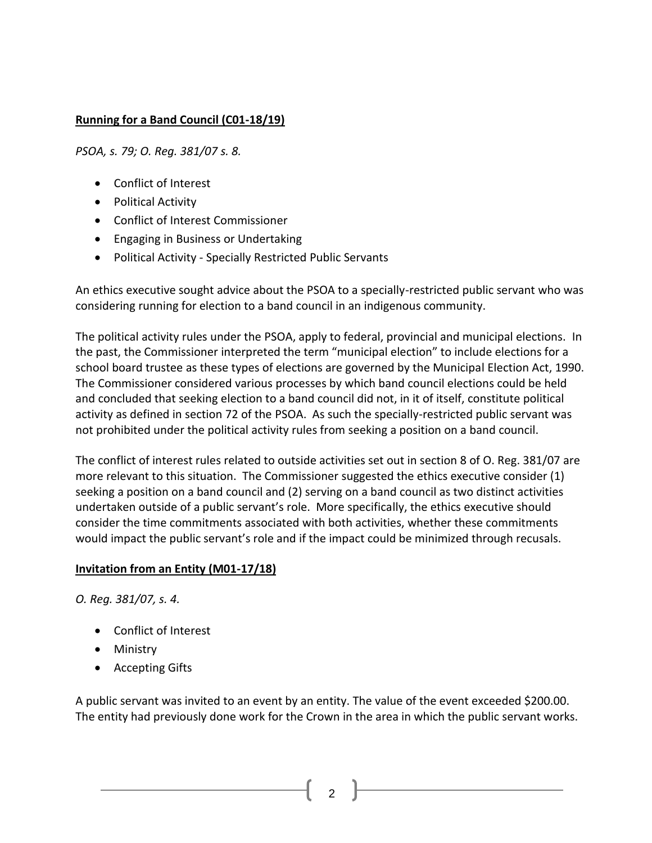# **Running for a Band Council (C01-18/19)**

*PSOA, s. 79; O. Reg. 381/07 s. 8.*

- Conflict of Interest
- Political Activity
- Conflict of Interest Commissioner
- Engaging in Business or Undertaking
- Political Activity Specially Restricted Public Servants

An ethics executive sought advice about the PSOA to a specially-restricted public servant who was considering running for election to a band council in an indigenous community.

The political activity rules under the PSOA, apply to federal, provincial and municipal elections. In the past, the Commissioner interpreted the term "municipal election" to include elections for a school board trustee as these types of elections are governed by the Municipal Election Act, 1990. The Commissioner considered various processes by which band council elections could be held and concluded that seeking election to a band council did not, in it of itself, constitute political activity as defined in section 72 of the PSOA. As such the specially-restricted public servant was not prohibited under the political activity rules from seeking a position on a band council.

The conflict of interest rules related to outside activities set out in section 8 of O. Reg. 381/07 are more relevant to this situation. The Commissioner suggested the ethics executive consider (1) seeking a position on a band council and (2) serving on a band council as two distinct activities undertaken outside of a public servant's role. More specifically, the ethics executive should consider the time commitments associated with both activities, whether these commitments would impact the public servant's role and if the impact could be minimized through recusals.

### **Invitation from an Entity (M01-17/18)**

*O. Reg. 381/07, s. 4.*

- Conflict of Interest
- Ministry
- Accepting Gifts

A public servant was invited to an event by an entity. The value of the event exceeded \$200.00. The entity had previously done work for the Crown in the area in which the public servant works.

 $\mathfrak{p}$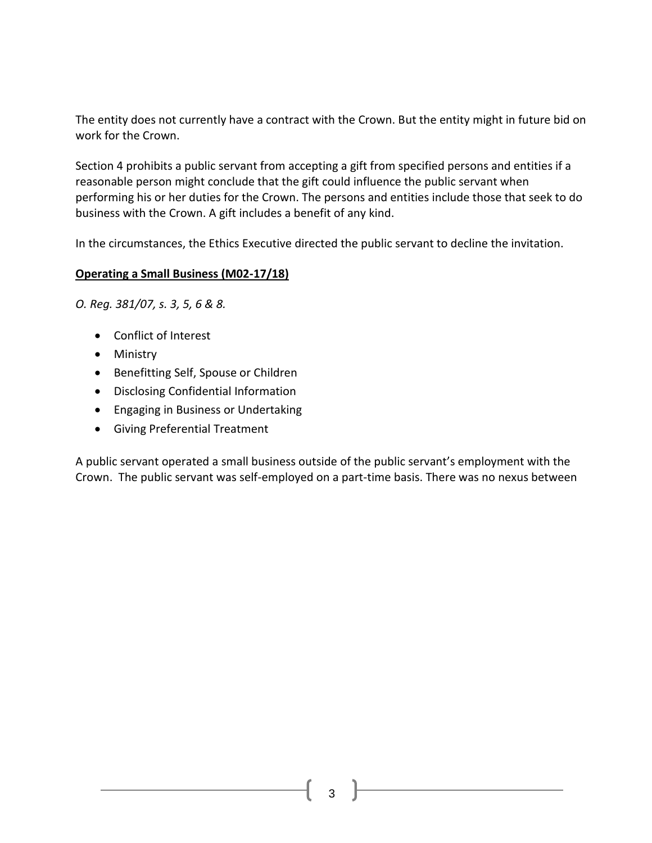The entity does not currently have a contract with the Crown. But the entity might in future bid on work for the Crown.

Section 4 prohibits a public servant from accepting a gift from specified persons and entities if a reasonable person might conclude that the gift could influence the public servant when performing his or her duties for the Crown. The persons and entities include those that seek to do business with the Crown. A gift includes a benefit of any kind.

In the circumstances, the Ethics Executive directed the public servant to decline the invitation.

### **Operating a Small Business (M02-17/18)**

*O. Reg. 381/07, s. 3, 5, 6 & 8.*

- Conflict of Interest
- Ministry
- Benefitting Self, Spouse or Children
- Disclosing Confidential Information
- Engaging in Business or Undertaking
- Giving Preferential Treatment

A public servant operated a small business outside of the public servant's employment with the Crown. The public servant was self-employed on a part-time basis. There was no nexus between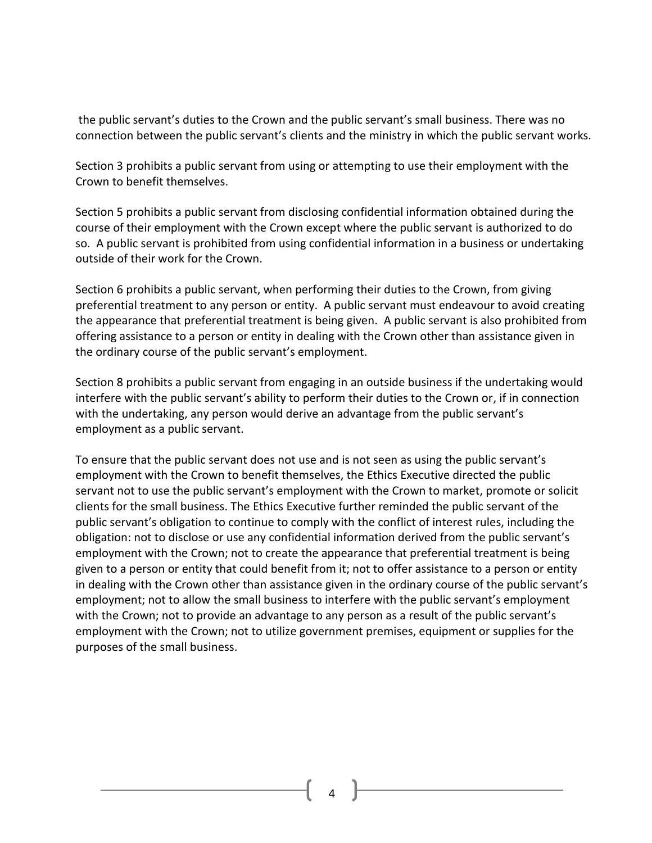the public servant's duties to the Crown and the public servant's small business. There was no connection between the public servant's clients and the ministry in which the public servant works.

Section 3 prohibits a public servant from using or attempting to use their employment with the Crown to benefit themselves.

Section 5 prohibits a public servant from disclosing confidential information obtained during the course of their employment with the Crown except where the public servant is authorized to do so. A public servant is prohibited from using confidential information in a business or undertaking outside of their work for the Crown.

Section 6 prohibits a public servant, when performing their duties to the Crown, from giving preferential treatment to any person or entity. A public servant must endeavour to avoid creating the appearance that preferential treatment is being given. A public servant is also prohibited from offering assistance to a person or entity in dealing with the Crown other than assistance given in the ordinary course of the public servant's employment.

Section 8 prohibits a public servant from engaging in an outside business if the undertaking would interfere with the public servant's ability to perform their duties to the Crown or, if in connection with the undertaking, any person would derive an advantage from the public servant's employment as a public servant.

To ensure that the public servant does not use and is not seen as using the public servant's employment with the Crown to benefit themselves, the Ethics Executive directed the public servant not to use the public servant's employment with the Crown to market, promote or solicit clients for the small business. The Ethics Executive further reminded the public servant of the public servant's obligation to continue to comply with the conflict of interest rules, including the obligation: not to disclose or use any confidential information derived from the public servant's employment with the Crown; not to create the appearance that preferential treatment is being given to a person or entity that could benefit from it; not to offer assistance to a person or entity in dealing with the Crown other than assistance given in the ordinary course of the public servant's employment; not to allow the small business to interfere with the public servant's employment with the Crown; not to provide an advantage to any person as a result of the public servant's employment with the Crown; not to utilize government premises, equipment or supplies for the purposes of the small business.

4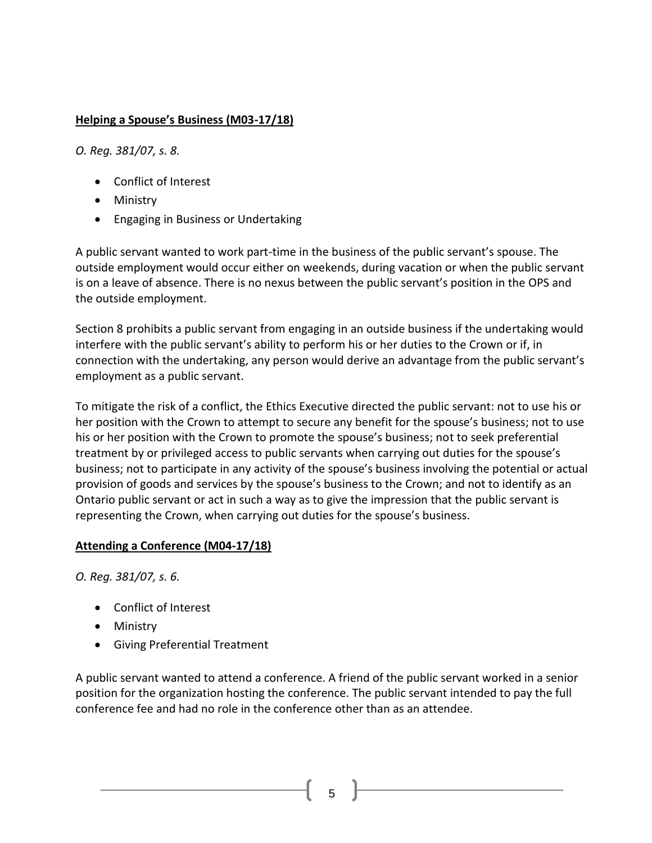# **Helping a Spouse's Business (M03-17/18)**

*O. Reg. 381/07, s. 8.*

- [Conflict of Interest](http://www.coicommissioner.gov.on.ca/category/type-of-ethical-matter/conflict-of-interest/)
- [Ministry](http://www.coicommissioner.gov.on.ca/category/source-of-decision/ministry/)
- [Engaging in Business or Undertaking](http://www.coicommissioner.gov.on.ca/category/type-of-rule/engaging-in-business-or-undertaking/)

A public servant wanted to work part-time in the business of the public servant's spouse. The outside employment would occur either on weekends, during vacation or when the public servant is on a leave of absence. There is no nexus between the public servant's position in the OPS and the outside employment.

Section 8 prohibits a public servant from engaging in an outside business if the undertaking would interfere with the public servant's ability to perform his or her duties to the Crown or if, in connection with the undertaking, any person would derive an advantage from the public servant's employment as a public servant.

To mitigate the risk of a conflict, the Ethics Executive directed the public servant: not to use his or her position with the Crown to attempt to secure any benefit for the spouse's business; not to use his or her position with the Crown to promote the spouse's business; not to seek preferential treatment by or privileged access to public servants when carrying out duties for the spouse's business; not to participate in any activity of the spouse's business involving the potential or actual provision of goods and services by the spouse's business to the Crown; and not to identify as an Ontario public servant or act in such a way as to give the impression that the public servant is representing the Crown, when carrying out duties for the spouse's business.

### **Attending a Conference (M04-17/18)**

*O. Reg. 381/07, s. 6.*

- [Conflict of Interest](http://www.coicommissioner.gov.on.ca/category/type-of-ethical-matter/conflict-of-interest/)
- [Ministry](http://www.coicommissioner.gov.on.ca/category/source-of-decision/ministry/)
- [Giving Preferential Treatment](http://www.coicommissioner.gov.on.ca/category/type-of-rule/giving-preferential-treatment/)

A public servant wanted to attend a conference. A friend of the public servant worked in a senior position for the organization hosting the conference. The public servant intended to pay the full conference fee and had no role in the conference other than as an attendee.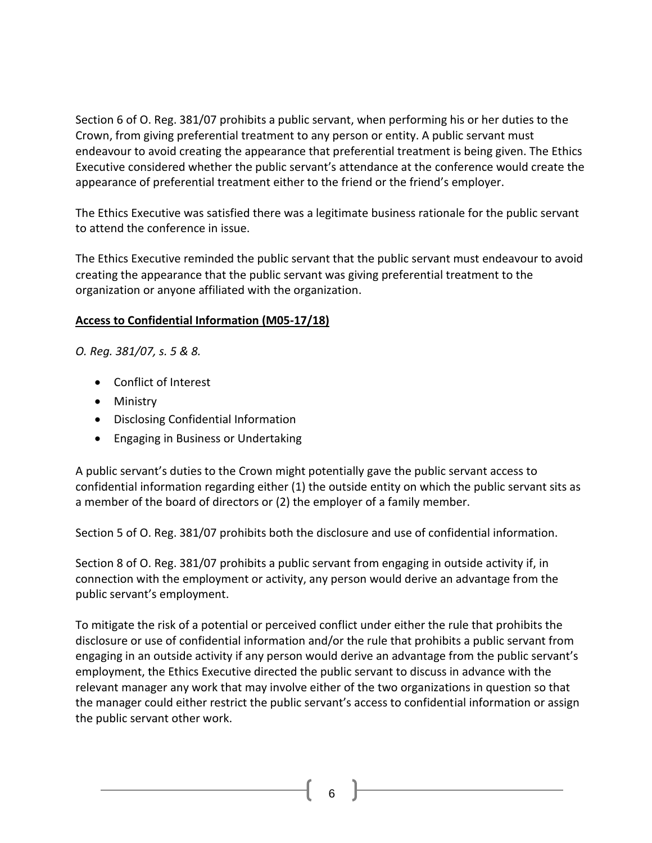Section 6 of O. Reg. 381/07 prohibits a public servant, when performing his or her duties to the Crown, from giving preferential treatment to any person or entity. A public servant must endeavour to avoid creating the appearance that preferential treatment is being given. The Ethics Executive considered whether the public servant's attendance at the conference would create the appearance of preferential treatment either to the friend or the friend's employer.

The Ethics Executive was satisfied there was a legitimate business rationale for the public servant to attend the conference in issue.

The Ethics Executive reminded the public servant that the public servant must endeavour to avoid creating the appearance that the public servant was giving preferential treatment to the organization or anyone affiliated with the organization.

### **Access to Confidential Information (M05-17/18)**

*O. Reg. 381/07, s. 5 & 8.*

- [Conflict of Interest](http://www.coicommissioner.gov.on.ca/category/type-of-ethical-matter/conflict-of-interest/)
- [Ministry](http://www.coicommissioner.gov.on.ca/category/source-of-decision/ministry/)
- [Disclosing Confidential Information](http://www.coicommissioner.gov.on.ca/category/type-of-rule/disclosing-confidential-information/)
- [Engaging in Business or Undertaking](http://www.coicommissioner.gov.on.ca/category/type-of-rule/engaging-in-business-or-undertaking/)

A public servant's duties to the Crown might potentially gave the public servant access to confidential information regarding either (1) the outside entity on which the public servant sits as a member of the board of directors or (2) the employer of a family member.

Section 5 of O. Reg. 381/07 prohibits both the disclosure and use of confidential information.

Section 8 of O. Reg. 381/07 prohibits a public servant from engaging in outside activity if, in connection with the employment or activity, any person would derive an advantage from the public servant's employment.

To mitigate the risk of a potential or perceived conflict under either the rule that prohibits the disclosure or use of confidential information and/or the rule that prohibits a public servant from engaging in an outside activity if any person would derive an advantage from the public servant's employment, the Ethics Executive directed the public servant to discuss in advance with the relevant manager any work that may involve either of the two organizations in question so that the manager could either restrict the public servant's access to confidential information or assign the public servant other work.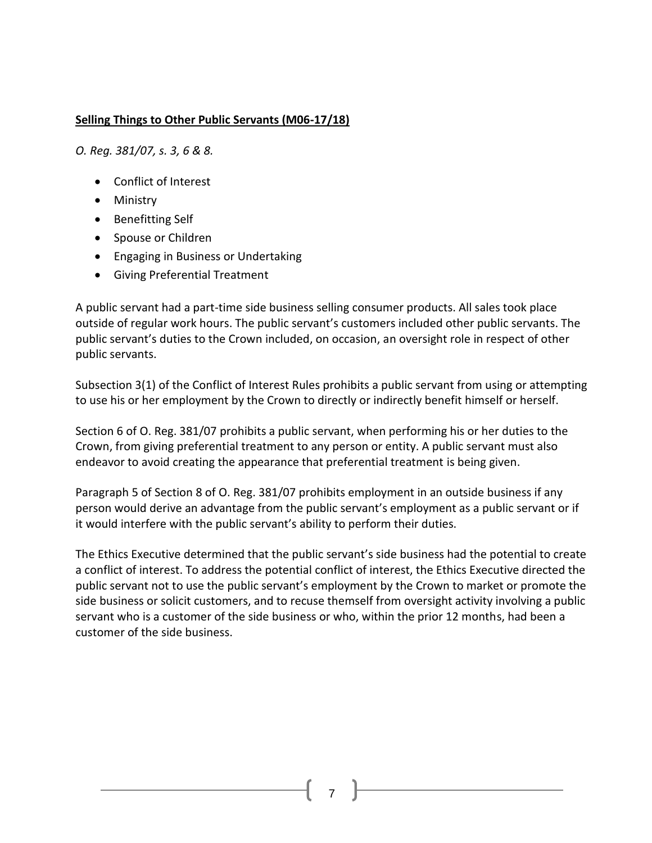#### **Selling Things to Other Public Servants (M06-17/18)**

*O. Reg. 381/07, s. 3, 6 & 8.*

- [Conflict of Interest](http://www.coicommissioner.gov.on.ca/category/type-of-ethical-matter/conflict-of-interest/)
- [Ministry](http://www.coicommissioner.gov.on.ca/category/source-of-decision/ministry/)
- [Benefitting Self](http://www.coicommissioner.gov.on.ca/category/type-of-rule/benefitting-self-spouse-or-children/)
- [Spouse or Children](http://www.coicommissioner.gov.on.ca/category/type-of-rule/benefitting-self-spouse-or-children/)
- [Engaging in Business or Undertaking](http://www.coicommissioner.gov.on.ca/category/type-of-rule/engaging-in-business-or-undertaking/)
- [Giving Preferential Treatment](http://www.coicommissioner.gov.on.ca/category/type-of-rule/giving-preferential-treatment/)

A public servant had a part-time side business selling consumer products. All sales took place outside of regular work hours. The public servant's customers included other public servants. The public servant's duties to the Crown included, on occasion, an oversight role in respect of other public servants.

Subsection 3(1) of the Conflict of Interest Rules prohibits a public servant from using or attempting to use his or her employment by the Crown to directly or indirectly benefit himself or herself.

Section 6 of O. Reg. 381/07 prohibits a public servant, when performing his or her duties to the Crown, from giving preferential treatment to any person or entity. A public servant must also endeavor to avoid creating the appearance that preferential treatment is being given.

Paragraph 5 of Section 8 of O. Reg. 381/07 prohibits employment in an outside business if any person would derive an advantage from the public servant's employment as a public servant or if it would interfere with the public servant's ability to perform their duties.

The Ethics Executive determined that the public servant's side business had the potential to create a conflict of interest. To address the potential conflict of interest, the Ethics Executive directed the public servant not to use the public servant's employment by the Crown to market or promote the side business or solicit customers, and to recuse themself from oversight activity involving a public servant who is a customer of the side business or who, within the prior 12 months, had been a customer of the side business.

7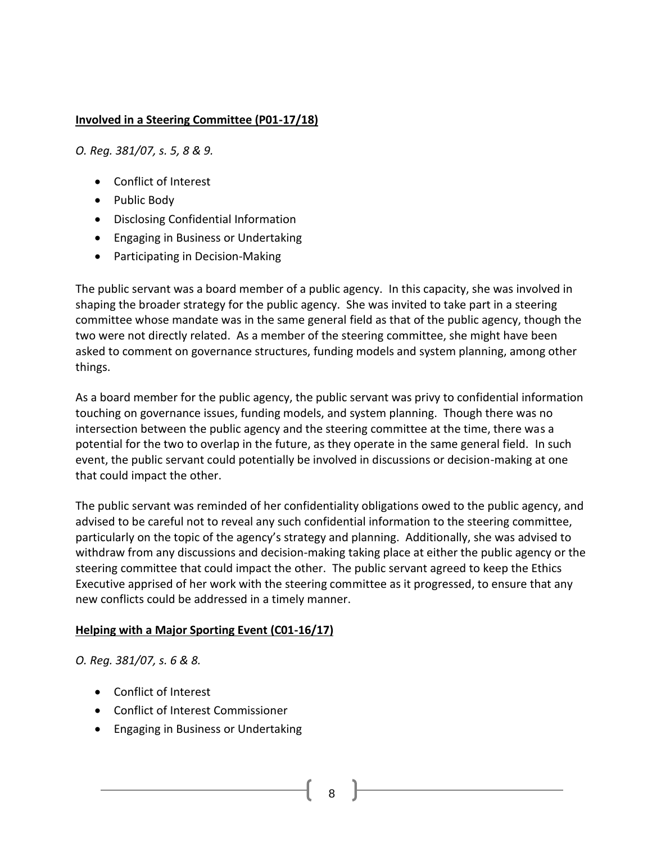### **Involved in a Steering Committee (P01-17/18)**

*O. Reg. 381/07, s. 5, 8 & 9.*

- Conflict of Interest
- Public Body
- Disclosing Confidential Information
- Engaging in Business or Undertaking
- Participating in Decision-Making

The public servant was a board member of a public agency. In this capacity, she was involved in shaping the broader strategy for the public agency. She was invited to take part in a steering committee whose mandate was in the same general field as that of the public agency, though the two were not directly related. As a member of the steering committee, she might have been asked to comment on governance structures, funding models and system planning, among other things.

As a board member for the public agency, the public servant was privy to confidential information touching on governance issues, funding models, and system planning. Though there was no intersection between the public agency and the steering committee at the time, there was a potential for the two to overlap in the future, as they operate in the same general field. In such event, the public servant could potentially be involved in discussions or decision-making at one that could impact the other.

The public servant was reminded of her confidentiality obligations owed to the public agency, and advised to be careful not to reveal any such confidential information to the steering committee, particularly on the topic of the agency's strategy and planning. Additionally, she was advised to withdraw from any discussions and decision-making taking place at either the public agency or the steering committee that could impact the other. The public servant agreed to keep the Ethics Executive apprised of her work with the steering committee as it progressed, to ensure that any new conflicts could be addressed in a timely manner.

### **Helping with a Major Sporting Event (C01-16/17)**

*O. Reg. 381/07, s. 6 & 8.*

- Conflict of Interest
- Conflict of Interest Commissioner
- Engaging in Business or Undertaking

8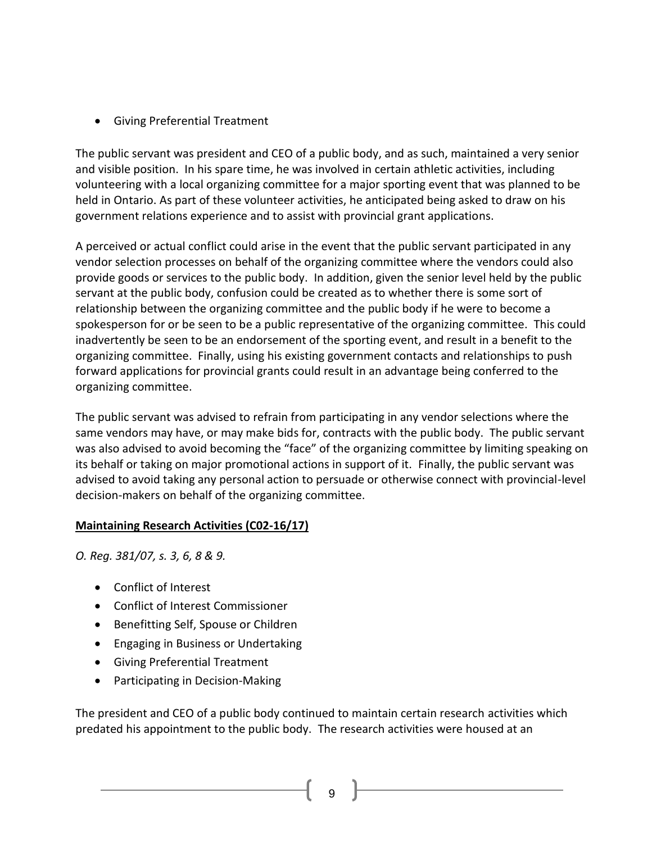• Giving Preferential Treatment

The public servant was president and CEO of a public body, and as such, maintained a very senior and visible position. In his spare time, he was involved in certain athletic activities, including volunteering with a local organizing committee for a major sporting event that was planned to be held in Ontario. As part of these volunteer activities, he anticipated being asked to draw on his government relations experience and to assist with provincial grant applications.

A perceived or actual conflict could arise in the event that the public servant participated in any vendor selection processes on behalf of the organizing committee where the vendors could also provide goods or services to the public body. In addition, given the senior level held by the public servant at the public body, confusion could be created as to whether there is some sort of relationship between the organizing committee and the public body if he were to become a spokesperson for or be seen to be a public representative of the organizing committee. This could inadvertently be seen to be an endorsement of the sporting event, and result in a benefit to the organizing committee. Finally, using his existing government contacts and relationships to push forward applications for provincial grants could result in an advantage being conferred to the organizing committee.

The public servant was advised to refrain from participating in any vendor selections where the same vendors may have, or may make bids for, contracts with the public body. The public servant was also advised to avoid becoming the "face" of the organizing committee by limiting speaking on its behalf or taking on major promotional actions in support of it. Finally, the public servant was advised to avoid taking any personal action to persuade or otherwise connect with provincial-level decision-makers on behalf of the organizing committee.

# **Maintaining Research Activities (C02-16/17)**

*O. Reg. 381/07, s. 3, 6, 8 & 9.*

- Conflict of Interest
- Conflict of Interest Commissioner
- Benefitting Self, Spouse or Children
- Engaging in Business or Undertaking
- Giving Preferential Treatment
- Participating in Decision-Making

The president and CEO of a public body continued to maintain certain research activities which predated his appointment to the public body. The research activities were housed at an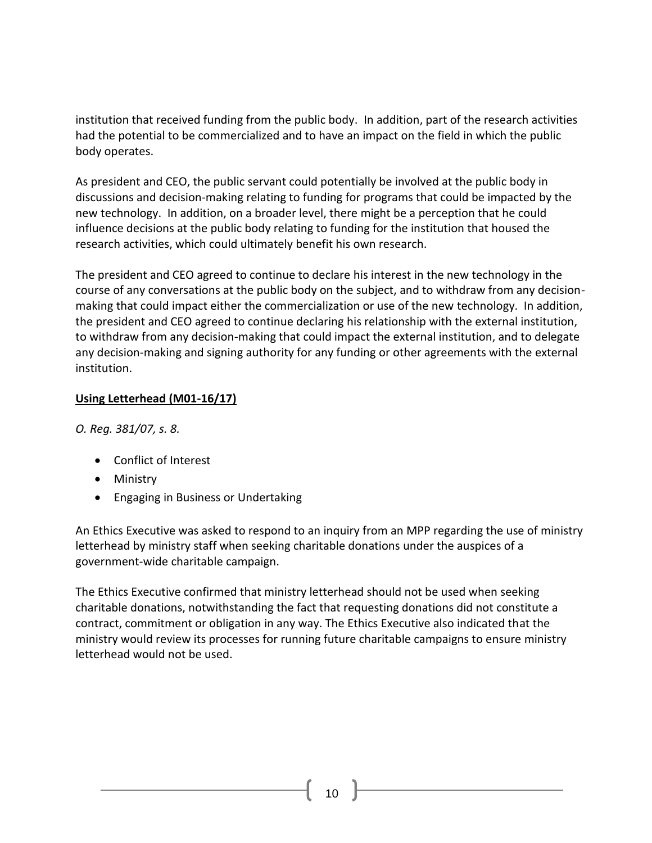institution that received funding from the public body. In addition, part of the research activities had the potential to be commercialized and to have an impact on the field in which the public body operates.

As president and CEO, the public servant could potentially be involved at the public body in discussions and decision-making relating to funding for programs that could be impacted by the new technology. In addition, on a broader level, there might be a perception that he could influence decisions at the public body relating to funding for the institution that housed the research activities, which could ultimately benefit his own research.

The president and CEO agreed to continue to declare his interest in the new technology in the course of any conversations at the public body on the subject, and to withdraw from any decisionmaking that could impact either the commercialization or use of the new technology. In addition, the president and CEO agreed to continue declaring his relationship with the external institution, to withdraw from any decision-making that could impact the external institution, and to delegate any decision-making and signing authority for any funding or other agreements with the external institution.

# **Using Letterhead (M01-16/17)**

*O. Reg. 381/07, s. 8.*

- [Conflict of Interest](http://www.coicommissioner.gov.on.ca/category/type-of-ethical-matter/conflict-of-interest/)
- [Ministry](http://www.coicommissioner.gov.on.ca/category/source-of-decision/ministry/)
- [Engaging in Business or Undertaking](http://www.coicommissioner.gov.on.ca/category/type-of-rule/engaging-in-business-or-undertaking/)

An Ethics Executive was asked to respond to an inquiry from an MPP regarding the use of ministry letterhead by ministry staff when seeking charitable donations under the auspices of a government-wide charitable campaign.

The Ethics Executive confirmed that ministry letterhead should not be used when seeking charitable donations, notwithstanding the fact that requesting donations did not constitute a contract, commitment or obligation in any way. The Ethics Executive also indicated that the ministry would review its processes for running future charitable campaigns to ensure ministry letterhead would not be used.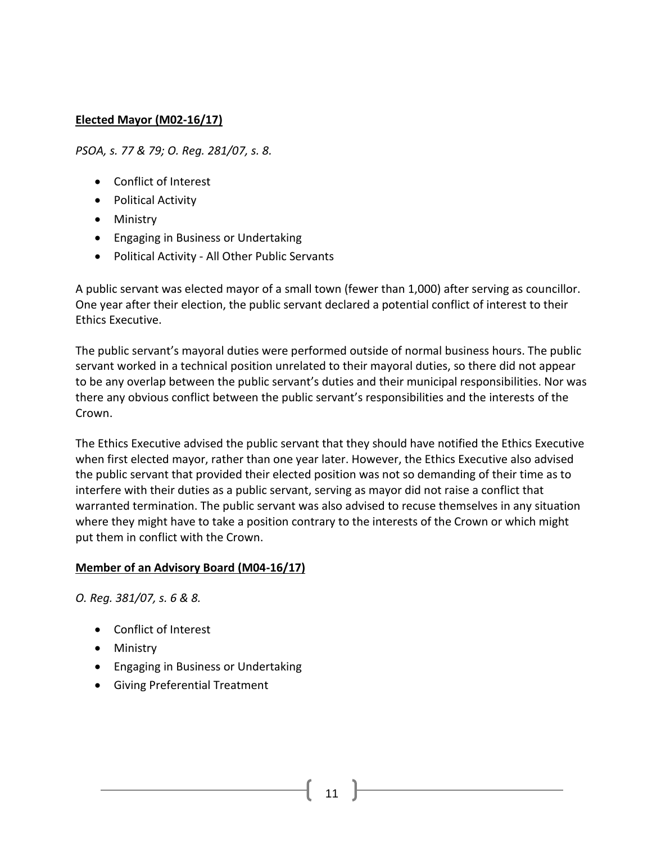### **Elected Mayor (M02-16/17)**

*PSOA, s. 77 & 79; O. Reg. 281/07, s. 8.*

- [Conflict of Interest](http://www.coicommissioner.gov.on.ca/category/type-of-ethical-matter/conflict-of-interest/)
- [Political Activity](http://www.coicommissioner.gov.on.ca/category/type-of-ethical-matter/political-activity/)
- [Ministry](http://www.coicommissioner.gov.on.ca/category/source-of-decision/ministry/)
- [Engaging in Business or Undertaking](http://www.coicommissioner.gov.on.ca/category/type-of-rule/engaging-in-business-or-undertaking/)
- Political Activity [All Other Public Servants](http://www.coicommissioner.gov.on.ca/category/type-of-rule/political-activity-all-other-public-servants/)

A public servant was elected mayor of a small town (fewer than 1,000) after serving as councillor. One year after their election, the public servant declared a potential conflict of interest to their Ethics Executive.

The public servant's mayoral duties were performed outside of normal business hours. The public servant worked in a technical position unrelated to their mayoral duties, so there did not appear to be any overlap between the public servant's duties and their municipal responsibilities. Nor was there any obvious conflict between the public servant's responsibilities and the interests of the Crown.

The Ethics Executive advised the public servant that they should have notified the Ethics Executive when first elected mayor, rather than one year later. However, the Ethics Executive also advised the public servant that provided their elected position was not so demanding of their time as to interfere with their duties as a public servant, serving as mayor did not raise a conflict that warranted termination. The public servant was also advised to recuse themselves in any situation where they might have to take a position contrary to the interests of the Crown or which might put them in conflict with the Crown.

### **Member of an Advisory Board (M04-16/17)**

*O. Reg. 381/07, s. 6 & 8.*

- [Conflict of Interest](http://www.coicommissioner.gov.on.ca/category/type-of-ethical-matter/conflict-of-interest/)
- [Ministry](http://www.coicommissioner.gov.on.ca/category/source-of-decision/ministry/)
- [Engaging in Business or Undertaking](http://www.coicommissioner.gov.on.ca/category/type-of-rule/engaging-in-business-or-undertaking/)
- [Giving Preferential Treatment](http://www.coicommissioner.gov.on.ca/category/type-of-rule/giving-preferential-treatment/)

11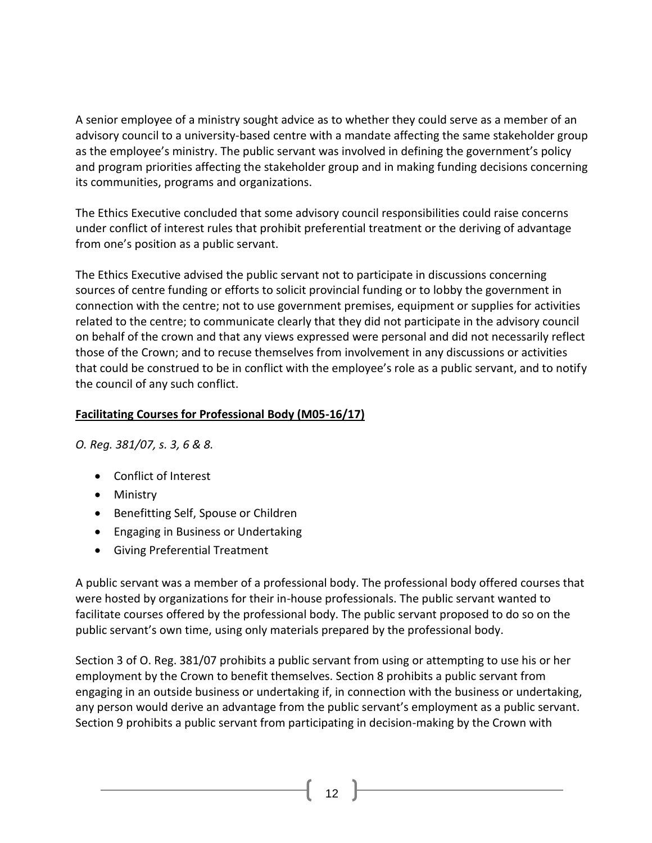A senior employee of a ministry sought advice as to whether they could serve as a member of an advisory council to a university-based centre with a mandate affecting the same stakeholder group as the employee's ministry. The public servant was involved in defining the government's policy and program priorities affecting the stakeholder group and in making funding decisions concerning its communities, programs and organizations.

The Ethics Executive concluded that some advisory council responsibilities could raise concerns under conflict of interest rules that prohibit preferential treatment or the deriving of advantage from one's position as a public servant.

The Ethics Executive advised the public servant not to participate in discussions concerning sources of centre funding or efforts to solicit provincial funding or to lobby the government in connection with the centre; not to use government premises, equipment or supplies for activities related to the centre; to communicate clearly that they did not participate in the advisory council on behalf of the crown and that any views expressed were personal and did not necessarily reflect those of the Crown; and to recuse themselves from involvement in any discussions or activities that could be construed to be in conflict with the employee's role as a public servant, and to notify the council of any such conflict.

### **Facilitating Courses for Professional Body (M05-16/17)**

*O. Reg. 381/07, s. 3, 6 & 8.*

- [Conflict of Interest](http://www.coicommissioner.gov.on.ca/category/type-of-ethical-matter/conflict-of-interest/)
- [Ministry](http://www.coicommissioner.gov.on.ca/category/source-of-decision/ministry/)
- [Benefitting Self, Spouse or Children](http://www.coicommissioner.gov.on.ca/category/type-of-rule/benefitting-self-spouse-or-children/)
- [Engaging in Business or Undertaking](http://www.coicommissioner.gov.on.ca/category/type-of-rule/engaging-in-business-or-undertaking/)
- [Giving Preferential Treatment](http://www.coicommissioner.gov.on.ca/category/type-of-rule/giving-preferential-treatment/)

A public servant was a member of a professional body. The professional body offered courses that were hosted by organizations for their in-house professionals. The public servant wanted to facilitate courses offered by the professional body. The public servant proposed to do so on the public servant's own time, using only materials prepared by the professional body.

Section 3 of O. Reg. 381/07 prohibits a public servant from using or attempting to use his or her employment by the Crown to benefit themselves. Section 8 prohibits a public servant from engaging in an outside business or undertaking if, in connection with the business or undertaking, any person would derive an advantage from the public servant's employment as a public servant. Section 9 prohibits a public servant from participating in decision-making by the Crown with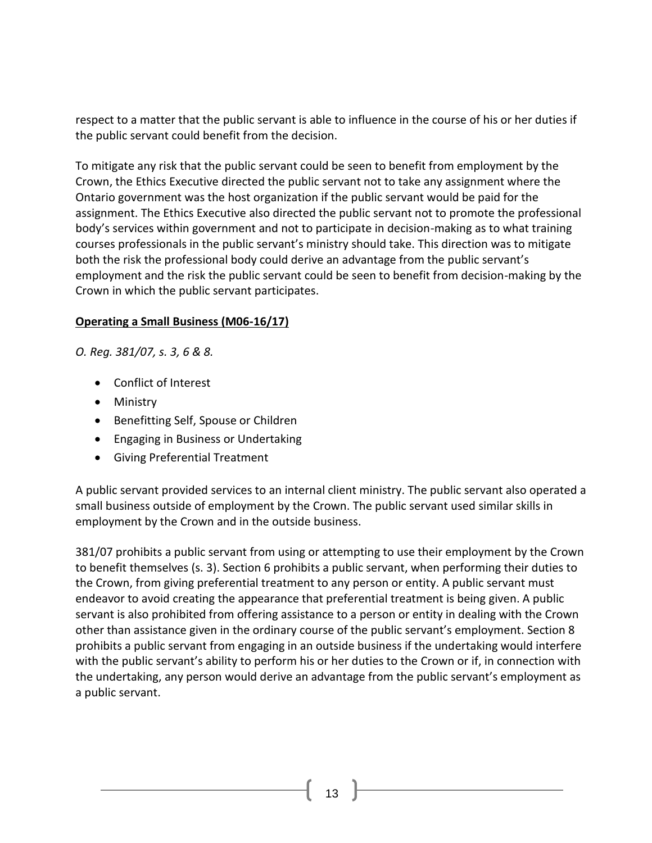respect to a matter that the public servant is able to influence in the course of his or her duties if the public servant could benefit from the decision.

To mitigate any risk that the public servant could be seen to benefit from employment by the Crown, the Ethics Executive directed the public servant not to take any assignment where the Ontario government was the host organization if the public servant would be paid for the assignment. The Ethics Executive also directed the public servant not to promote the professional body's services within government and not to participate in decision-making as to what training courses professionals in the public servant's ministry should take. This direction was to mitigate both the risk the professional body could derive an advantage from the public servant's employment and the risk the public servant could be seen to benefit from decision-making by the Crown in which the public servant participates.

### **Operating a Small Business (M06-16/17)**

*O. Reg. 381/07, s. 3, 6 & 8.*

- [Conflict of Interest](http://www.coicommissioner.gov.on.ca/category/type-of-ethical-matter/conflict-of-interest/)
- [Ministry](http://www.coicommissioner.gov.on.ca/category/source-of-decision/ministry/)
- [Benefitting Self, Spouse or Children](http://www.coicommissioner.gov.on.ca/category/type-of-rule/benefitting-self-spouse-or-children/)
- [Engaging in Business or Undertaking](http://www.coicommissioner.gov.on.ca/category/type-of-rule/engaging-in-business-or-undertaking/)
- [Giving Preferential Treatment](http://www.coicommissioner.gov.on.ca/category/type-of-rule/giving-preferential-treatment/)

A public servant provided services to an internal client ministry. The public servant also operated a small business outside of employment by the Crown. The public servant used similar skills in employment by the Crown and in the outside business.

381/07 prohibits a public servant from using or attempting to use their employment by the Crown to benefit themselves (s. 3). Section 6 prohibits a public servant, when performing their duties to the Crown, from giving preferential treatment to any person or entity. A public servant must endeavor to avoid creating the appearance that preferential treatment is being given. A public servant is also prohibited from offering assistance to a person or entity in dealing with the Crown other than assistance given in the ordinary course of the public servant's employment. Section 8 prohibits a public servant from engaging in an outside business if the undertaking would interfere with the public servant's ability to perform his or her duties to the Crown or if, in connection with the undertaking, any person would derive an advantage from the public servant's employment as a public servant.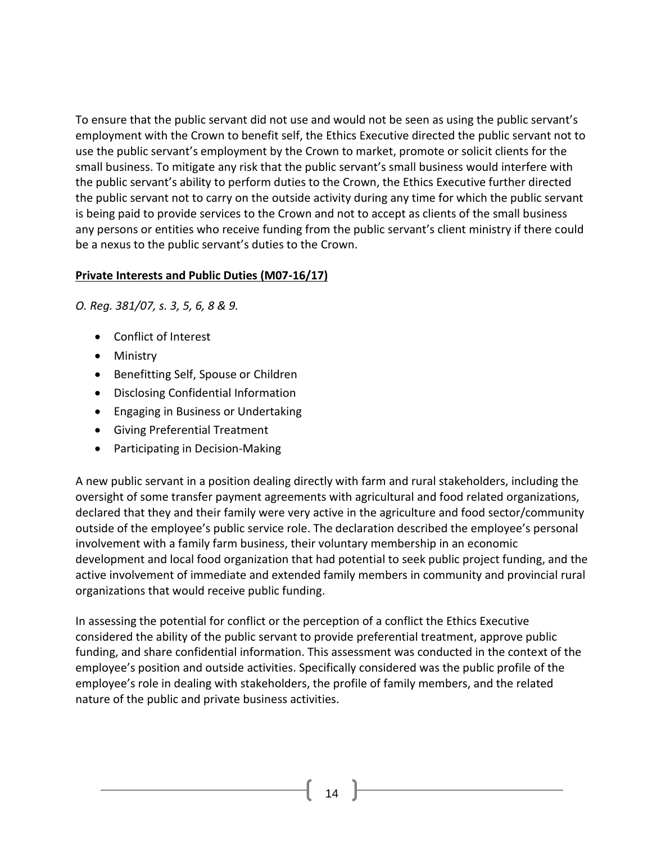To ensure that the public servant did not use and would not be seen as using the public servant's employment with the Crown to benefit self, the Ethics Executive directed the public servant not to use the public servant's employment by the Crown to market, promote or solicit clients for the small business. To mitigate any risk that the public servant's small business would interfere with the public servant's ability to perform duties to the Crown, the Ethics Executive further directed the public servant not to carry on the outside activity during any time for which the public servant is being paid to provide services to the Crown and not to accept as clients of the small business any persons or entities who receive funding from the public servant's client ministry if there could be a nexus to the public servant's duties to the Crown.

# **Private Interests and Public Duties (M07-16/17)**

*O. Reg. 381/07, s. 3, 5, 6, 8 & 9.*

- [Conflict of Interest](http://www.coicommissioner.gov.on.ca/category/type-of-ethical-matter/conflict-of-interest/)
- [Ministry](http://www.coicommissioner.gov.on.ca/category/source-of-decision/ministry/)
- [Benefitting Self, Spouse or Children](http://www.coicommissioner.gov.on.ca/category/type-of-rule/benefitting-self-spouse-or-children/)
- [Disclosing Confidential Information](http://www.coicommissioner.gov.on.ca/category/type-of-rule/disclosing-confidential-information/)
- [Engaging in Business or Undertaking](http://www.coicommissioner.gov.on.ca/category/type-of-rule/engaging-in-business-or-undertaking/)
- [Giving Preferential Treatment](http://www.coicommissioner.gov.on.ca/category/type-of-rule/giving-preferential-treatment/)
- [Participating in Decision-Making](http://www.coicommissioner.gov.on.ca/category/type-of-rule/participating-in-decision-making/)

A new public servant in a position dealing directly with farm and rural stakeholders, including the oversight of some transfer payment agreements with agricultural and food related organizations, declared that they and their family were very active in the agriculture and food sector/community outside of the employee's public service role. The declaration described the employee's personal involvement with a family farm business, their voluntary membership in an economic development and local food organization that had potential to seek public project funding, and the active involvement of immediate and extended family members in community and provincial rural organizations that would receive public funding.

In assessing the potential for conflict or the perception of a conflict the Ethics Executive considered the ability of the public servant to provide preferential treatment, approve public funding, and share confidential information. This assessment was conducted in the context of the employee's position and outside activities. Specifically considered was the public profile of the employee's role in dealing with stakeholders, the profile of family members, and the related nature of the public and private business activities.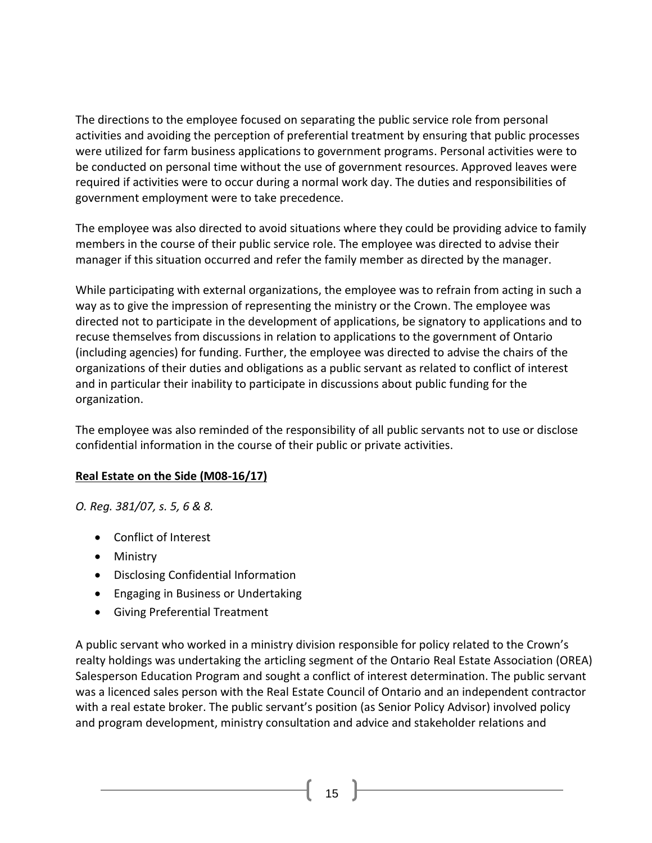The directions to the employee focused on separating the public service role from personal activities and avoiding the perception of preferential treatment by ensuring that public processes were utilized for farm business applications to government programs. Personal activities were to be conducted on personal time without the use of government resources. Approved leaves were required if activities were to occur during a normal work day. The duties and responsibilities of government employment were to take precedence.

The employee was also directed to avoid situations where they could be providing advice to family members in the course of their public service role. The employee was directed to advise their manager if this situation occurred and refer the family member as directed by the manager.

While participating with external organizations, the employee was to refrain from acting in such a way as to give the impression of representing the ministry or the Crown. The employee was directed not to participate in the development of applications, be signatory to applications and to recuse themselves from discussions in relation to applications to the government of Ontario (including agencies) for funding. Further, the employee was directed to advise the chairs of the organizations of their duties and obligations as a public servant as related to conflict of interest and in particular their inability to participate in discussions about public funding for the organization.

The employee was also reminded of the responsibility of all public servants not to use or disclose confidential information in the course of their public or private activities.

### **Real Estate on the Side (M08-16/17)**

*O. Reg. 381/07, s. 5, 6 & 8.*

- [Conflict of Interest](http://www.coicommissioner.gov.on.ca/category/type-of-ethical-matter/conflict-of-interest/)
- [Ministry](http://www.coicommissioner.gov.on.ca/category/source-of-decision/ministry/)
- [Disclosing Confidential Information](http://www.coicommissioner.gov.on.ca/category/type-of-rule/disclosing-confidential-information/)
- [Engaging in Business or Undertaking](http://www.coicommissioner.gov.on.ca/category/type-of-rule/engaging-in-business-or-undertaking/)
- [Giving Preferential Treatment](http://www.coicommissioner.gov.on.ca/category/type-of-rule/giving-preferential-treatment/)

A public servant who worked in a ministry division responsible for policy related to the Crown's realty holdings was undertaking the articling segment of the Ontario Real Estate Association (OREA) Salesperson Education Program and sought a conflict of interest determination. The public servant was a licenced sales person with the Real Estate Council of Ontario and an independent contractor with a real estate broker. The public servant's position (as Senior Policy Advisor) involved policy and program development, ministry consultation and advice and stakeholder relations and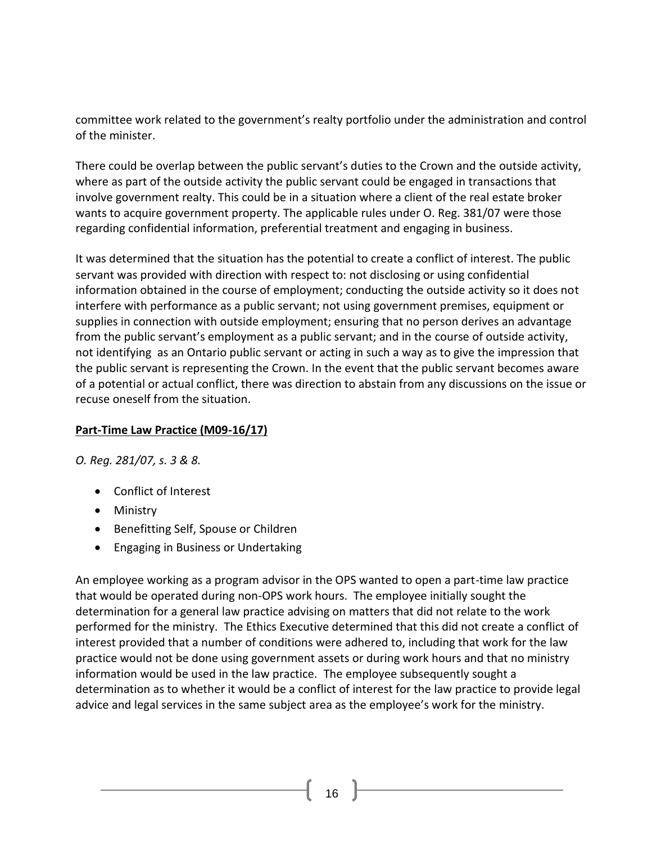committee work related to the government's realty portfolio under the administration and control of the minister.

There could be overlap between the public servant's duties to the Crown and the outside activity, where as part of the outside activity the public servant could be engaged in transactions that involve government realty. This could be in a situation where a client of the real estate broker wants to acquire government property. The applicable rules under O. Reg. 381/07 were those regarding confidential information, preferential treatment and engaging in business.

It was determined that the situation has the potential to create a conflict of interest. The public servant was provided with direction with respect to: not disclosing or using confidential information obtained in the course of employment; conducting the outside activity so it does not interfere with performance as a public servant; not using government premises, equipment or supplies in connection with outside employment; ensuring that no person derives an advantage from the public servant's employment as a public servant; and in the course of outside activity, not identifying as an Ontario public servant or acting in such a way as to give the impression that the public servant is representing the Crown. In the event that the public servant becomes aware of a potential or actual conflict, there was direction to abstain from any discussions on the issue or recuse oneself from the situation.

# **Part-Time Law Practice (M09-16/17)**

*O. Reg. 281/07, s. 3 & 8.*

- [Conflict of Interest](http://www.coicommissioner.gov.on.ca/category/type-of-ethical-matter/conflict-of-interest/)
- [Ministry](http://www.coicommissioner.gov.on.ca/category/source-of-decision/ministry/)
- [Benefitting Self, Spouse or Children](http://www.coicommissioner.gov.on.ca/category/type-of-rule/benefitting-self-spouse-or-children/)
- [Engaging in Business or Undertaking](http://www.coicommissioner.gov.on.ca/category/type-of-rule/engaging-in-business-or-undertaking/)

An employee working as a program advisor in the OPS wanted to open a part-time law practice that would be operated during non-OPS work hours. The employee initially sought the determination for a general law practice advising on matters that did not relate to the work performed for the ministry. The Ethics Executive determined that this did not create a conflict of interest provided that a number of conditions were adhered to, including that work for the law practice would not be done using government assets or during work hours and that no ministry information would be used in the law practice. The employee subsequently sought a determination as to whether it would be a conflict of interest for the law practice to provide legal advice and legal services in the same subject area as the employee's work for the ministry.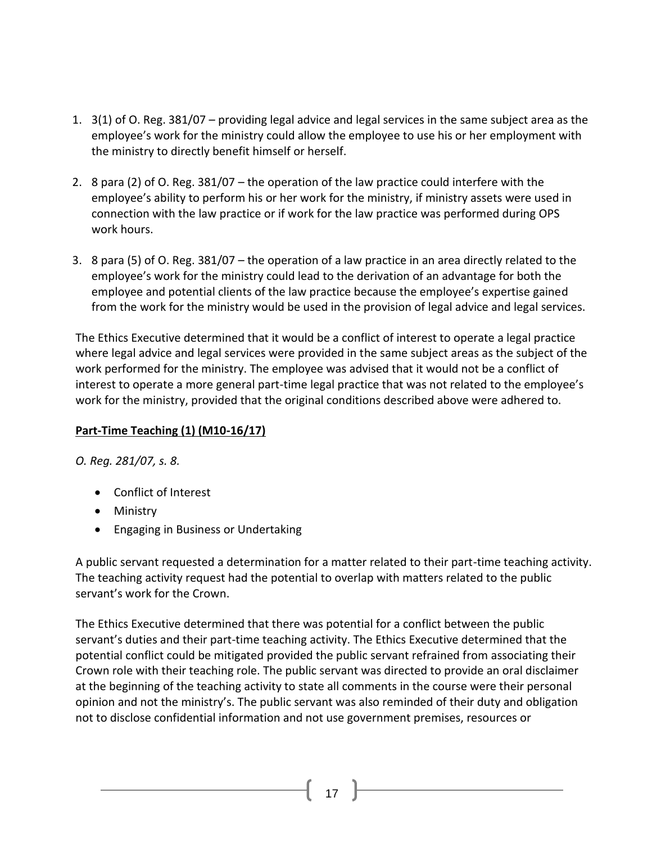- 1. 3(1) of O. Reg. 381/07 providing legal advice and legal services in the same subject area as the employee's work for the ministry could allow the employee to use his or her employment with the ministry to directly benefit himself or herself.
- 2. 8 para (2) of O. Reg. 381/07 the operation of the law practice could interfere with the employee's ability to perform his or her work for the ministry, if ministry assets were used in connection with the law practice or if work for the law practice was performed during OPS work hours.
- 3. 8 para (5) of O. Reg. 381/07 the operation of a law practice in an area directly related to the employee's work for the ministry could lead to the derivation of an advantage for both the employee and potential clients of the law practice because the employee's expertise gained from the work for the ministry would be used in the provision of legal advice and legal services.

The Ethics Executive determined that it would be a conflict of interest to operate a legal practice where legal advice and legal services were provided in the same subject areas as the subject of the work performed for the ministry. The employee was advised that it would not be a conflict of interest to operate a more general part-time legal practice that was not related to the employee's work for the ministry, provided that the original conditions described above were adhered to.

# **Part-Time Teaching (1) (M10-16/17)**

*O. Reg. 281/07, s. 8.*

- [Conflict of Interest](http://www.coicommissioner.gov.on.ca/category/type-of-ethical-matter/conflict-of-interest/)
- [Ministry](http://www.coicommissioner.gov.on.ca/category/source-of-decision/ministry/)
- [Engaging in Business or Undertaking](http://www.coicommissioner.gov.on.ca/category/type-of-rule/engaging-in-business-or-undertaking/)

A public servant requested a determination for a matter related to their part-time teaching activity. The teaching activity request had the potential to overlap with matters related to the public servant's work for the Crown.

The Ethics Executive determined that there was potential for a conflict between the public servant's duties and their part-time teaching activity. The Ethics Executive determined that the potential conflict could be mitigated provided the public servant refrained from associating their Crown role with their teaching role. The public servant was directed to provide an oral disclaimer at the beginning of the teaching activity to state all comments in the course were their personal opinion and not the ministry's. The public servant was also reminded of their duty and obligation not to disclose confidential information and not use government premises, resources or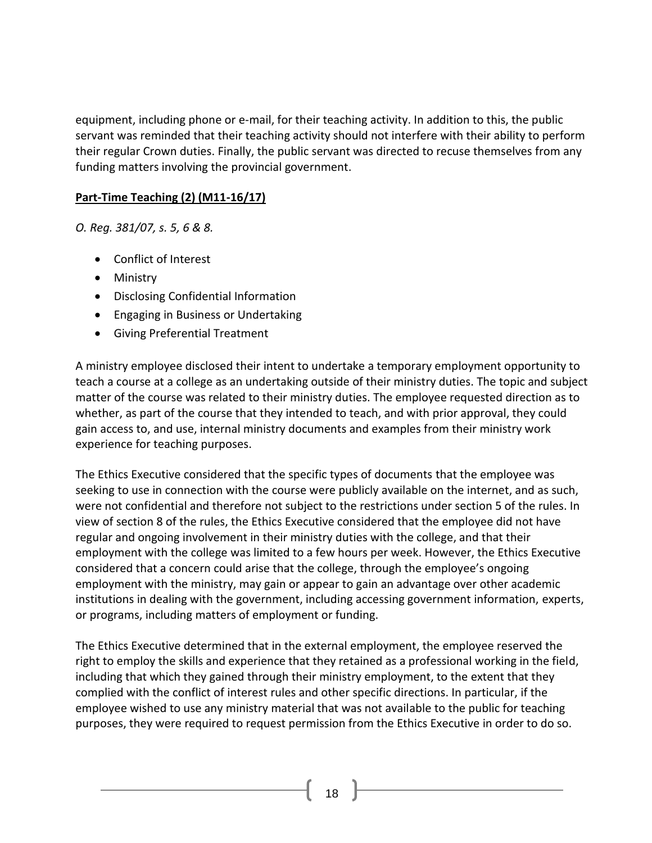equipment, including phone or e-mail, for their teaching activity. In addition to this, the public servant was reminded that their teaching activity should not interfere with their ability to perform their regular Crown duties. Finally, the public servant was directed to recuse themselves from any funding matters involving the provincial government.

### **Part-Time Teaching (2) (M11-16/17)**

*O. Reg. 381/07, s. 5, 6 & 8.*

- [Conflict of Interest](http://www.coicommissioner.gov.on.ca/category/type-of-ethical-matter/conflict-of-interest/)
- [Ministry](http://www.coicommissioner.gov.on.ca/category/source-of-decision/ministry/)
- [Disclosing Confidential Information](http://www.coicommissioner.gov.on.ca/category/type-of-rule/disclosing-confidential-information/)
- [Engaging in Business or Undertaking](http://www.coicommissioner.gov.on.ca/category/type-of-rule/engaging-in-business-or-undertaking/)
- [Giving Preferential Treatment](http://www.coicommissioner.gov.on.ca/category/type-of-rule/giving-preferential-treatment/)

A ministry employee disclosed their intent to undertake a temporary employment opportunity to teach a course at a college as an undertaking outside of their ministry duties. The topic and subject matter of the course was related to their ministry duties. The employee requested direction as to whether, as part of the course that they intended to teach, and with prior approval, they could gain access to, and use, internal ministry documents and examples from their ministry work experience for teaching purposes.

The Ethics Executive considered that the specific types of documents that the employee was seeking to use in connection with the course were publicly available on the internet, and as such, were not confidential and therefore not subject to the restrictions under section 5 of the rules. In view of section 8 of the rules, the Ethics Executive considered that the employee did not have regular and ongoing involvement in their ministry duties with the college, and that their employment with the college was limited to a few hours per week. However, the Ethics Executive considered that a concern could arise that the college, through the employee's ongoing employment with the ministry, may gain or appear to gain an advantage over other academic institutions in dealing with the government, including accessing government information, experts, or programs, including matters of employment or funding.

The Ethics Executive determined that in the external employment, the employee reserved the right to employ the skills and experience that they retained as a professional working in the field, including that which they gained through their ministry employment, to the extent that they complied with the conflict of interest rules and other specific directions. In particular, if the employee wished to use any ministry material that was not available to the public for teaching purposes, they were required to request permission from the Ethics Executive in order to do so.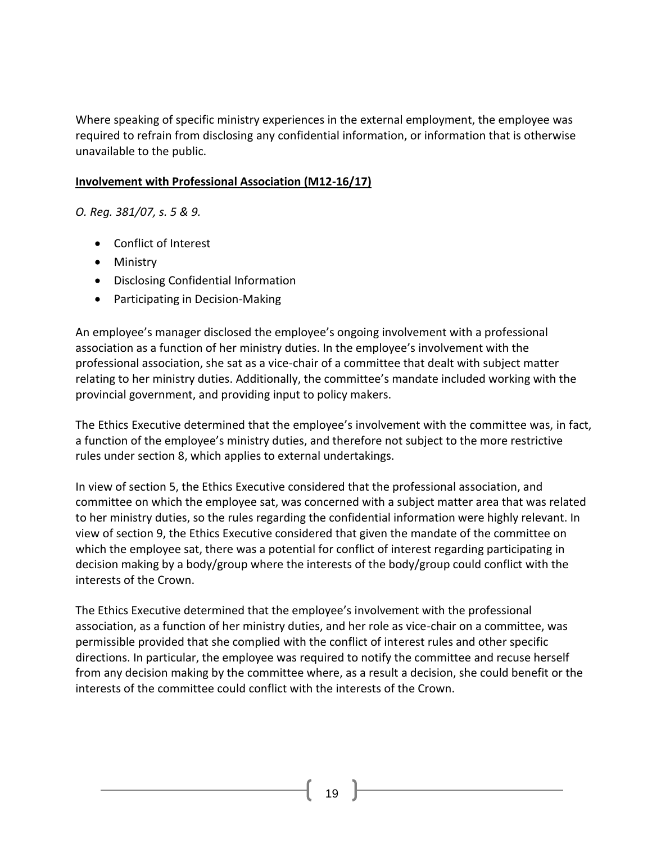Where speaking of specific ministry experiences in the external employment, the employee was required to refrain from disclosing any confidential information, or information that is otherwise unavailable to the public.

#### **Involvement with Professional Association (M12-16/17)**

*O. Reg. 381/07, s. 5 & 9.*

- [Conflict of Interest](http://www.coicommissioner.gov.on.ca/category/type-of-ethical-matter/conflict-of-interest/)
- [Ministry](http://www.coicommissioner.gov.on.ca/category/source-of-decision/ministry/)
- [Disclosing Confidential Information](http://www.coicommissioner.gov.on.ca/category/type-of-rule/disclosing-confidential-information/)
- [Participating in Decision-Making](http://www.coicommissioner.gov.on.ca/category/type-of-rule/participating-in-decision-making/)

An employee's manager disclosed the employee's ongoing involvement with a professional association as a function of her ministry duties. In the employee's involvement with the professional association, she sat as a vice-chair of a committee that dealt with subject matter relating to her ministry duties. Additionally, the committee's mandate included working with the provincial government, and providing input to policy makers.

The Ethics Executive determined that the employee's involvement with the committee was, in fact, a function of the employee's ministry duties, and therefore not subject to the more restrictive rules under section 8, which applies to external undertakings.

In view of section 5, the Ethics Executive considered that the professional association, and committee on which the employee sat, was concerned with a subject matter area that was related to her ministry duties, so the rules regarding the confidential information were highly relevant. In view of section 9, the Ethics Executive considered that given the mandate of the committee on which the employee sat, there was a potential for conflict of interest regarding participating in decision making by a body/group where the interests of the body/group could conflict with the interests of the Crown.

The Ethics Executive determined that the employee's involvement with the professional association, as a function of her ministry duties, and her role as vice-chair on a committee, was permissible provided that she complied with the conflict of interest rules and other specific directions. In particular, the employee was required to notify the committee and recuse herself from any decision making by the committee where, as a result a decision, she could benefit or the interests of the committee could conflict with the interests of the Crown.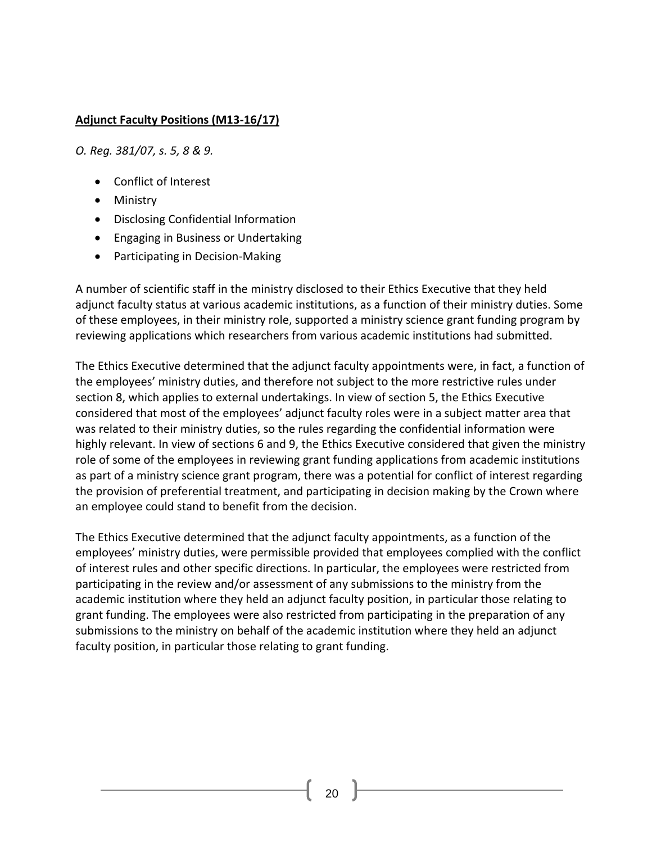### **Adjunct Faculty Positions (M13-16/17)**

*O. Reg. 381/07, s. 5, 8 & 9.*

- [Conflict of Interest](http://www.coicommissioner.gov.on.ca/category/type-of-ethical-matter/conflict-of-interest/)
- [Ministry](http://www.coicommissioner.gov.on.ca/category/source-of-decision/ministry/)
- [Disclosing Confidential Information](http://www.coicommissioner.gov.on.ca/category/type-of-rule/disclosing-confidential-information/)
- [Engaging in Business or Undertaking](http://www.coicommissioner.gov.on.ca/category/type-of-rule/engaging-in-business-or-undertaking/)
- [Participating in Decision-Making](http://www.coicommissioner.gov.on.ca/category/type-of-rule/participating-in-decision-making/)

A number of scientific staff in the ministry disclosed to their Ethics Executive that they held adjunct faculty status at various academic institutions, as a function of their ministry duties. Some of these employees, in their ministry role, supported a ministry science grant funding program by reviewing applications which researchers from various academic institutions had submitted.

The Ethics Executive determined that the adjunct faculty appointments were, in fact, a function of the employees' ministry duties, and therefore not subject to the more restrictive rules under section 8, which applies to external undertakings. In view of section 5, the Ethics Executive considered that most of the employees' adjunct faculty roles were in a subject matter area that was related to their ministry duties, so the rules regarding the confidential information were highly relevant. In view of sections 6 and 9, the Ethics Executive considered that given the ministry role of some of the employees in reviewing grant funding applications from academic institutions as part of a ministry science grant program, there was a potential for conflict of interest regarding the provision of preferential treatment, and participating in decision making by the Crown where an employee could stand to benefit from the decision.

The Ethics Executive determined that the adjunct faculty appointments, as a function of the employees' ministry duties, were permissible provided that employees complied with the conflict of interest rules and other specific directions. In particular, the employees were restricted from participating in the review and/or assessment of any submissions to the ministry from the academic institution where they held an adjunct faculty position, in particular those relating to grant funding. The employees were also restricted from participating in the preparation of any submissions to the ministry on behalf of the academic institution where they held an adjunct faculty position, in particular those relating to grant funding.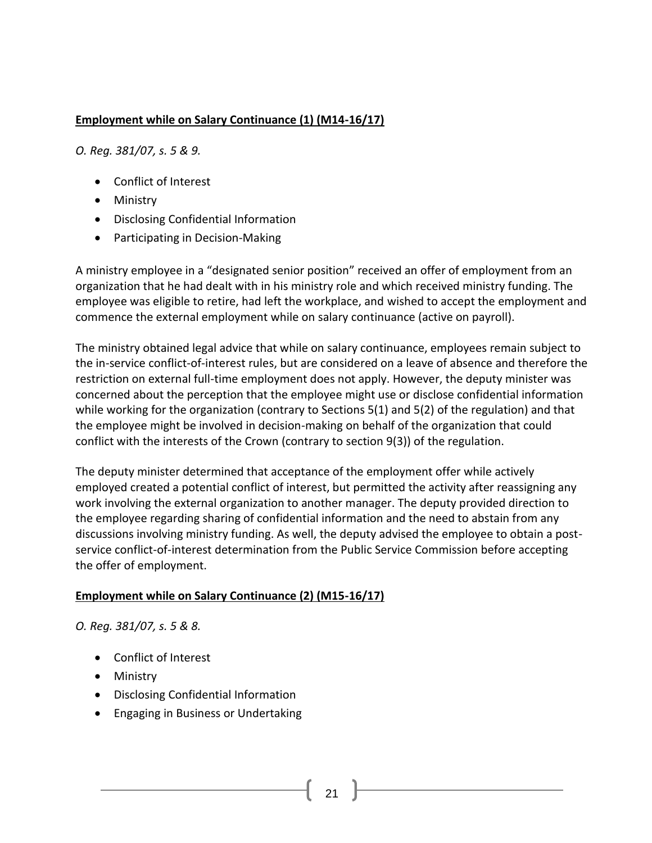# **Employment while on Salary Continuance (1) (M14-16/17)**

*O. Reg. 381/07, s. 5 & 9.*

- [Conflict of Interest](http://www.coicommissioner.gov.on.ca/category/type-of-ethical-matter/conflict-of-interest/)
- [Ministry](http://www.coicommissioner.gov.on.ca/category/source-of-decision/ministry/)
- [Disclosing Confidential Information](http://www.coicommissioner.gov.on.ca/category/type-of-rule/disclosing-confidential-information/)
- [Participating in Decision-Making](http://www.coicommissioner.gov.on.ca/category/type-of-rule/participating-in-decision-making/)

A ministry employee in a "designated senior position" received an offer of employment from an organization that he had dealt with in his ministry role and which received ministry funding. The employee was eligible to retire, had left the workplace, and wished to accept the employment and commence the external employment while on salary continuance (active on payroll).

The ministry obtained legal advice that while on salary continuance, employees remain subject to the in-service conflict-of-interest rules, but are considered on a leave of absence and therefore the restriction on external full-time employment does not apply. However, the deputy minister was concerned about the perception that the employee might use or disclose confidential information while working for the organization (contrary to Sections 5(1) and 5(2) of the regulation) and that the employee might be involved in decision-making on behalf of the organization that could conflict with the interests of the Crown (contrary to section 9(3)) of the regulation.

The deputy minister determined that acceptance of the employment offer while actively employed created a potential conflict of interest, but permitted the activity after reassigning any work involving the external organization to another manager. The deputy provided direction to the employee regarding sharing of confidential information and the need to abstain from any discussions involving ministry funding. As well, the deputy advised the employee to obtain a postservice conflict-of-interest determination from the Public Service Commission before accepting the offer of employment.

# **Employment while on Salary Continuance (2) (M15-16/17)**

*O. Reg. 381/07, s. 5 & 8.*

- [Conflict of Interest](http://www.coicommissioner.gov.on.ca/category/type-of-ethical-matter/conflict-of-interest/)
- [Ministry](http://www.coicommissioner.gov.on.ca/category/source-of-decision/ministry/)
- [Disclosing Confidential Information](http://www.coicommissioner.gov.on.ca/category/type-of-rule/disclosing-confidential-information/)
- [Engaging in Business or Undertaking](http://www.coicommissioner.gov.on.ca/category/type-of-rule/engaging-in-business-or-undertaking/)

21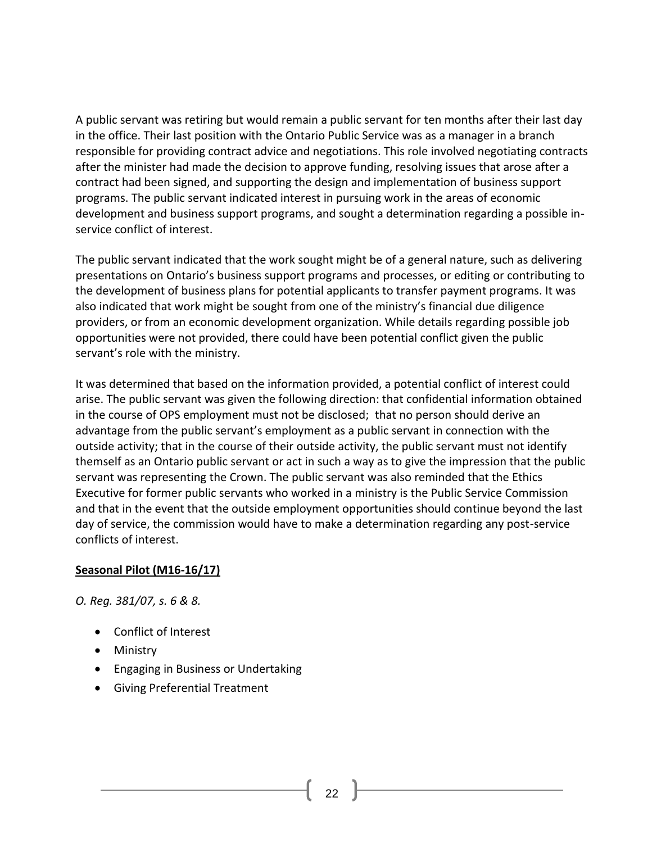A public servant was retiring but would remain a public servant for ten months after their last day in the office. Their last position with the Ontario Public Service was as a manager in a branch responsible for providing contract advice and negotiations. This role involved negotiating contracts after the minister had made the decision to approve funding, resolving issues that arose after a contract had been signed, and supporting the design and implementation of business support programs. The public servant indicated interest in pursuing work in the areas of economic development and business support programs, and sought a determination regarding a possible inservice conflict of interest.

The public servant indicated that the work sought might be of a general nature, such as delivering presentations on Ontario's business support programs and processes, or editing or contributing to the development of business plans for potential applicants to transfer payment programs. It was also indicated that work might be sought from one of the ministry's financial due diligence providers, or from an economic development organization. While details regarding possible job opportunities were not provided, there could have been potential conflict given the public servant's role with the ministry.

It was determined that based on the information provided, a potential conflict of interest could arise. The public servant was given the following direction: that confidential information obtained in the course of OPS employment must not be disclosed; that no person should derive an advantage from the public servant's employment as a public servant in connection with the outside activity; that in the course of their outside activity, the public servant must not identify themself as an Ontario public servant or act in such a way as to give the impression that the public servant was representing the Crown. The public servant was also reminded that the Ethics Executive for former public servants who worked in a ministry is the Public Service Commission and that in the event that the outside employment opportunities should continue beyond the last day of service, the commission would have to make a determination regarding any post-service conflicts of interest.

### **Seasonal Pilot (M16-16/17)**

*O. Reg. 381/07, s. 6 & 8.*

- [Conflict of Interest](http://www.coicommissioner.gov.on.ca/category/type-of-ethical-matter/conflict-of-interest/)
- [Ministry](http://www.coicommissioner.gov.on.ca/category/source-of-decision/ministry/)
- [Engaging in Business or Undertaking](http://www.coicommissioner.gov.on.ca/category/type-of-rule/engaging-in-business-or-undertaking/)
- [Giving Preferential Treatment](http://www.coicommissioner.gov.on.ca/category/type-of-rule/giving-preferential-treatment/)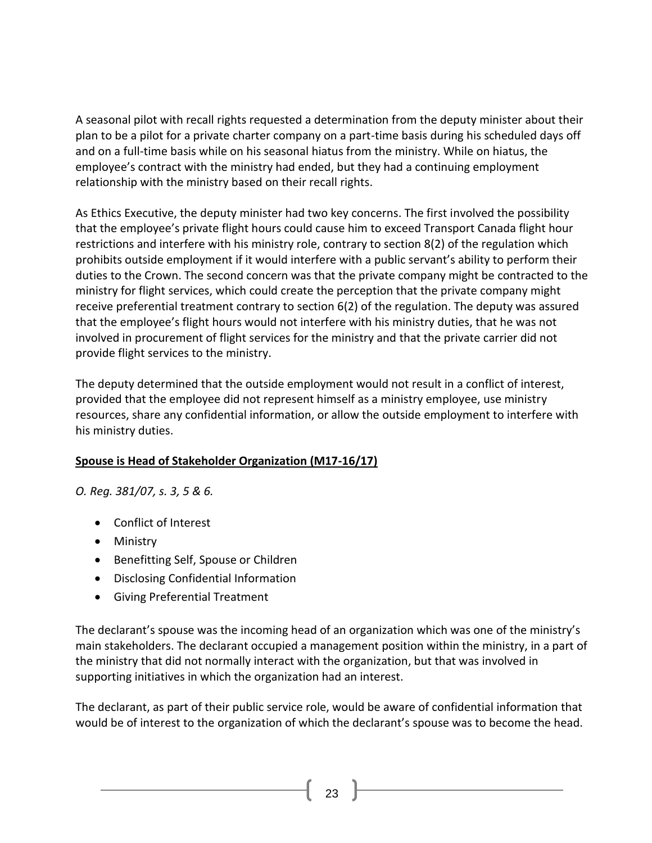A seasonal pilot with recall rights requested a determination from the deputy minister about their plan to be a pilot for a private charter company on a part-time basis during his scheduled days off and on a full-time basis while on his seasonal hiatus from the ministry. While on hiatus, the employee's contract with the ministry had ended, but they had a continuing employment relationship with the ministry based on their recall rights.

As Ethics Executive, the deputy minister had two key concerns. The first involved the possibility that the employee's private flight hours could cause him to exceed Transport Canada flight hour restrictions and interfere with his ministry role, contrary to section 8(2) of the regulation which prohibits outside employment if it would interfere with a public servant's ability to perform their duties to the Crown. The second concern was that the private company might be contracted to the ministry for flight services, which could create the perception that the private company might receive preferential treatment contrary to section 6(2) of the regulation. The deputy was assured that the employee's flight hours would not interfere with his ministry duties, that he was not involved in procurement of flight services for the ministry and that the private carrier did not provide flight services to the ministry.

The deputy determined that the outside employment would not result in a conflict of interest, provided that the employee did not represent himself as a ministry employee, use ministry resources, share any confidential information, or allow the outside employment to interfere with his ministry duties.

# **Spouse is Head of Stakeholder Organization (M17-16/17)**

*O. Reg. 381/07, s. 3, 5 & 6.*

- [Conflict of Interest](http://www.coicommissioner.gov.on.ca/category/type-of-ethical-matter/conflict-of-interest/)
- [Ministry](http://www.coicommissioner.gov.on.ca/category/source-of-decision/ministry/)
- [Benefitting Self, Spouse or Children](http://www.coicommissioner.gov.on.ca/category/type-of-rule/benefitting-self-spouse-or-children/)
- [Disclosing Confidential Information](http://www.coicommissioner.gov.on.ca/category/type-of-rule/disclosing-confidential-information/)
- [Giving Preferential Treatment](http://www.coicommissioner.gov.on.ca/category/type-of-rule/giving-preferential-treatment/)

The declarant's spouse was the incoming head of an organization which was one of the ministry's main stakeholders. The declarant occupied a management position within the ministry, in a part of the ministry that did not normally interact with the organization, but that was involved in supporting initiatives in which the organization had an interest.

The declarant, as part of their public service role, would be aware of confidential information that would be of interest to the organization of which the declarant's spouse was to become the head.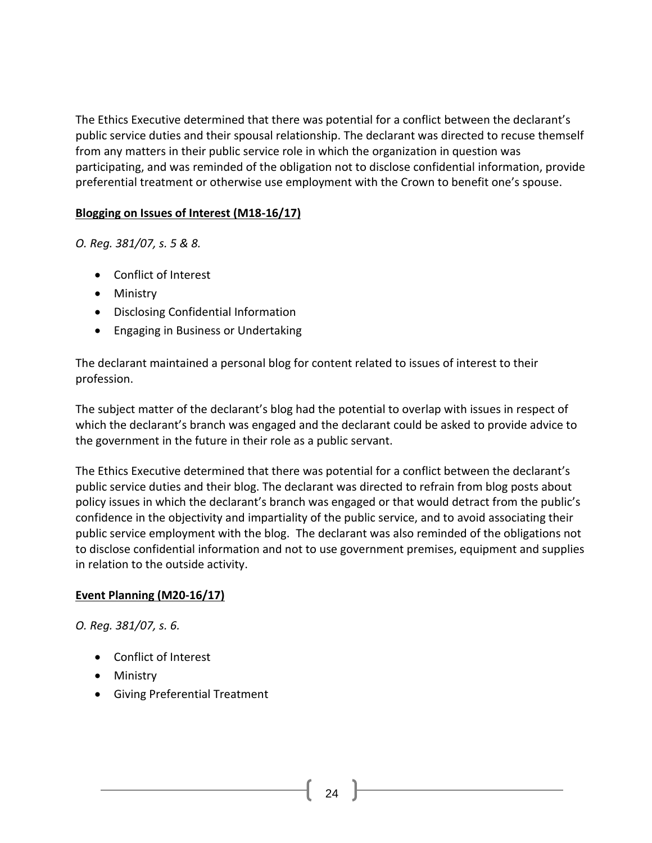The Ethics Executive determined that there was potential for a conflict between the declarant's public service duties and their spousal relationship. The declarant was directed to recuse themself from any matters in their public service role in which the organization in question was participating, and was reminded of the obligation not to disclose confidential information, provide preferential treatment or otherwise use employment with the Crown to benefit one's spouse.

### **Blogging on Issues of Interest (M18-16/17)**

*O. Reg. 381/07, s. 5 & 8.*

- [Conflict of Interest](http://www.coicommissioner.gov.on.ca/category/type-of-ethical-matter/conflict-of-interest/)
- [Ministry](http://www.coicommissioner.gov.on.ca/category/source-of-decision/ministry/)
- [Disclosing Confidential Information](http://www.coicommissioner.gov.on.ca/category/type-of-rule/disclosing-confidential-information/)
- [Engaging in Business or Undertaking](http://www.coicommissioner.gov.on.ca/category/type-of-rule/engaging-in-business-or-undertaking/)

The declarant maintained a personal blog for content related to issues of interest to their profession.

The subject matter of the declarant's blog had the potential to overlap with issues in respect of which the declarant's branch was engaged and the declarant could be asked to provide advice to the government in the future in their role as a public servant.

The Ethics Executive determined that there was potential for a conflict between the declarant's public service duties and their blog. The declarant was directed to refrain from blog posts about policy issues in which the declarant's branch was engaged or that would detract from the public's confidence in the objectivity and impartiality of the public service, and to avoid associating their public service employment with the blog. The declarant was also reminded of the obligations not to disclose confidential information and not to use government premises, equipment and supplies in relation to the outside activity.

# **Event Planning (M20-16/17)**

*O. Reg. 381/07, s. 6.*

- [Conflict of Interest](http://www.coicommissioner.gov.on.ca/category/type-of-ethical-matter/conflict-of-interest/)
- [Ministry](http://www.coicommissioner.gov.on.ca/category/source-of-decision/ministry/)
- [Giving Preferential Treatment](http://www.coicommissioner.gov.on.ca/category/type-of-rule/giving-preferential-treatment/)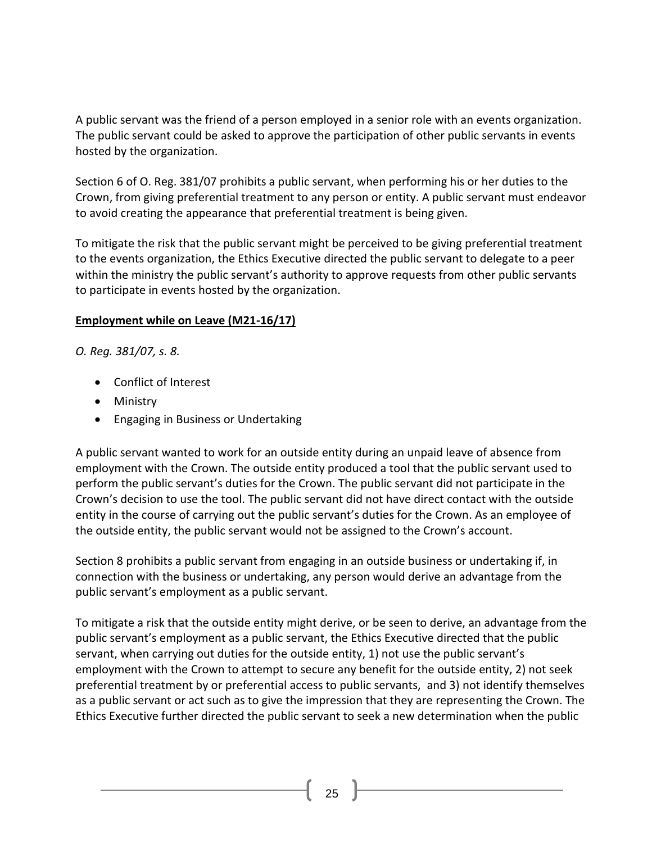A public servant was the friend of a person employed in a senior role with an events organization. The public servant could be asked to approve the participation of other public servants in events hosted by the organization.

Section 6 of O. Reg. 381/07 prohibits a public servant, when performing his or her duties to the Crown, from giving preferential treatment to any person or entity. A public servant must endeavor to avoid creating the appearance that preferential treatment is being given.

To mitigate the risk that the public servant might be perceived to be giving preferential treatment to the events organization, the Ethics Executive directed the public servant to delegate to a peer within the ministry the public servant's authority to approve requests from other public servants to participate in events hosted by the organization.

### **Employment while on Leave (M21-16/17)**

*O. Reg. 381/07, s. 8.*

- [Conflict of Interest](http://www.coicommissioner.gov.on.ca/category/type-of-ethical-matter/conflict-of-interest/)
- [Ministry](http://www.coicommissioner.gov.on.ca/category/source-of-decision/ministry/)
- [Engaging in Business or Undertaking](http://www.coicommissioner.gov.on.ca/category/type-of-rule/engaging-in-business-or-undertaking/)

A public servant wanted to work for an outside entity during an unpaid leave of absence from employment with the Crown. The outside entity produced a tool that the public servant used to perform the public servant's duties for the Crown. The public servant did not participate in the Crown's decision to use the tool. The public servant did not have direct contact with the outside entity in the course of carrying out the public servant's duties for the Crown. As an employee of the outside entity, the public servant would not be assigned to the Crown's account.

Section 8 prohibits a public servant from engaging in an outside business or undertaking if, in connection with the business or undertaking, any person would derive an advantage from the public servant's employment as a public servant.

To mitigate a risk that the outside entity might derive, or be seen to derive, an advantage from the public servant's employment as a public servant, the Ethics Executive directed that the public servant, when carrying out duties for the outside entity, 1) not use the public servant's employment with the Crown to attempt to secure any benefit for the outside entity, 2) not seek preferential treatment by or preferential access to public servants, and 3) not identify themselves as a public servant or act such as to give the impression that they are representing the Crown. The Ethics Executive further directed the public servant to seek a new determination when the public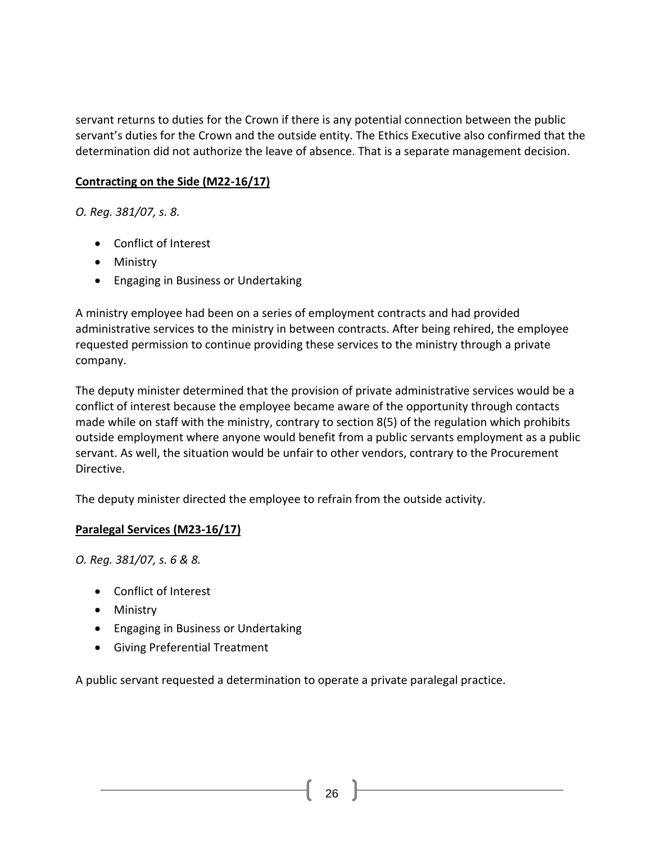servant returns to duties for the Crown if there is any potential connection between the public servant's duties for the Crown and the outside entity. The Ethics Executive also confirmed that the determination did not authorize the leave of absence. That is a separate management decision.

### **Contracting on the Side (M22-16/17)**

*O. Reg. 381/07, s. 8.*

- [Conflict of Interest](http://www.coicommissioner.gov.on.ca/category/type-of-ethical-matter/conflict-of-interest/)
- [Ministry](http://www.coicommissioner.gov.on.ca/category/source-of-decision/ministry/)
- [Engaging in Business or Undertaking](http://www.coicommissioner.gov.on.ca/category/type-of-rule/engaging-in-business-or-undertaking/)

A ministry employee had been on a series of employment contracts and had provided administrative services to the ministry in between contracts. After being rehired, the employee requested permission to continue providing these services to the ministry through a private company.

The deputy minister determined that the provision of private administrative services would be a conflict of interest because the employee became aware of the opportunity through contacts made while on staff with the ministry, contrary to section 8(5) of the regulation which prohibits outside employment where anyone would benefit from a public servants employment as a public servant. As well, the situation would be unfair to other vendors, contrary to the Procurement Directive.

The deputy minister directed the employee to refrain from the outside activity.

# **Paralegal Services (M23-16/17)**

*O. Reg. 381/07, s. 6 & 8.*

- [Conflict of Interest](http://www.coicommissioner.gov.on.ca/category/type-of-ethical-matter/conflict-of-interest/)
- [Ministry](http://www.coicommissioner.gov.on.ca/category/source-of-decision/ministry/)
- [Engaging in Business or Undertaking](http://www.coicommissioner.gov.on.ca/category/type-of-rule/engaging-in-business-or-undertaking/)
- [Giving Preferential Treatment](http://www.coicommissioner.gov.on.ca/category/type-of-rule/giving-preferential-treatment/)

A public servant requested a determination to operate a private paralegal practice.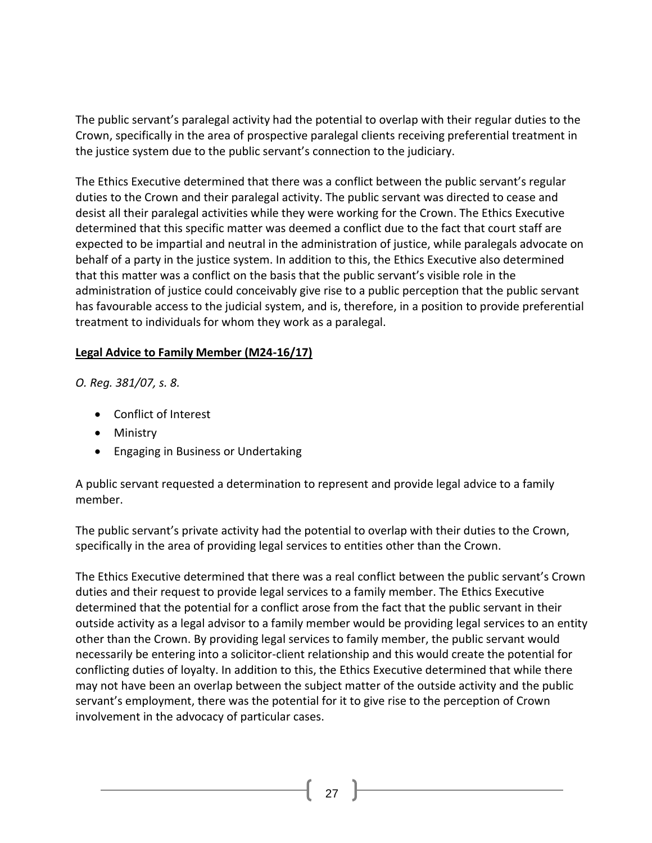The public servant's paralegal activity had the potential to overlap with their regular duties to the Crown, specifically in the area of prospective paralegal clients receiving preferential treatment in the justice system due to the public servant's connection to the judiciary.

The Ethics Executive determined that there was a conflict between the public servant's regular duties to the Crown and their paralegal activity. The public servant was directed to cease and desist all their paralegal activities while they were working for the Crown. The Ethics Executive determined that this specific matter was deemed a conflict due to the fact that court staff are expected to be impartial and neutral in the administration of justice, while paralegals advocate on behalf of a party in the justice system. In addition to this, the Ethics Executive also determined that this matter was a conflict on the basis that the public servant's visible role in the administration of justice could conceivably give rise to a public perception that the public servant has favourable access to the judicial system, and is, therefore, in a position to provide preferential treatment to individuals for whom they work as a paralegal.

### **Legal Advice to Family Member (M24-16/17)**

*O. Reg. 381/07, s. 8.*

- [Conflict of Interest](http://www.coicommissioner.gov.on.ca/category/type-of-ethical-matter/conflict-of-interest/)
- [Ministry](http://www.coicommissioner.gov.on.ca/category/source-of-decision/ministry/)
- [Engaging in Business or Undertaking](http://www.coicommissioner.gov.on.ca/category/type-of-rule/engaging-in-business-or-undertaking/)

A public servant requested a determination to represent and provide legal advice to a family member.

The public servant's private activity had the potential to overlap with their duties to the Crown, specifically in the area of providing legal services to entities other than the Crown.

The Ethics Executive determined that there was a real conflict between the public servant's Crown duties and their request to provide legal services to a family member. The Ethics Executive determined that the potential for a conflict arose from the fact that the public servant in their outside activity as a legal advisor to a family member would be providing legal services to an entity other than the Crown. By providing legal services to family member, the public servant would necessarily be entering into a solicitor-client relationship and this would create the potential for conflicting duties of loyalty. In addition to this, the Ethics Executive determined that while there may not have been an overlap between the subject matter of the outside activity and the public servant's employment, there was the potential for it to give rise to the perception of Crown involvement in the advocacy of particular cases.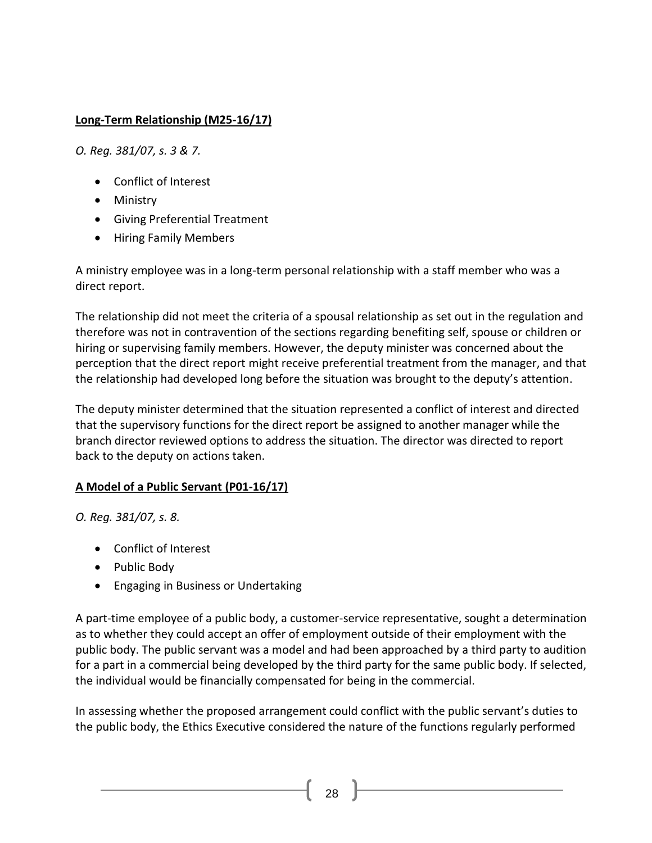# **Long-Term Relationship (M25-16/17)**

*O. Reg. 381/07, s. 3 & 7.*

- [Conflict of Interest](http://www.coicommissioner.gov.on.ca/category/type-of-ethical-matter/conflict-of-interest/)
- [Ministry](http://www.coicommissioner.gov.on.ca/category/source-of-decision/ministry/)
- [Giving Preferential Treatment](http://www.coicommissioner.gov.on.ca/category/type-of-rule/giving-preferential-treatment/)
- [Hiring Family Members](http://www.coicommissioner.gov.on.ca/category/type-of-rule/hiring-family-members/)

A ministry employee was in a long-term personal relationship with a staff member who was a direct report.

The relationship did not meet the criteria of a spousal relationship as set out in the regulation and therefore was not in contravention of the sections regarding benefiting self, spouse or children or hiring or supervising family members. However, the deputy minister was concerned about the perception that the direct report might receive preferential treatment from the manager, and that the relationship had developed long before the situation was brought to the deputy's attention.

The deputy minister determined that the situation represented a conflict of interest and directed that the supervisory functions for the direct report be assigned to another manager while the branch director reviewed options to address the situation. The director was directed to report back to the deputy on actions taken.

### **A Model of a Public Servant (P01-16/17)**

*O. Reg. 381/07, s. 8.*

- [Conflict of Interest](http://www.coicommissioner.gov.on.ca/category/type-of-ethical-matter/conflict-of-interest/)
- [Public Body](http://www.coicommissioner.gov.on.ca/category/source-of-decision/public-body/)
- [Engaging in Business or Undertaking](http://www.coicommissioner.gov.on.ca/category/type-of-rule/engaging-in-business-or-undertaking/)

A part-time employee of a public body, a customer-service representative, sought a determination as to whether they could accept an offer of employment outside of their employment with the public body. The public servant was a model and had been approached by a third party to audition for a part in a commercial being developed by the third party for the same public body. If selected, the individual would be financially compensated for being in the commercial.

In assessing whether the proposed arrangement could conflict with the public servant's duties to the public body, the Ethics Executive considered the nature of the functions regularly performed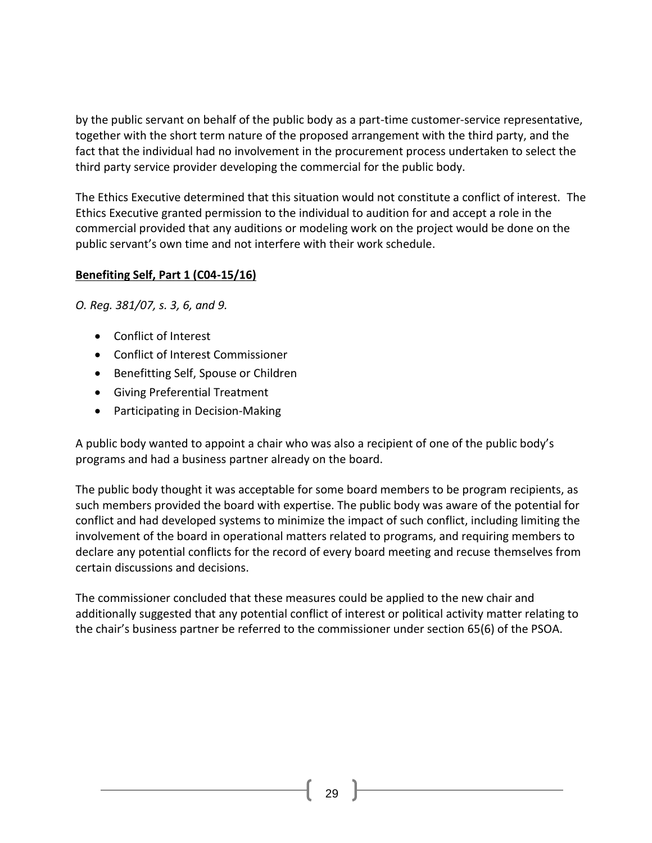by the public servant on behalf of the public body as a part-time customer-service representative, together with the short term nature of the proposed arrangement with the third party, and the fact that the individual had no involvement in the procurement process undertaken to select the third party service provider developing the commercial for the public body.

The Ethics Executive determined that this situation would not constitute a conflict of interest. The Ethics Executive granted permission to the individual to audition for and accept a role in the commercial provided that any auditions or modeling work on the project would be done on the public servant's own time and not interfere with their work schedule.

# **Benefiting Self, Part 1 (C04-15/16)**

*O. Reg. 381/07, s. 3, 6, and 9.*

- [Conflict of Interest](http://www.coicommissioner.gov.on.ca/category/type-of-ethical-matter/conflict-of-interest/)
- [Conflict of Interest Commissioner](http://www.coicommissioner.gov.on.ca/category/source-of-decision/conflict-of-interest-commissioner/)
- [Benefitting Self, Spouse or Children](http://www.coicommissioner.gov.on.ca/category/type-of-rule/benefitting-self-spouse-or-children/)
- [Giving Preferential Treatment](http://www.coicommissioner.gov.on.ca/category/type-of-rule/giving-preferential-treatment/)
- [Participating in Decision-Making](http://www.coicommissioner.gov.on.ca/category/type-of-rule/participating-in-decision-making/)

A public body wanted to appoint a chair who was also a recipient of one of the public body's programs and had a business partner already on the board.

The public body thought it was acceptable for some board members to be program recipients, as such members provided the board with expertise. The public body was aware of the potential for conflict and had developed systems to minimize the impact of such conflict, including limiting the involvement of the board in operational matters related to programs, and requiring members to declare any potential conflicts for the record of every board meeting and recuse themselves from certain discussions and decisions.

The commissioner concluded that these measures could be applied to the new chair and additionally suggested that any potential conflict of interest or political activity matter relating to the chair's business partner be referred to the commissioner under section 65(6) of the PSOA.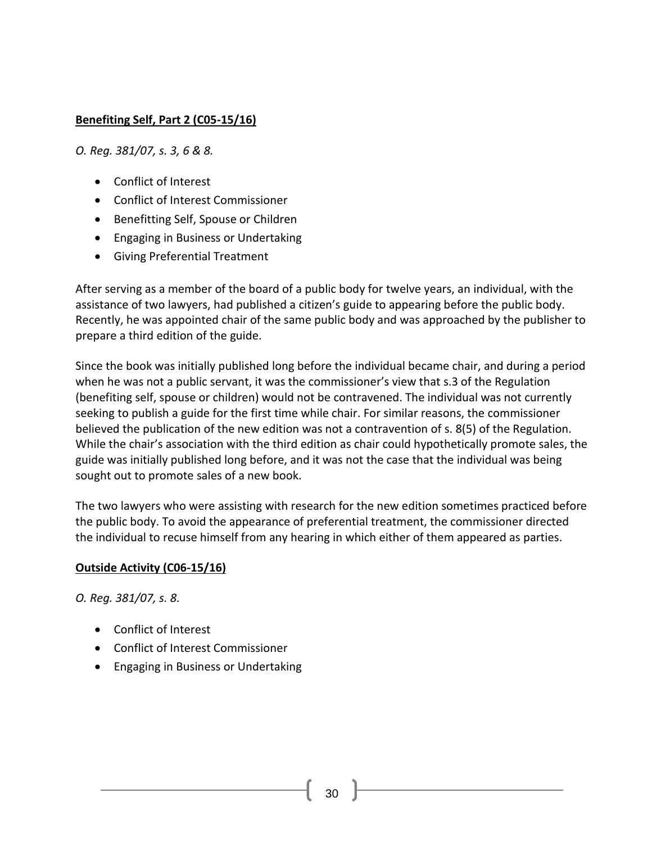# **Benefiting Self, Part 2 (C05-15/16)**

*O. Reg. 381/07, s. 3, 6 & 8.*

- [Conflict of Interest](http://www.coicommissioner.gov.on.ca/category/type-of-ethical-matter/conflict-of-interest/)
- [Conflict of Interest Commissioner](http://www.coicommissioner.gov.on.ca/category/source-of-decision/conflict-of-interest-commissioner/)
- [Benefitting Self, Spouse or Children](http://www.coicommissioner.gov.on.ca/category/type-of-rule/benefitting-self-spouse-or-children/)
- [Engaging in Business or Undertaking](http://www.coicommissioner.gov.on.ca/category/type-of-rule/engaging-in-business-or-undertaking/)
- [Giving Preferential Treatment](http://www.coicommissioner.gov.on.ca/category/type-of-rule/giving-preferential-treatment/)

After serving as a member of the board of a public body for twelve years, an individual, with the assistance of two lawyers, had published a citizen's guide to appearing before the public body. Recently, he was appointed chair of the same public body and was approached by the publisher to prepare a third edition of the guide.

Since the book was initially published long before the individual became chair, and during a period when he was not a public servant, it was the commissioner's view that s.3 of the Regulation (benefiting self, spouse or children) would not be contravened. The individual was not currently seeking to publish a guide for the first time while chair. For similar reasons, the commissioner believed the publication of the new edition was not a contravention of s. 8(5) of the Regulation. While the chair's association with the third edition as chair could hypothetically promote sales, the guide was initially published long before, and it was not the case that the individual was being sought out to promote sales of a new book.

The two lawyers who were assisting with research for the new edition sometimes practiced before the public body. To avoid the appearance of preferential treatment, the commissioner directed the individual to recuse himself from any hearing in which either of them appeared as parties.

### **Outside Activity (C06-15/16)**

*O. Reg. 381/07, s. 8.*

- [Conflict of Interest](http://www.coicommissioner.gov.on.ca/category/type-of-ethical-matter/conflict-of-interest/)
- [Conflict of Interest Commissioner](http://www.coicommissioner.gov.on.ca/category/source-of-decision/conflict-of-interest-commissioner/)
- [Engaging in Business or Undertaking](http://www.coicommissioner.gov.on.ca/category/type-of-rule/engaging-in-business-or-undertaking/)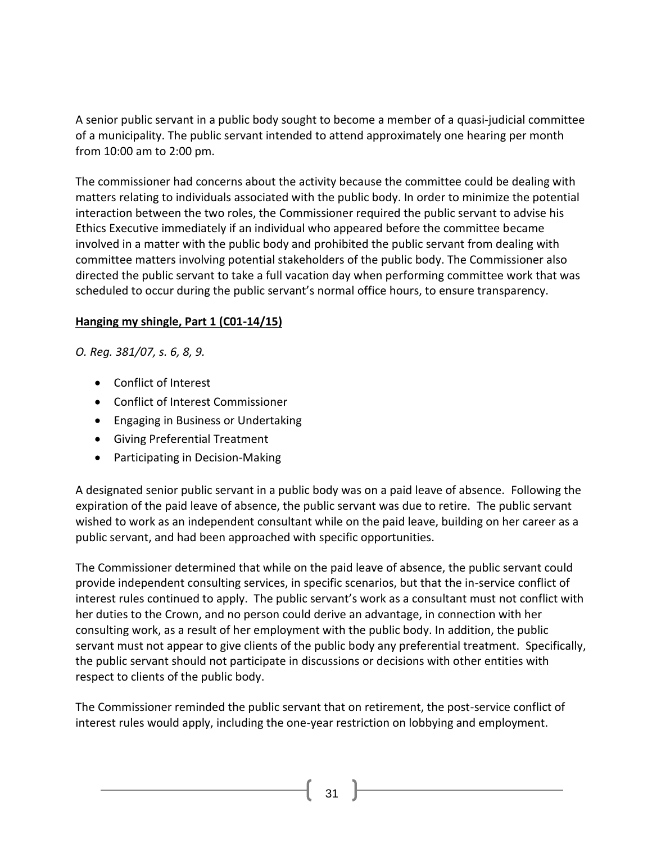A senior public servant in a public body sought to become a member of a quasi-judicial committee of a municipality. The public servant intended to attend approximately one hearing per month from 10:00 am to 2:00 pm.

The commissioner had concerns about the activity because the committee could be dealing with matters relating to individuals associated with the public body. In order to minimize the potential interaction between the two roles, the Commissioner required the public servant to advise his Ethics Executive immediately if an individual who appeared before the committee became involved in a matter with the public body and prohibited the public servant from dealing with committee matters involving potential stakeholders of the public body. The Commissioner also directed the public servant to take a full vacation day when performing committee work that was scheduled to occur during the public servant's normal office hours, to ensure transparency.

# **Hanging my shingle, Part 1 (C01-14/15)**

*O. Reg. 381/07, s. 6, 8, 9.*

- [Conflict of Interest](http://www.coicommissioner.gov.on.ca/category/type-of-ethical-matter/conflict-of-interest/)
- [Conflict of Interest Commissioner](http://www.coicommissioner.gov.on.ca/category/source-of-decision/conflict-of-interest-commissioner/)
- [Engaging in Business or Undertaking](http://www.coicommissioner.gov.on.ca/category/type-of-rule/engaging-in-business-or-undertaking/)
- [Giving Preferential Treatment](http://www.coicommissioner.gov.on.ca/category/type-of-rule/giving-preferential-treatment/)
- [Participating in Decision-Making](http://www.coicommissioner.gov.on.ca/category/type-of-rule/participating-in-decision-making/)

A designated senior public servant in a public body was on a paid leave of absence. Following the expiration of the paid leave of absence, the public servant was due to retire. The public servant wished to work as an independent consultant while on the paid leave, building on her career as a public servant, and had been approached with specific opportunities.

The Commissioner determined that while on the paid leave of absence, the public servant could provide independent consulting services, in specific scenarios, but that the in-service conflict of interest rules continued to apply. The public servant's work as a consultant must not conflict with her duties to the Crown, and no person could derive an advantage, in connection with her consulting work, as a result of her employment with the public body. In addition, the public servant must not appear to give clients of the public body any preferential treatment. Specifically, the public servant should not participate in discussions or decisions with other entities with respect to clients of the public body.

The Commissioner reminded the public servant that on retirement, the post-service conflict of interest rules would apply, including the one-year restriction on lobbying and employment.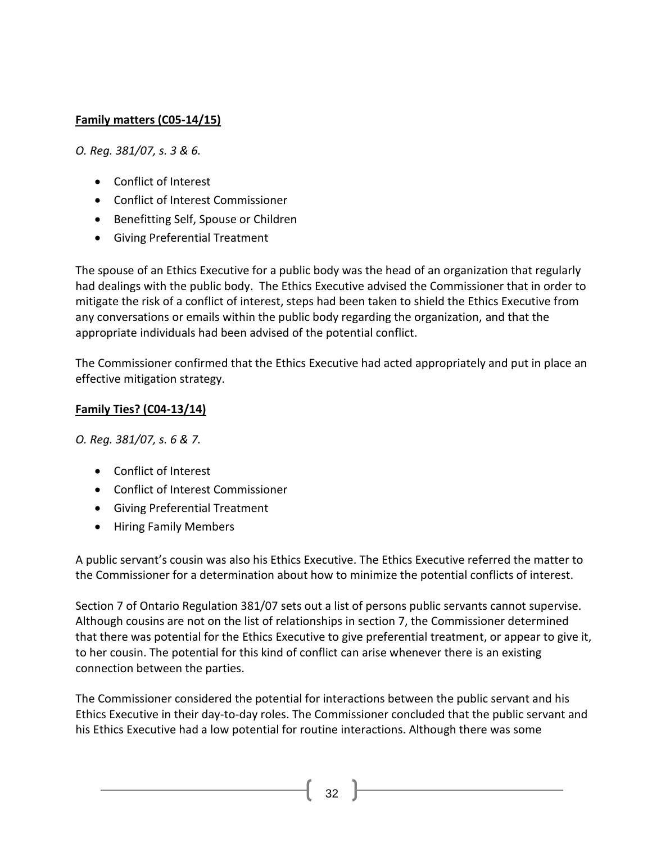# **Family matters (C05-14/15)**

*O. Reg. 381/07, s. 3 & 6.*

- [Conflict of Interest](http://www.coicommissioner.gov.on.ca/category/type-of-ethical-matter/conflict-of-interest/)
- [Conflict of Interest Commissioner](http://www.coicommissioner.gov.on.ca/category/source-of-decision/conflict-of-interest-commissioner/)
- [Benefitting Self, Spouse or Children](http://www.coicommissioner.gov.on.ca/category/type-of-rule/benefitting-self-spouse-or-children/)
- [Giving Preferential Treatment](http://www.coicommissioner.gov.on.ca/category/type-of-rule/giving-preferential-treatment/)

The spouse of an Ethics Executive for a public body was the head of an organization that regularly had dealings with the public body. The Ethics Executive advised the Commissioner that in order to mitigate the risk of a conflict of interest, steps had been taken to shield the Ethics Executive from any conversations or emails within the public body regarding the organization, and that the appropriate individuals had been advised of the potential conflict.

The Commissioner confirmed that the Ethics Executive had acted appropriately and put in place an effective mitigation strategy.

# **Family Ties? (C04-13/14)**

*O. Reg. 381/07, s. 6 & 7.*

- [Conflict of Interest](http://www.coicommissioner.gov.on.ca/category/type-of-ethical-matter/conflict-of-interest/)
- [Conflict of Interest Commissioner](http://www.coicommissioner.gov.on.ca/category/source-of-decision/conflict-of-interest-commissioner/)
- [Giving Preferential Treatment](http://www.coicommissioner.gov.on.ca/category/type-of-rule/giving-preferential-treatment/)
- [Hiring Family Members](http://www.coicommissioner.gov.on.ca/category/type-of-rule/hiring-family-members/)

A public servant's cousin was also his Ethics Executive. The Ethics Executive referred the matter to the Commissioner for a determination about how to minimize the potential conflicts of interest.

Section 7 of Ontario Regulation 381/07 sets out a list of persons public servants cannot supervise. Although cousins are not on the list of relationships in section 7, the Commissioner determined that there was potential for the Ethics Executive to give preferential treatment, or appear to give it, to her cousin. The potential for this kind of conflict can arise whenever there is an existing connection between the parties.

The Commissioner considered the potential for interactions between the public servant and his Ethics Executive in their day-to-day roles. The Commissioner concluded that the public servant and his Ethics Executive had a low potential for routine interactions. Although there was some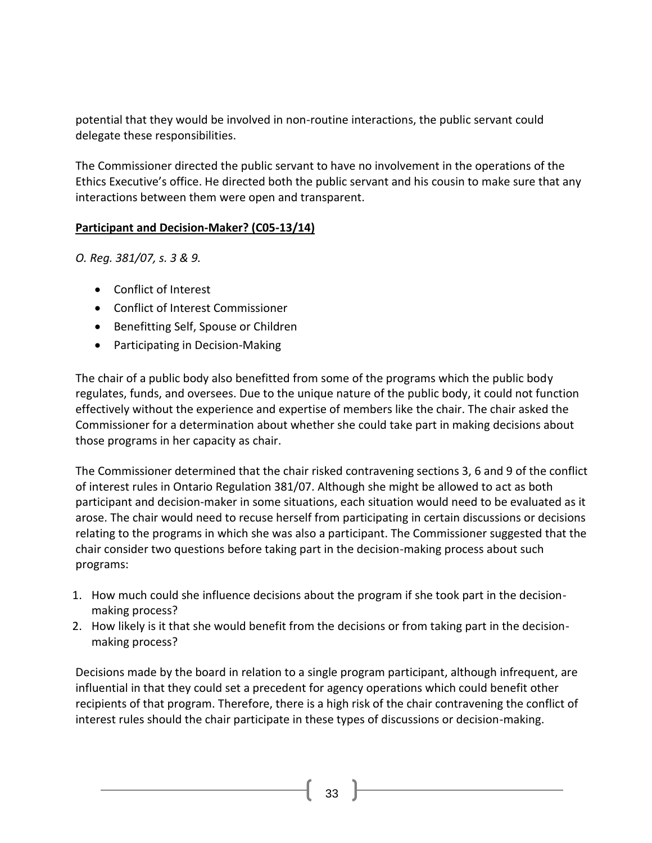potential that they would be involved in non-routine interactions, the public servant could delegate these responsibilities.

The Commissioner directed the public servant to have no involvement in the operations of the Ethics Executive's office. He directed both the public servant and his cousin to make sure that any interactions between them were open and transparent.

# **Participant and Decision-Maker? (C05-13/14)**

*O. Reg. 381/07, s. 3 & 9.*

- [Conflict of Interest](http://www.coicommissioner.gov.on.ca/category/type-of-ethical-matter/conflict-of-interest/)
- [Conflict of Interest Commissioner](http://www.coicommissioner.gov.on.ca/category/source-of-decision/conflict-of-interest-commissioner/)
- [Benefitting Self, Spouse or Children](http://www.coicommissioner.gov.on.ca/category/type-of-rule/benefitting-self-spouse-or-children/)
- [Participating in Decision-Making](http://www.coicommissioner.gov.on.ca/category/type-of-rule/participating-in-decision-making/)

The chair of a public body also benefitted from some of the programs which the public body regulates, funds, and oversees. Due to the unique nature of the public body, it could not function effectively without the experience and expertise of members like the chair. The chair asked the Commissioner for a determination about whether she could take part in making decisions about those programs in her capacity as chair.

The Commissioner determined that the chair risked contravening sections 3, 6 and 9 of the conflict of interest rules in Ontario Regulation 381/07. Although she might be allowed to act as both participant and decision-maker in some situations, each situation would need to be evaluated as it arose. The chair would need to recuse herself from participating in certain discussions or decisions relating to the programs in which she was also a participant. The Commissioner suggested that the chair consider two questions before taking part in the decision-making process about such programs:

- 1. How much could she influence decisions about the program if she took part in the decisionmaking process?
- 2. How likely is it that she would benefit from the decisions or from taking part in the decisionmaking process?

Decisions made by the board in relation to a single program participant, although infrequent, are influential in that they could set a precedent for agency operations which could benefit other recipients of that program. Therefore, there is a high risk of the chair contravening the conflict of interest rules should the chair participate in these types of discussions or decision-making.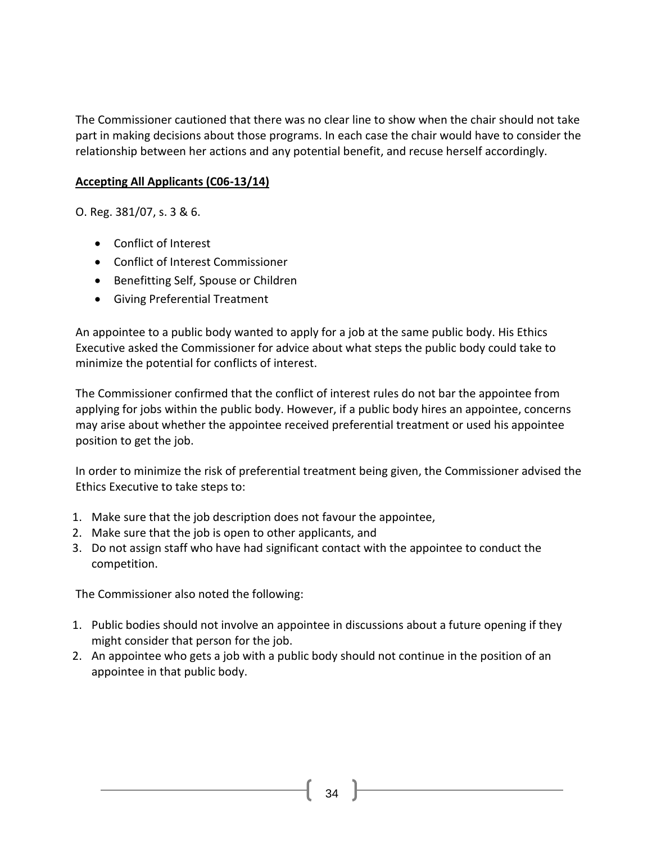The Commissioner cautioned that there was no clear line to show when the chair should not take part in making decisions about those programs. In each case the chair would have to consider the relationship between her actions and any potential benefit, and recuse herself accordingly.

#### **Accepting All Applicants (C06-13/14)**

O. Reg. 381/07, s. 3 & 6.

- [Conflict of Interest](http://www.coicommissioner.gov.on.ca/category/type-of-ethical-matter/conflict-of-interest/)
- [Conflict of Interest Commissioner](http://www.coicommissioner.gov.on.ca/category/source-of-decision/conflict-of-interest-commissioner/)
- [Benefitting Self, Spouse or Children](http://www.coicommissioner.gov.on.ca/category/type-of-rule/benefitting-self-spouse-or-children/)
- [Giving Preferential Treatment](http://www.coicommissioner.gov.on.ca/category/type-of-rule/giving-preferential-treatment/)

An appointee to a public body wanted to apply for a job at the same public body. His Ethics Executive asked the Commissioner for advice about what steps the public body could take to minimize the potential for conflicts of interest.

The Commissioner confirmed that the conflict of interest rules do not bar the appointee from applying for jobs within the public body. However, if a public body hires an appointee, concerns may arise about whether the appointee received preferential treatment or used his appointee position to get the job.

In order to minimize the risk of preferential treatment being given, the Commissioner advised the Ethics Executive to take steps to:

- 1. Make sure that the job description does not favour the appointee,
- 2. Make sure that the job is open to other applicants, and
- 3. Do not assign staff who have had significant contact with the appointee to conduct the competition.

The Commissioner also noted the following:

- 1. Public bodies should not involve an appointee in discussions about a future opening if they might consider that person for the job.
- 2. An appointee who gets a job with a public body should not continue in the position of an appointee in that public body.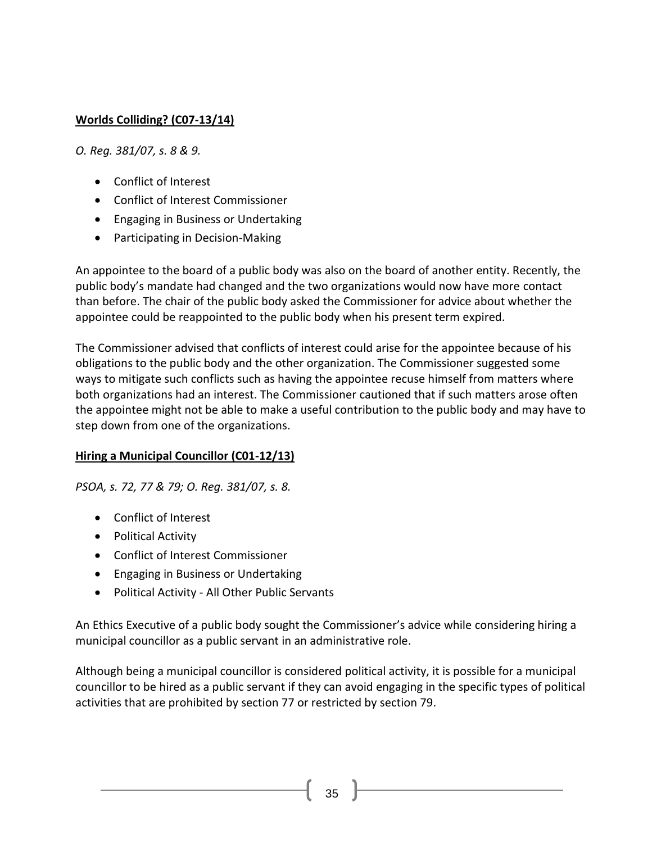# **Worlds Colliding? (C07-13/14)**

*O. Reg. 381/07, s. 8 & 9.*

- [Conflict of Interest](http://www.coicommissioner.gov.on.ca/category/type-of-ethical-matter/conflict-of-interest/)
- [Conflict of Interest Commissioner](http://www.coicommissioner.gov.on.ca/category/source-of-decision/conflict-of-interest-commissioner/)
- [Engaging in Business or Undertaking](http://www.coicommissioner.gov.on.ca/category/type-of-rule/engaging-in-business-or-undertaking/)
- [Participating in Decision-Making](http://www.coicommissioner.gov.on.ca/category/type-of-rule/participating-in-decision-making/)

An appointee to the board of a public body was also on the board of another entity. Recently, the public body's mandate had changed and the two organizations would now have more contact than before. The chair of the public body asked the Commissioner for advice about whether the appointee could be reappointed to the public body when his present term expired.

The Commissioner advised that conflicts of interest could arise for the appointee because of his obligations to the public body and the other organization. The Commissioner suggested some ways to mitigate such conflicts such as having the appointee recuse himself from matters where both organizations had an interest. The Commissioner cautioned that if such matters arose often the appointee might not be able to make a useful contribution to the public body and may have to step down from one of the organizations.

### **Hiring a Municipal Councillor (C01-12/13)**

*PSOA, s. 72, 77 & 79; O. Reg. 381/07, s. 8.*

- [Conflict of Interest](http://www.coicommissioner.gov.on.ca/category/type-of-ethical-matter/conflict-of-interest/)
- [Political Activity](http://www.coicommissioner.gov.on.ca/category/type-of-ethical-matter/political-activity/)
- [Conflict of Interest Commissioner](http://www.coicommissioner.gov.on.ca/category/source-of-decision/conflict-of-interest-commissioner/)
- [Engaging in Business or Undertaking](http://www.coicommissioner.gov.on.ca/category/type-of-rule/engaging-in-business-or-undertaking/)
- Political Activity [All Other Public Servants](http://www.coicommissioner.gov.on.ca/category/type-of-rule/political-activity-all-other-public-servants/)

An Ethics Executive of a public body sought the Commissioner's advice while considering hiring a municipal councillor as a public servant in an administrative role.

Although being a municipal councillor is considered political activity, it is possible for a municipal councillor to be hired as a public servant if they can avoid engaging in the specific types of political activities that are prohibited by section 77 or restricted by section 79.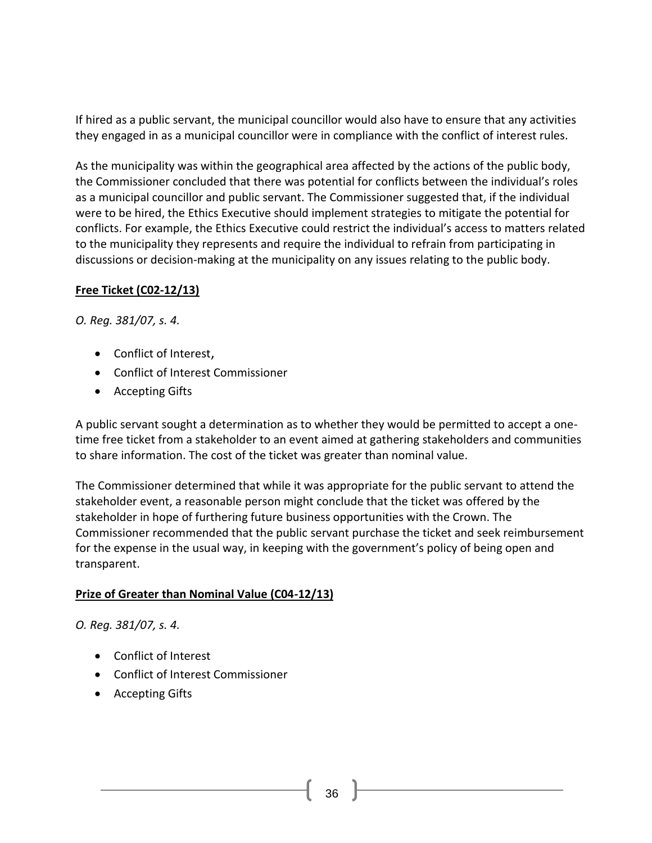If hired as a public servant, the municipal councillor would also have to ensure that any activities they engaged in as a municipal councillor were in compliance with the conflict of interest rules.

As the municipality was within the geographical area affected by the actions of the public body, the Commissioner concluded that there was potential for conflicts between the individual's roles as a municipal councillor and public servant. The Commissioner suggested that, if the individual were to be hired, the Ethics Executive should implement strategies to mitigate the potential for conflicts. For example, the Ethics Executive could restrict the individual's access to matters related to the municipality they represents and require the individual to refrain from participating in discussions or decision-making at the municipality on any issues relating to the public body.

### **Free Ticket (C02-12/13)**

*O. Reg. 381/07, s. 4.*

- [Conflict of Interest](http://www.coicommissioner.gov.on.ca/category/type-of-ethical-matter/conflict-of-interest/),
- [Conflict of Interest Commissioner](http://www.coicommissioner.gov.on.ca/category/source-of-decision/conflict-of-interest-commissioner/)
- [Accepting Gifts](http://www.coicommissioner.gov.on.ca/category/type-of-rule/accepting-gifts/)

A public servant sought a determination as to whether they would be permitted to accept a onetime free ticket from a stakeholder to an event aimed at gathering stakeholders and communities to share information. The cost of the ticket was greater than nominal value.

The Commissioner determined that while it was appropriate for the public servant to attend the stakeholder event, a reasonable person might conclude that the ticket was offered by the stakeholder in hope of furthering future business opportunities with the Crown. The Commissioner recommended that the public servant purchase the ticket and seek reimbursement for the expense in the usual way, in keeping with the government's policy of being open and transparent.

# **Prize of Greater than Nominal Value (C04-12/13)**

*O. Reg. 381/07, s. 4.*

- [Conflict of Interest](http://www.coicommissioner.gov.on.ca/category/type-of-ethical-matter/conflict-of-interest/)
- [Conflict of Interest Commissioner](http://www.coicommissioner.gov.on.ca/category/source-of-decision/conflict-of-interest-commissioner/)
- [Accepting Gifts](http://www.coicommissioner.gov.on.ca/category/type-of-rule/accepting-gifts/)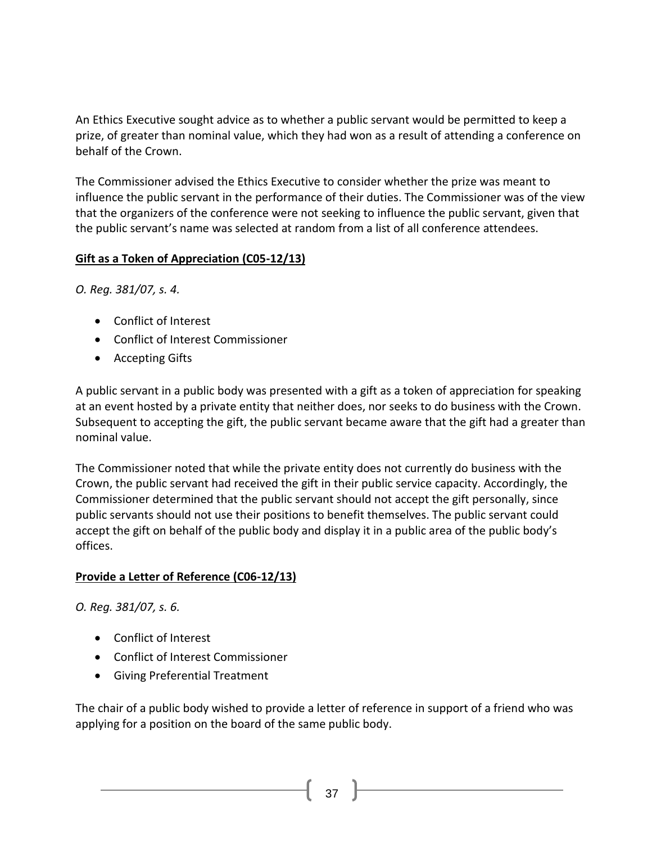An Ethics Executive sought advice as to whether a public servant would be permitted to keep a prize, of greater than nominal value, which they had won as a result of attending a conference on behalf of the Crown.

The Commissioner advised the Ethics Executive to consider whether the prize was meant to influence the public servant in the performance of their duties. The Commissioner was of the view that the organizers of the conference were not seeking to influence the public servant, given that the public servant's name was selected at random from a list of all conference attendees.

### **Gift as a Token of Appreciation (C05-12/13)**

*O. Reg. 381/07, s. 4.*

- [Conflict of Interest](http://www.coicommissioner.gov.on.ca/category/type-of-ethical-matter/conflict-of-interest/)
- [Conflict of Interest Commissioner](http://www.coicommissioner.gov.on.ca/category/source-of-decision/conflict-of-interest-commissioner/)
- [Accepting Gifts](http://www.coicommissioner.gov.on.ca/category/type-of-rule/accepting-gifts/)

A public servant in a public body was presented with a gift as a token of appreciation for speaking at an event hosted by a private entity that neither does, nor seeks to do business with the Crown. Subsequent to accepting the gift, the public servant became aware that the gift had a greater than nominal value.

The Commissioner noted that while the private entity does not currently do business with the Crown, the public servant had received the gift in their public service capacity. Accordingly, the Commissioner determined that the public servant should not accept the gift personally, since public servants should not use their positions to benefit themselves. The public servant could accept the gift on behalf of the public body and display it in a public area of the public body's offices.

#### **Provide a Letter of Reference (C06-12/13)**

*O. Reg. 381/07, s. 6.*

- [Conflict of Interest](http://www.coicommissioner.gov.on.ca/category/type-of-ethical-matter/conflict-of-interest/)
- [Conflict of Interest Commissioner](http://www.coicommissioner.gov.on.ca/category/source-of-decision/conflict-of-interest-commissioner/)
- [Giving Preferential Treatment](http://www.coicommissioner.gov.on.ca/category/type-of-rule/giving-preferential-treatment/)

The chair of a public body wished to provide a letter of reference in support of a friend who was applying for a position on the board of the same public body.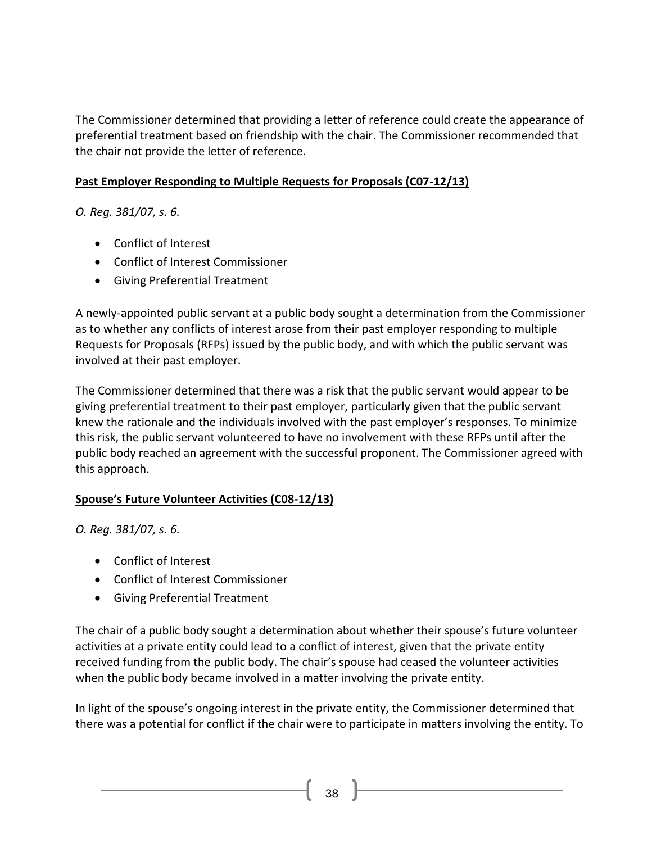The Commissioner determined that providing a letter of reference could create the appearance of preferential treatment based on friendship with the chair. The Commissioner recommended that the chair not provide the letter of reference.

### **Past Employer Responding to Multiple Requests for Proposals (C07-12/13)**

*O. Reg. 381/07, s. 6.*

- [Conflict of Interest](http://www.coicommissioner.gov.on.ca/category/type-of-ethical-matter/conflict-of-interest/)
- [Conflict of Interest Commissioner](http://www.coicommissioner.gov.on.ca/category/source-of-decision/conflict-of-interest-commissioner/)
- [Giving Preferential Treatment](http://www.coicommissioner.gov.on.ca/category/type-of-rule/giving-preferential-treatment/)

A newly-appointed public servant at a public body sought a determination from the Commissioner as to whether any conflicts of interest arose from their past employer responding to multiple Requests for Proposals (RFPs) issued by the public body, and with which the public servant was involved at their past employer.

The Commissioner determined that there was a risk that the public servant would appear to be giving preferential treatment to their past employer, particularly given that the public servant knew the rationale and the individuals involved with the past employer's responses. To minimize this risk, the public servant volunteered to have no involvement with these RFPs until after the public body reached an agreement with the successful proponent. The Commissioner agreed with this approach.

# **Spouse's Future Volunteer Activities (C08-12/13)**

*O. Reg. 381/07, s. 6.*

- [Conflict of Interest](http://www.coicommissioner.gov.on.ca/category/type-of-ethical-matter/conflict-of-interest/)
- [Conflict of Interest Commissioner](http://www.coicommissioner.gov.on.ca/category/source-of-decision/conflict-of-interest-commissioner/)
- [Giving Preferential Treatment](http://www.coicommissioner.gov.on.ca/category/type-of-rule/giving-preferential-treatment/)

The chair of a public body sought a determination about whether their spouse's future volunteer activities at a private entity could lead to a conflict of interest, given that the private entity received funding from the public body. The chair's spouse had ceased the volunteer activities when the public body became involved in a matter involving the private entity.

In light of the spouse's ongoing interest in the private entity, the Commissioner determined that there was a potential for conflict if the chair were to participate in matters involving the entity. To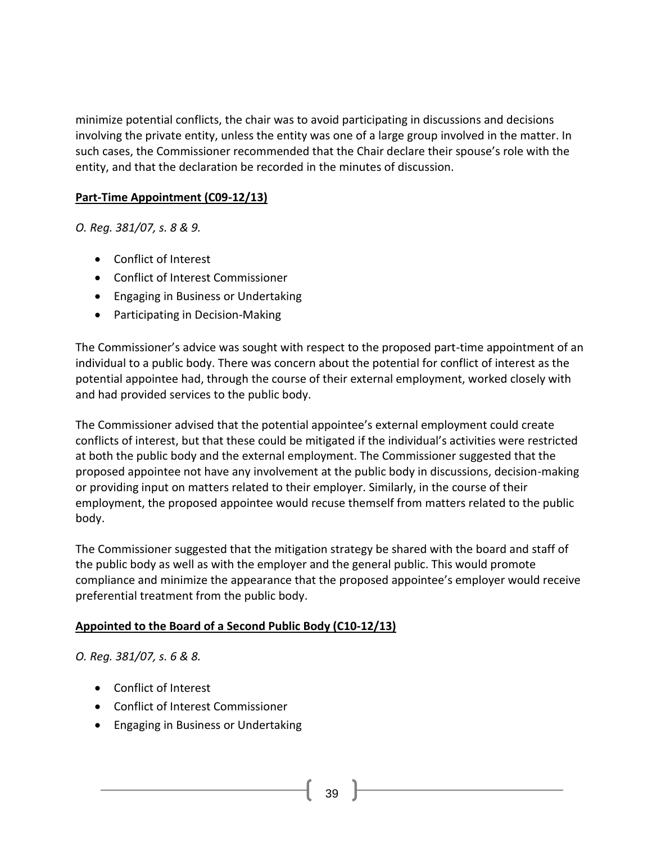minimize potential conflicts, the chair was to avoid participating in discussions and decisions involving the private entity, unless the entity was one of a large group involved in the matter. In such cases, the Commissioner recommended that the Chair declare their spouse's role with the entity, and that the declaration be recorded in the minutes of discussion.

#### **Part-Time Appointment (C09-12/13)**

*O. Reg. 381/07, s. 8 & 9.*

- [Conflict of Interest](http://www.coicommissioner.gov.on.ca/category/type-of-ethical-matter/conflict-of-interest/)
- [Conflict of Interest Commissioner](http://www.coicommissioner.gov.on.ca/category/source-of-decision/conflict-of-interest-commissioner/)
- [Engaging in Business or Undertaking](http://www.coicommissioner.gov.on.ca/category/type-of-rule/engaging-in-business-or-undertaking/)
- [Participating in Decision-Making](http://www.coicommissioner.gov.on.ca/category/type-of-rule/participating-in-decision-making/)

The Commissioner's advice was sought with respect to the proposed part-time appointment of an individual to a public body. There was concern about the potential for conflict of interest as the potential appointee had, through the course of their external employment, worked closely with and had provided services to the public body.

The Commissioner advised that the potential appointee's external employment could create conflicts of interest, but that these could be mitigated if the individual's activities were restricted at both the public body and the external employment. The Commissioner suggested that the proposed appointee not have any involvement at the public body in discussions, decision-making or providing input on matters related to their employer. Similarly, in the course of their employment, the proposed appointee would recuse themself from matters related to the public body.

The Commissioner suggested that the mitigation strategy be shared with the board and staff of the public body as well as with the employer and the general public. This would promote compliance and minimize the appearance that the proposed appointee's employer would receive preferential treatment from the public body.

# **Appointed to the Board of a Second Public Body (C10-12/13)**

*O. Reg. 381/07, s. 6 & 8.*

- [Conflict of Interest](http://www.coicommissioner.gov.on.ca/category/type-of-ethical-matter/conflict-of-interest/)
- [Conflict of Interest Commissioner](http://www.coicommissioner.gov.on.ca/category/source-of-decision/conflict-of-interest-commissioner/)
- [Engaging in Business or Undertaking](http://www.coicommissioner.gov.on.ca/category/type-of-rule/engaging-in-business-or-undertaking/)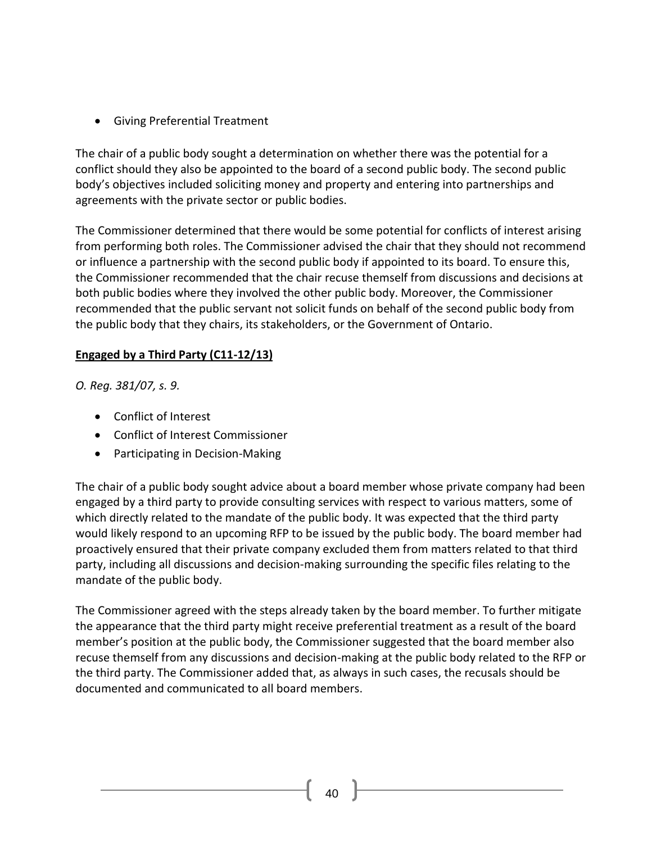• [Giving Preferential Treatment](http://www.coicommissioner.gov.on.ca/category/type-of-rule/giving-preferential-treatment/)

The chair of a public body sought a determination on whether there was the potential for a conflict should they also be appointed to the board of a second public body. The second public body's objectives included soliciting money and property and entering into partnerships and agreements with the private sector or public bodies.

The Commissioner determined that there would be some potential for conflicts of interest arising from performing both roles. The Commissioner advised the chair that they should not recommend or influence a partnership with the second public body if appointed to its board. To ensure this, the Commissioner recommended that the chair recuse themself from discussions and decisions at both public bodies where they involved the other public body. Moreover, the Commissioner recommended that the public servant not solicit funds on behalf of the second public body from the public body that they chairs, its stakeholders, or the Government of Ontario.

### **Engaged by a Third Party (C11-12/13)**

*O. Reg. 381/07, s. 9.*

- [Conflict of Interest](http://www.coicommissioner.gov.on.ca/category/type-of-ethical-matter/conflict-of-interest/)
- [Conflict of Interest Commissioner](http://www.coicommissioner.gov.on.ca/category/source-of-decision/conflict-of-interest-commissioner/)
- [Participating in Decision-Making](http://www.coicommissioner.gov.on.ca/category/type-of-rule/participating-in-decision-making/)

The chair of a public body sought advice about a board member whose private company had been engaged by a third party to provide consulting services with respect to various matters, some of which directly related to the mandate of the public body. It was expected that the third party would likely respond to an upcoming RFP to be issued by the public body. The board member had proactively ensured that their private company excluded them from matters related to that third party, including all discussions and decision-making surrounding the specific files relating to the mandate of the public body.

The Commissioner agreed with the steps already taken by the board member. To further mitigate the appearance that the third party might receive preferential treatment as a result of the board member's position at the public body, the Commissioner suggested that the board member also recuse themself from any discussions and decision-making at the public body related to the RFP or the third party. The Commissioner added that, as always in such cases, the recusals should be documented and communicated to all board members.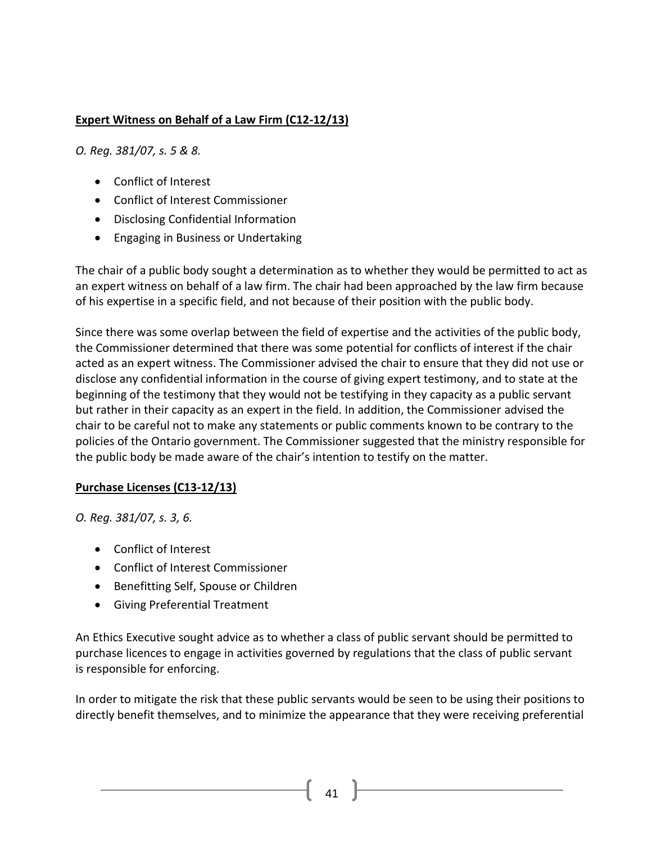## **Expert Witness on Behalf of a Law Firm (C12-12/13)**

*O. Reg. 381/07, s. 5 & 8.*

- [Conflict of Interest](http://www.coicommissioner.gov.on.ca/category/type-of-ethical-matter/conflict-of-interest/)
- [Conflict of Interest Commissioner](http://www.coicommissioner.gov.on.ca/category/source-of-decision/conflict-of-interest-commissioner/)
- [Disclosing Confidential Information](http://www.coicommissioner.gov.on.ca/category/type-of-rule/disclosing-confidential-information/)
- [Engaging in Business or Undertaking](http://www.coicommissioner.gov.on.ca/category/type-of-rule/engaging-in-business-or-undertaking/)

The chair of a public body sought a determination as to whether they would be permitted to act as an expert witness on behalf of a law firm. The chair had been approached by the law firm because of his expertise in a specific field, and not because of their position with the public body.

Since there was some overlap between the field of expertise and the activities of the public body, the Commissioner determined that there was some potential for conflicts of interest if the chair acted as an expert witness. The Commissioner advised the chair to ensure that they did not use or disclose any confidential information in the course of giving expert testimony, and to state at the beginning of the testimony that they would not be testifying in they capacity as a public servant but rather in their capacity as an expert in the field. In addition, the Commissioner advised the chair to be careful not to make any statements or public comments known to be contrary to the policies of the Ontario government. The Commissioner suggested that the ministry responsible for the public body be made aware of the chair's intention to testify on the matter.

#### **Purchase Licenses (C13-12/13)**

*O. Reg. 381/07, s. 3, 6.*

- [Conflict of Interest](http://www.coicommissioner.gov.on.ca/category/type-of-ethical-matter/conflict-of-interest/)
- [Conflict of Interest Commissioner](http://www.coicommissioner.gov.on.ca/category/source-of-decision/conflict-of-interest-commissioner/)
- [Benefitting Self, Spouse or Children](http://www.coicommissioner.gov.on.ca/category/type-of-rule/benefitting-self-spouse-or-children/)
- [Giving Preferential Treatment](http://www.coicommissioner.gov.on.ca/category/type-of-rule/giving-preferential-treatment/)

An Ethics Executive sought advice as to whether a class of public servant should be permitted to purchase licences to engage in activities governed by regulations that the class of public servant is responsible for enforcing.

In order to mitigate the risk that these public servants would be seen to be using their positions to directly benefit themselves, and to minimize the appearance that they were receiving preferential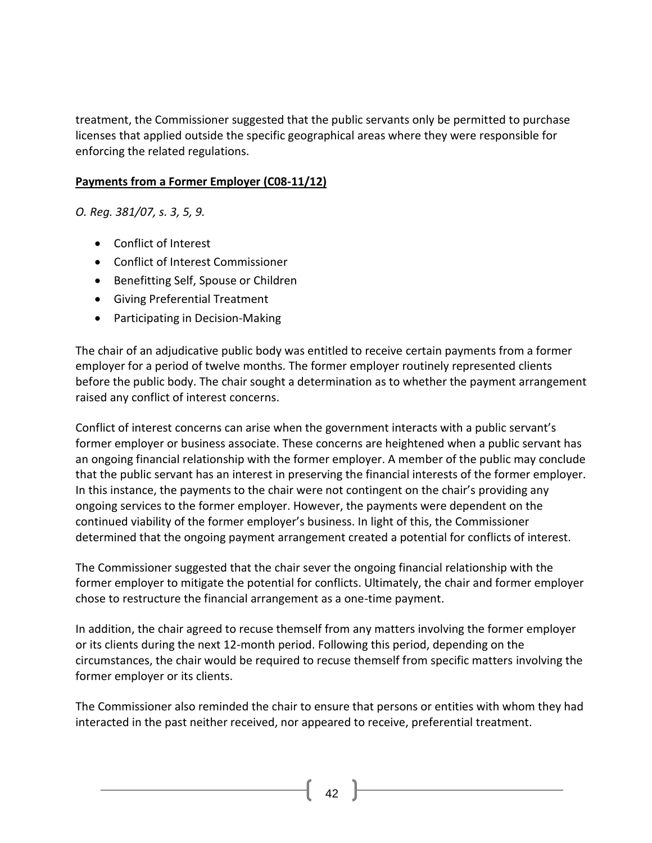treatment, the Commissioner suggested that the public servants only be permitted to purchase licenses that applied outside the specific geographical areas where they were responsible for enforcing the related regulations.

#### **Payments from a Former Employer (C08-11/12)**

*O. Reg. 381/07, s. 3, 5, 9.*

- [Conflict of Interest](http://www.coicommissioner.gov.on.ca/category/type-of-ethical-matter/conflict-of-interest/)
- [Conflict of Interest Commissioner](http://www.coicommissioner.gov.on.ca/category/source-of-decision/conflict-of-interest-commissioner/)
- [Benefitting Self, Spouse or Children](http://www.coicommissioner.gov.on.ca/category/type-of-rule/benefitting-self-spouse-or-children/)
- [Giving Preferential Treatment](http://www.coicommissioner.gov.on.ca/category/type-of-rule/giving-preferential-treatment/)
- [Participating in Decision-Making](http://www.coicommissioner.gov.on.ca/category/type-of-rule/participating-in-decision-making/)

The chair of an adjudicative public body was entitled to receive certain payments from a former employer for a period of twelve months. The former employer routinely represented clients before the public body. The chair sought a determination as to whether the payment arrangement raised any conflict of interest concerns.

Conflict of interest concerns can arise when the government interacts with a public servant's former employer or business associate. These concerns are heightened when a public servant has an ongoing financial relationship with the former employer. A member of the public may conclude that the public servant has an interest in preserving the financial interests of the former employer. In this instance, the payments to the chair were not contingent on the chair's providing any ongoing services to the former employer. However, the payments were dependent on the continued viability of the former employer's business. In light of this, the Commissioner determined that the ongoing payment arrangement created a potential for conflicts of interest.

The Commissioner suggested that the chair sever the ongoing financial relationship with the former employer to mitigate the potential for conflicts. Ultimately, the chair and former employer chose to restructure the financial arrangement as a one-time payment.

In addition, the chair agreed to recuse themself from any matters involving the former employer or its clients during the next 12-month period. Following this period, depending on the circumstances, the chair would be required to recuse themself from specific matters involving the former employer or its clients.

The Commissioner also reminded the chair to ensure that persons or entities with whom they had interacted in the past neither received, nor appeared to receive, preferential treatment.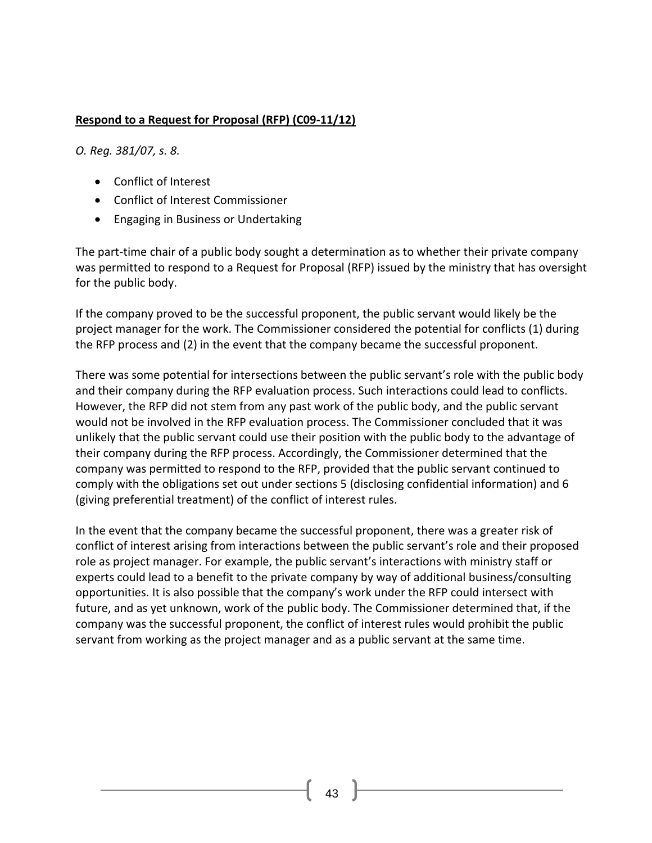### **Respond to a Request for Proposal (RFP) (C09-11/12)**

*O. Reg. 381/07, s. 8.*

- [Conflict of Interest](http://www.coicommissioner.gov.on.ca/category/type-of-ethical-matter/conflict-of-interest/)
- [Conflict of Interest Commissioner](http://www.coicommissioner.gov.on.ca/category/source-of-decision/conflict-of-interest-commissioner/)
- [Engaging in Business or Undertaking](http://www.coicommissioner.gov.on.ca/category/type-of-rule/engaging-in-business-or-undertaking/)

The part-time chair of a public body sought a determination as to whether their private company was permitted to respond to a Request for Proposal (RFP) issued by the ministry that has oversight for the public body.

If the company proved to be the successful proponent, the public servant would likely be the project manager for the work. The Commissioner considered the potential for conflicts (1) during the RFP process and (2) in the event that the company became the successful proponent.

There was some potential for intersections between the public servant's role with the public body and their company during the RFP evaluation process. Such interactions could lead to conflicts. However, the RFP did not stem from any past work of the public body, and the public servant would not be involved in the RFP evaluation process. The Commissioner concluded that it was unlikely that the public servant could use their position with the public body to the advantage of their company during the RFP process. Accordingly, the Commissioner determined that the company was permitted to respond to the RFP, provided that the public servant continued to comply with the obligations set out under sections 5 (disclosing confidential information) and 6 (giving preferential treatment) of the conflict of interest rules.

In the event that the company became the successful proponent, there was a greater risk of conflict of interest arising from interactions between the public servant's role and their proposed role as project manager. For example, the public servant's interactions with ministry staff or experts could lead to a benefit to the private company by way of additional business/consulting opportunities. It is also possible that the company's work under the RFP could intersect with future, and as yet unknown, work of the public body. The Commissioner determined that, if the company was the successful proponent, the conflict of interest rules would prohibit the public servant from working as the project manager and as a public servant at the same time.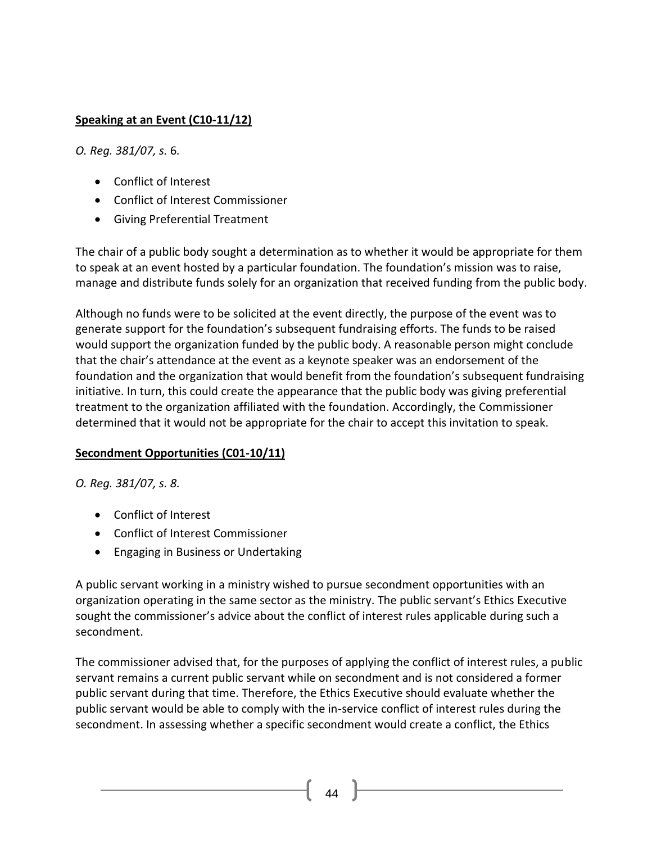## **Speaking at an Event (C10-11/12)**

*O. Reg. 381/07, s.* 6*.*

- [Conflict of Interest](http://www.coicommissioner.gov.on.ca/category/type-of-ethical-matter/conflict-of-interest/)
- [Conflict of Interest Commissioner](http://www.coicommissioner.gov.on.ca/category/source-of-decision/conflict-of-interest-commissioner/)
- [Giving Preferential Treatment](http://www.coicommissioner.gov.on.ca/category/type-of-rule/giving-preferential-treatment/)

The chair of a public body sought a determination as to whether it would be appropriate for them to speak at an event hosted by a particular foundation. The foundation's mission was to raise, manage and distribute funds solely for an organization that received funding from the public body.

Although no funds were to be solicited at the event directly, the purpose of the event was to generate support for the foundation's subsequent fundraising efforts. The funds to be raised would support the organization funded by the public body. A reasonable person might conclude that the chair's attendance at the event as a keynote speaker was an endorsement of the foundation and the organization that would benefit from the foundation's subsequent fundraising initiative. In turn, this could create the appearance that the public body was giving preferential treatment to the organization affiliated with the foundation. Accordingly, the Commissioner determined that it would not be appropriate for the chair to accept this invitation to speak.

#### **Secondment Opportunities (C01-10/11)**

*O. Reg. 381/07, s. 8.*

- [Conflict of Interest](http://www.coicommissioner.gov.on.ca/category/type-of-ethical-matter/conflict-of-interest/)
- [Conflict of Interest Commissioner](http://www.coicommissioner.gov.on.ca/category/source-of-decision/conflict-of-interest-commissioner/)
- [Engaging in Business or Undertaking](http://www.coicommissioner.gov.on.ca/category/type-of-rule/engaging-in-business-or-undertaking/)

A public servant working in a ministry wished to pursue secondment opportunities with an organization operating in the same sector as the ministry. The public servant's Ethics Executive sought the commissioner's advice about the conflict of interest rules applicable during such a secondment.

The commissioner advised that, for the purposes of applying the conflict of interest rules, a public servant remains a current public servant while on secondment and is not considered a former public servant during that time. Therefore, the Ethics Executive should evaluate whether the public servant would be able to comply with the in-service conflict of interest rules during the secondment. In assessing whether a specific secondment would create a conflict, the Ethics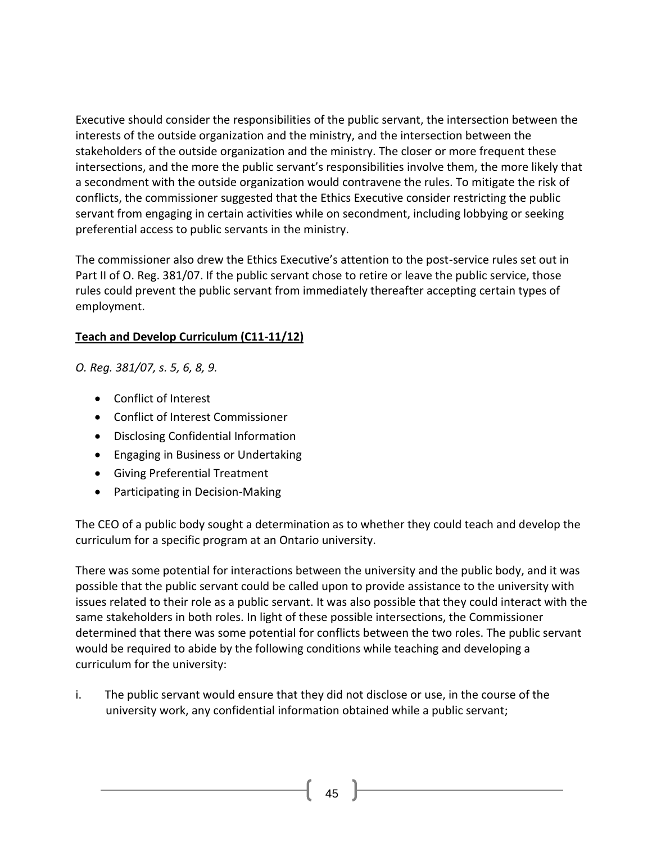Executive should consider the responsibilities of the public servant, the intersection between the interests of the outside organization and the ministry, and the intersection between the stakeholders of the outside organization and the ministry. The closer or more frequent these intersections, and the more the public servant's responsibilities involve them, the more likely that a secondment with the outside organization would contravene the rules. To mitigate the risk of conflicts, the commissioner suggested that the Ethics Executive consider restricting the public servant from engaging in certain activities while on secondment, including lobbying or seeking preferential access to public servants in the ministry.

The commissioner also drew the Ethics Executive's attention to the post-service rules set out in Part II of O. Reg. 381/07. If the public servant chose to retire or leave the public service, those rules could prevent the public servant from immediately thereafter accepting certain types of employment.

### **Teach and Develop Curriculum (C11-11/12)**

*O. Reg. 381/07, s. 5, 6, 8, 9.*

- [Conflict of Interest](http://www.coicommissioner.gov.on.ca/category/type-of-ethical-matter/conflict-of-interest/)
- [Conflict of Interest Commissioner](http://www.coicommissioner.gov.on.ca/category/source-of-decision/conflict-of-interest-commissioner/)
- [Disclosing Confidential Information](http://www.coicommissioner.gov.on.ca/category/type-of-rule/disclosing-confidential-information/)
- [Engaging in Business or Undertaking](http://www.coicommissioner.gov.on.ca/category/type-of-rule/engaging-in-business-or-undertaking/)
- [Giving Preferential Treatment](http://www.coicommissioner.gov.on.ca/category/type-of-rule/giving-preferential-treatment/)
- [Participating in Decision-Making](http://www.coicommissioner.gov.on.ca/category/type-of-rule/participating-in-decision-making/)

The CEO of a public body sought a determination as to whether they could teach and develop the curriculum for a specific program at an Ontario university.

There was some potential for interactions between the university and the public body, and it was possible that the public servant could be called upon to provide assistance to the university with issues related to their role as a public servant. It was also possible that they could interact with the same stakeholders in both roles. In light of these possible intersections, the Commissioner determined that there was some potential for conflicts between the two roles. The public servant would be required to abide by the following conditions while teaching and developing a curriculum for the university:

i. The public servant would ensure that they did not disclose or use, in the course of the university work, any confidential information obtained while a public servant;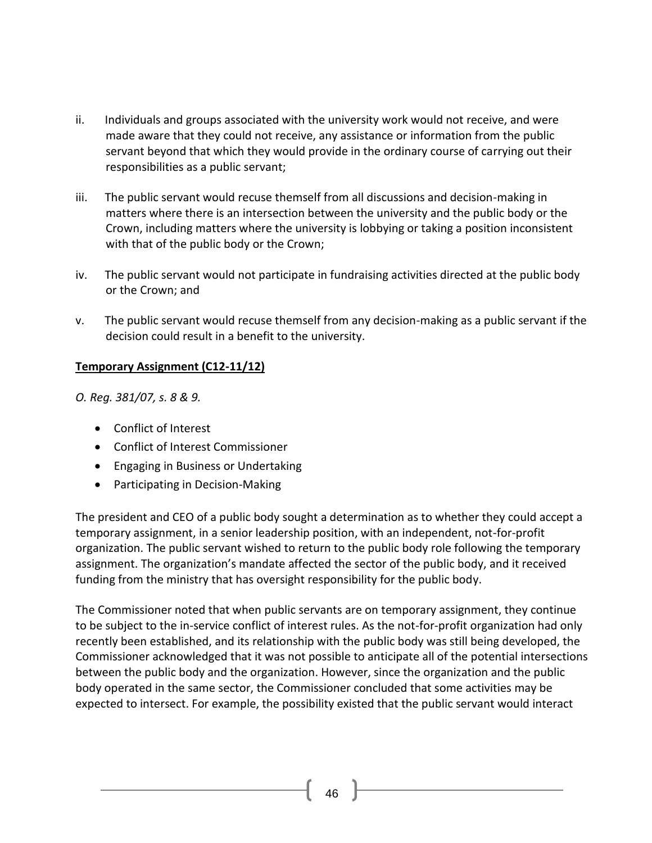- ii. Individuals and groups associated with the university work would not receive, and were made aware that they could not receive, any assistance or information from the public servant beyond that which they would provide in the ordinary course of carrying out their responsibilities as a public servant;
- iii. The public servant would recuse themself from all discussions and decision-making in matters where there is an intersection between the university and the public body or the Crown, including matters where the university is lobbying or taking a position inconsistent with that of the public body or the Crown;
- iv. The public servant would not participate in fundraising activities directed at the public body or the Crown; and
- v. The public servant would recuse themself from any decision-making as a public servant if the decision could result in a benefit to the university.

#### **Temporary Assignment (C12-11/12)**

*O. Reg. 381/07, s. 8 & 9.*

- [Conflict of Interest](http://www.coicommissioner.gov.on.ca/category/type-of-ethical-matter/conflict-of-interest/)
- [Conflict of Interest Commissioner](http://www.coicommissioner.gov.on.ca/category/source-of-decision/conflict-of-interest-commissioner/)
- [Engaging in Business or Undertaking](http://www.coicommissioner.gov.on.ca/category/type-of-rule/engaging-in-business-or-undertaking/)
- [Participating in Decision-Making](http://www.coicommissioner.gov.on.ca/category/type-of-rule/participating-in-decision-making/)

The president and CEO of a public body sought a determination as to whether they could accept a temporary assignment, in a senior leadership position, with an independent, not-for-profit organization. The public servant wished to return to the public body role following the temporary assignment. The organization's mandate affected the sector of the public body, and it received funding from the ministry that has oversight responsibility for the public body.

The Commissioner noted that when public servants are on temporary assignment, they continue to be subject to the in-service conflict of interest rules. As the not-for-profit organization had only recently been established, and its relationship with the public body was still being developed, the Commissioner acknowledged that it was not possible to anticipate all of the potential intersections between the public body and the organization. However, since the organization and the public body operated in the same sector, the Commissioner concluded that some activities may be expected to intersect. For example, the possibility existed that the public servant would interact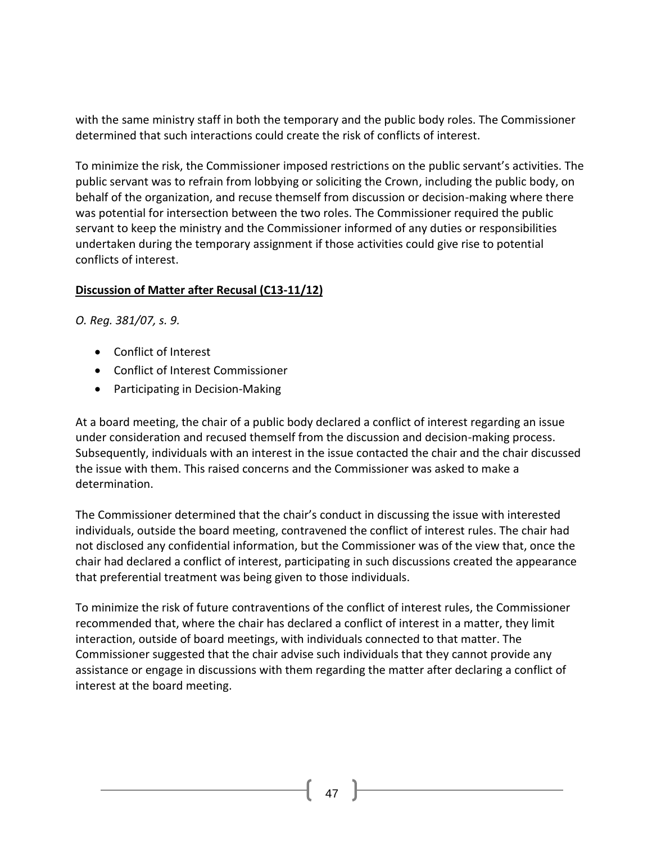with the same ministry staff in both the temporary and the public body roles. The Commissioner determined that such interactions could create the risk of conflicts of interest.

To minimize the risk, the Commissioner imposed restrictions on the public servant's activities. The public servant was to refrain from lobbying or soliciting the Crown, including the public body, on behalf of the organization, and recuse themself from discussion or decision-making where there was potential for intersection between the two roles. The Commissioner required the public servant to keep the ministry and the Commissioner informed of any duties or responsibilities undertaken during the temporary assignment if those activities could give rise to potential conflicts of interest.

#### **Discussion of Matter after Recusal (C13-11/12)**

*O. Reg. 381/07, s. 9.*

- [Conflict of Interest](http://www.coicommissioner.gov.on.ca/category/type-of-ethical-matter/conflict-of-interest/)
- [Conflict of Interest Commissioner](http://www.coicommissioner.gov.on.ca/category/source-of-decision/conflict-of-interest-commissioner/)
- [Participating in Decision-Making](http://www.coicommissioner.gov.on.ca/category/type-of-rule/participating-in-decision-making/)

At a board meeting, the chair of a public body declared a conflict of interest regarding an issue under consideration and recused themself from the discussion and decision-making process. Subsequently, individuals with an interest in the issue contacted the chair and the chair discussed the issue with them. This raised concerns and the Commissioner was asked to make a determination.

The Commissioner determined that the chair's conduct in discussing the issue with interested individuals, outside the board meeting, contravened the conflict of interest rules. The chair had not disclosed any confidential information, but the Commissioner was of the view that, once the chair had declared a conflict of interest, participating in such discussions created the appearance that preferential treatment was being given to those individuals.

To minimize the risk of future contraventions of the conflict of interest rules, the Commissioner recommended that, where the chair has declared a conflict of interest in a matter, they limit interaction, outside of board meetings, with individuals connected to that matter. The Commissioner suggested that the chair advise such individuals that they cannot provide any assistance or engage in discussions with them regarding the matter after declaring a conflict of interest at the board meeting.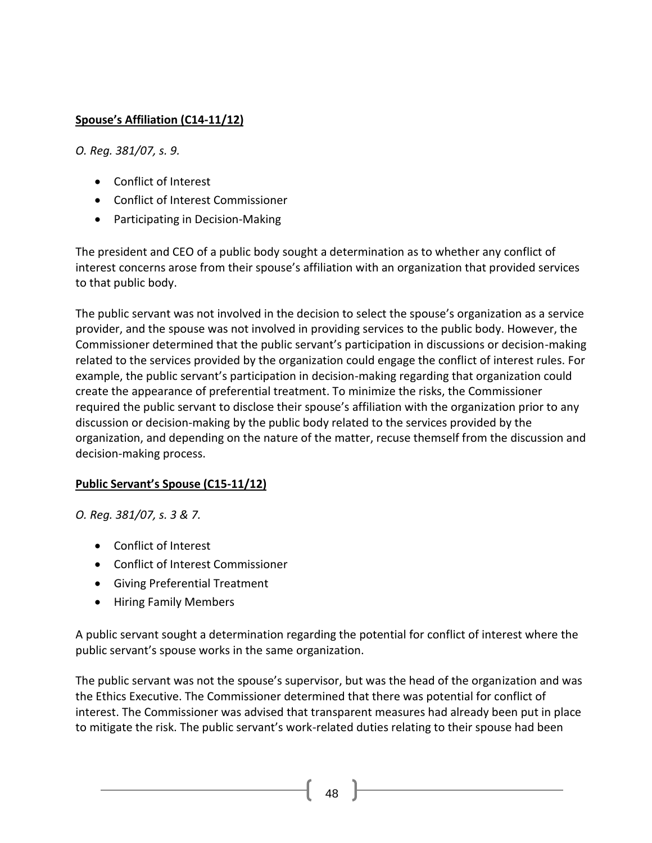# **Spouse's Affiliation (C14-11/12)**

*O. Reg. 381/07, s. 9.*

- [Conflict of Interest](http://www.coicommissioner.gov.on.ca/category/type-of-ethical-matter/conflict-of-interest/)
- [Conflict of Interest Commissioner](http://www.coicommissioner.gov.on.ca/category/source-of-decision/conflict-of-interest-commissioner/)
- [Participating in Decision-Making](http://www.coicommissioner.gov.on.ca/category/type-of-rule/participating-in-decision-making/)

The president and CEO of a public body sought a determination as to whether any conflict of interest concerns arose from their spouse's affiliation with an organization that provided services to that public body.

The public servant was not involved in the decision to select the spouse's organization as a service provider, and the spouse was not involved in providing services to the public body. However, the Commissioner determined that the public servant's participation in discussions or decision-making related to the services provided by the organization could engage the conflict of interest rules. For example, the public servant's participation in decision-making regarding that organization could create the appearance of preferential treatment. To minimize the risks, the Commissioner required the public servant to disclose their spouse's affiliation with the organization prior to any discussion or decision-making by the public body related to the services provided by the organization, and depending on the nature of the matter, recuse themself from the discussion and decision-making process.

# **Public Servant's Spouse (C15-11/12)**

*O. Reg. 381/07, s. 3 & 7.*

- [Conflict of Interest](http://www.coicommissioner.gov.on.ca/category/type-of-ethical-matter/conflict-of-interest/)
- [Conflict of Interest Commissioner](http://www.coicommissioner.gov.on.ca/category/source-of-decision/conflict-of-interest-commissioner/)
- [Giving Preferential Treatment](http://www.coicommissioner.gov.on.ca/category/type-of-rule/giving-preferential-treatment/)
- [Hiring Family Members](http://www.coicommissioner.gov.on.ca/category/type-of-rule/hiring-family-members/)

A public servant sought a determination regarding the potential for conflict of interest where the public servant's spouse works in the same organization.

The public servant was not the spouse's supervisor, but was the head of the organization and was the Ethics Executive. The Commissioner determined that there was potential for conflict of interest. The Commissioner was advised that transparent measures had already been put in place to mitigate the risk. The public servant's work-related duties relating to their spouse had been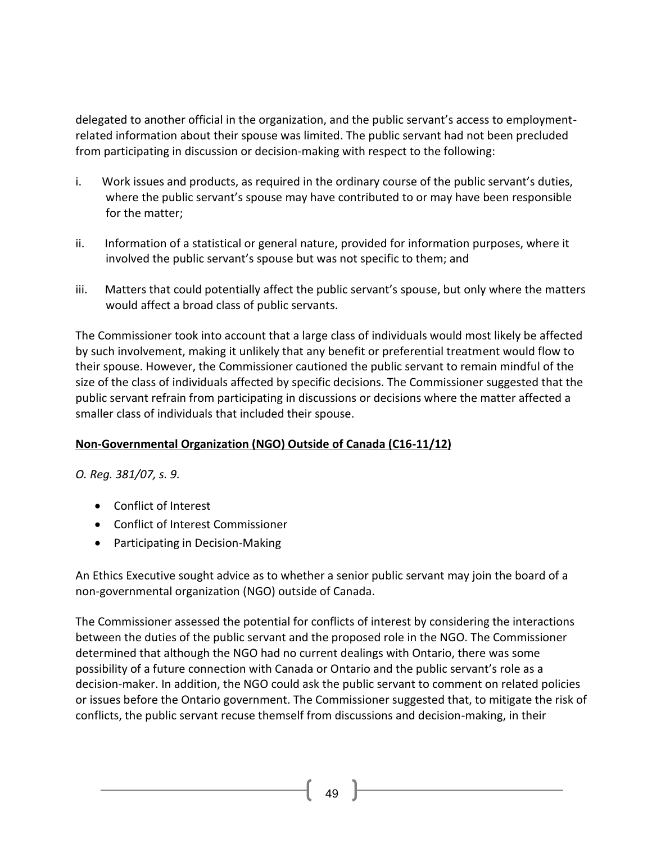delegated to another official in the organization, and the public servant's access to employmentrelated information about their spouse was limited. The public servant had not been precluded from participating in discussion or decision-making with respect to the following:

- i. Work issues and products, as required in the ordinary course of the public servant's duties, where the public servant's spouse may have contributed to or may have been responsible for the matter;
- ii. Information of a statistical or general nature, provided for information purposes, where it involved the public servant's spouse but was not specific to them; and
- iii. Matters that could potentially affect the public servant's spouse, but only where the matters would affect a broad class of public servants.

The Commissioner took into account that a large class of individuals would most likely be affected by such involvement, making it unlikely that any benefit or preferential treatment would flow to their spouse. However, the Commissioner cautioned the public servant to remain mindful of the size of the class of individuals affected by specific decisions. The Commissioner suggested that the public servant refrain from participating in discussions or decisions where the matter affected a smaller class of individuals that included their spouse.

# **Non-Governmental Organization (NGO) Outside of Canada (C16-11/12)**

*O. Reg. 381/07, s. 9.*

- [Conflict of Interest](http://www.coicommissioner.gov.on.ca/category/type-of-ethical-matter/conflict-of-interest/)
- [Conflict of Interest Commissioner](http://www.coicommissioner.gov.on.ca/category/source-of-decision/conflict-of-interest-commissioner/)
- [Participating in Decision-Making](http://www.coicommissioner.gov.on.ca/category/type-of-rule/participating-in-decision-making/)

An Ethics Executive sought advice as to whether a senior public servant may join the board of a non-governmental organization (NGO) outside of Canada.

The Commissioner assessed the potential for conflicts of interest by considering the interactions between the duties of the public servant and the proposed role in the NGO. The Commissioner determined that although the NGO had no current dealings with Ontario, there was some possibility of a future connection with Canada or Ontario and the public servant's role as a decision-maker. In addition, the NGO could ask the public servant to comment on related policies or issues before the Ontario government. The Commissioner suggested that, to mitigate the risk of conflicts, the public servant recuse themself from discussions and decision-making, in their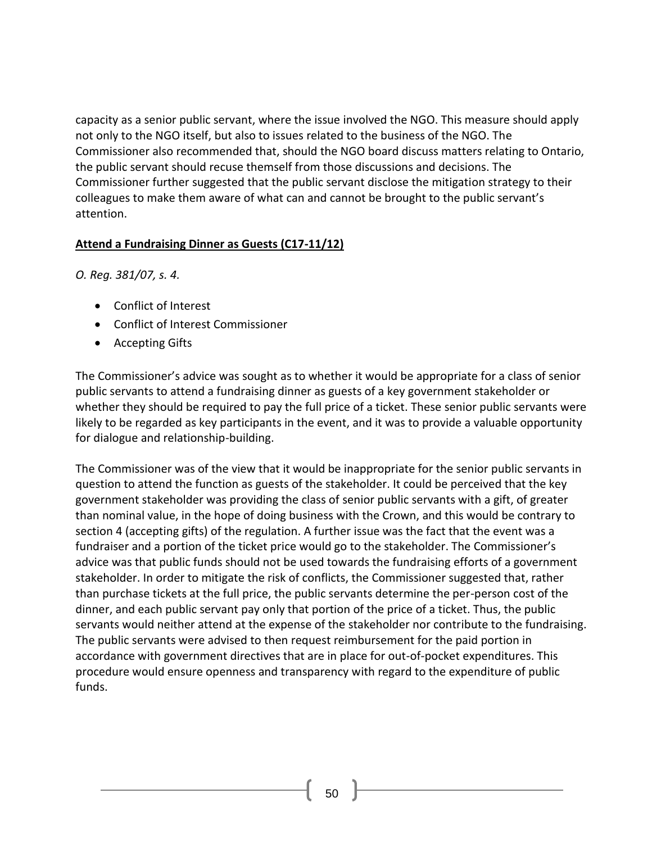capacity as a senior public servant, where the issue involved the NGO. This measure should apply not only to the NGO itself, but also to issues related to the business of the NGO. The Commissioner also recommended that, should the NGO board discuss matters relating to Ontario, the public servant should recuse themself from those discussions and decisions. The Commissioner further suggested that the public servant disclose the mitigation strategy to their colleagues to make them aware of what can and cannot be brought to the public servant's attention.

#### **Attend a Fundraising Dinner as Guests (C17-11/12)**

*O. Reg. 381/07, s. 4.*

- [Conflict of Interest](http://www.coicommissioner.gov.on.ca/category/type-of-ethical-matter/conflict-of-interest/)
- [Conflict of Interest Commissioner](http://www.coicommissioner.gov.on.ca/category/source-of-decision/conflict-of-interest-commissioner/)
- [Accepting Gifts](http://www.coicommissioner.gov.on.ca/category/type-of-rule/accepting-gifts/)

The Commissioner's advice was sought as to whether it would be appropriate for a class of senior public servants to attend a fundraising dinner as guests of a key government stakeholder or whether they should be required to pay the full price of a ticket. These senior public servants were likely to be regarded as key participants in the event, and it was to provide a valuable opportunity for dialogue and relationship-building.

The Commissioner was of the view that it would be inappropriate for the senior public servants in question to attend the function as guests of the stakeholder. It could be perceived that the key government stakeholder was providing the class of senior public servants with a gift, of greater than nominal value, in the hope of doing business with the Crown, and this would be contrary to section 4 (accepting gifts) of the regulation. A further issue was the fact that the event was a fundraiser and a portion of the ticket price would go to the stakeholder. The Commissioner's advice was that public funds should not be used towards the fundraising efforts of a government stakeholder. In order to mitigate the risk of conflicts, the Commissioner suggested that, rather than purchase tickets at the full price, the public servants determine the per-person cost of the dinner, and each public servant pay only that portion of the price of a ticket. Thus, the public servants would neither attend at the expense of the stakeholder nor contribute to the fundraising. The public servants were advised to then request reimbursement for the paid portion in accordance with government directives that are in place for out-of-pocket expenditures. This procedure would ensure openness and transparency with regard to the expenditure of public funds.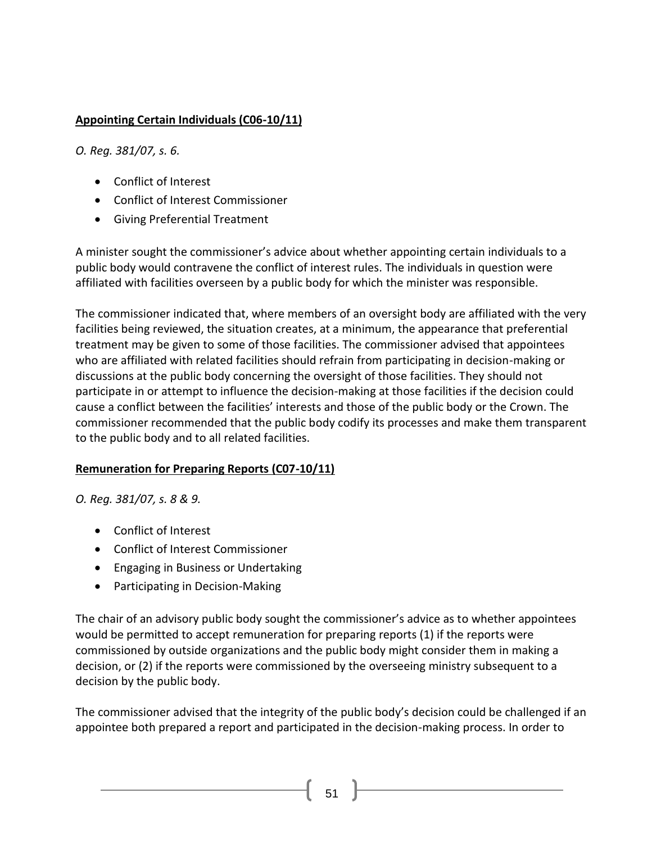# **Appointing Certain Individuals (C06-10/11)**

*O. Reg. 381/07, s. 6.*

- [Conflict of Interest](http://www.coicommissioner.gov.on.ca/category/type-of-ethical-matter/conflict-of-interest/)
- [Conflict of Interest Commissioner](http://www.coicommissioner.gov.on.ca/category/source-of-decision/conflict-of-interest-commissioner/)
- [Giving Preferential Treatment](http://www.coicommissioner.gov.on.ca/category/type-of-rule/giving-preferential-treatment/)

A minister sought the commissioner's advice about whether appointing certain individuals to a public body would contravene the conflict of interest rules. The individuals in question were affiliated with facilities overseen by a public body for which the minister was responsible.

The commissioner indicated that, where members of an oversight body are affiliated with the very facilities being reviewed, the situation creates, at a minimum, the appearance that preferential treatment may be given to some of those facilities. The commissioner advised that appointees who are affiliated with related facilities should refrain from participating in decision-making or discussions at the public body concerning the oversight of those facilities. They should not participate in or attempt to influence the decision-making at those facilities if the decision could cause a conflict between the facilities' interests and those of the public body or the Crown. The commissioner recommended that the public body codify its processes and make them transparent to the public body and to all related facilities.

#### **Remuneration for Preparing Reports (C07-10/11)**

*O. Reg. 381/07, s. 8 & 9.*

- [Conflict of Interest](http://www.coicommissioner.gov.on.ca/category/type-of-ethical-matter/conflict-of-interest/)
- [Conflict of Interest Commissioner](http://www.coicommissioner.gov.on.ca/category/source-of-decision/conflict-of-interest-commissioner/)
- [Engaging in Business or Undertaking](http://www.coicommissioner.gov.on.ca/category/type-of-rule/engaging-in-business-or-undertaking/)
- [Participating in Decision-Making](http://www.coicommissioner.gov.on.ca/category/type-of-rule/participating-in-decision-making/)

The chair of an advisory public body sought the commissioner's advice as to whether appointees would be permitted to accept remuneration for preparing reports (1) if the reports were commissioned by outside organizations and the public body might consider them in making a decision, or (2) if the reports were commissioned by the overseeing ministry subsequent to a decision by the public body.

The commissioner advised that the integrity of the public body's decision could be challenged if an appointee both prepared a report and participated in the decision-making process. In order to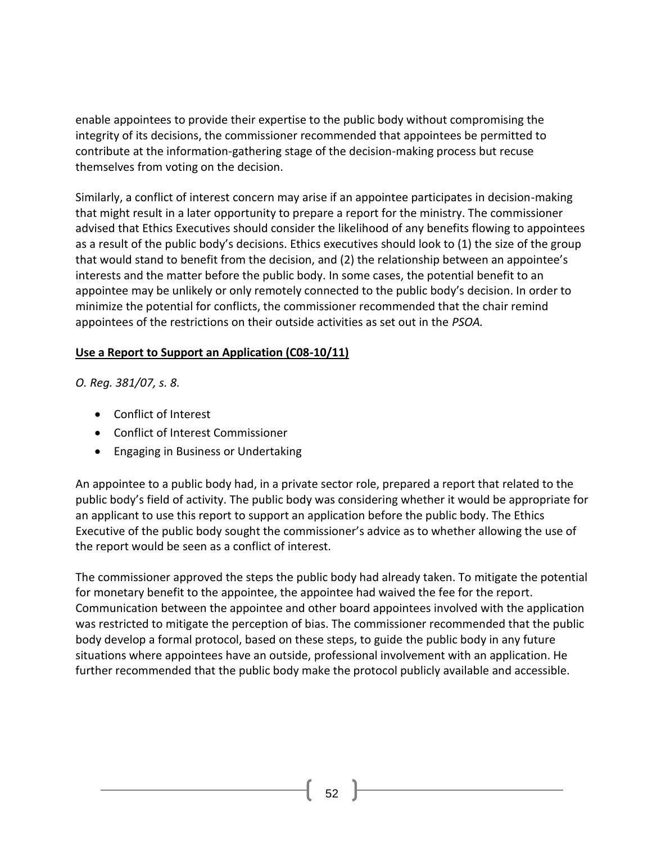enable appointees to provide their expertise to the public body without compromising the integrity of its decisions, the commissioner recommended that appointees be permitted to contribute at the information-gathering stage of the decision-making process but recuse themselves from voting on the decision.

Similarly, a conflict of interest concern may arise if an appointee participates in decision-making that might result in a later opportunity to prepare a report for the ministry. The commissioner advised that Ethics Executives should consider the likelihood of any benefits flowing to appointees as a result of the public body's decisions. Ethics executives should look to (1) the size of the group that would stand to benefit from the decision, and (2) the relationship between an appointee's interests and the matter before the public body. In some cases, the potential benefit to an appointee may be unlikely or only remotely connected to the public body's decision. In order to minimize the potential for conflicts, the commissioner recommended that the chair remind appointees of the restrictions on their outside activities as set out in the *PSOA.*

#### **Use a Report to Support an Application (C08-10/11)**

*O. Reg. 381/07, s. 8.*

- [Conflict of Interest](http://www.coicommissioner.gov.on.ca/category/type-of-ethical-matter/conflict-of-interest/)
- [Conflict of Interest Commissioner](http://www.coicommissioner.gov.on.ca/category/source-of-decision/conflict-of-interest-commissioner/)
- [Engaging in Business or Undertaking](http://www.coicommissioner.gov.on.ca/category/type-of-rule/engaging-in-business-or-undertaking/)

An appointee to a public body had, in a private sector role, prepared a report that related to the public body's field of activity. The public body was considering whether it would be appropriate for an applicant to use this report to support an application before the public body. The Ethics Executive of the public body sought the commissioner's advice as to whether allowing the use of the report would be seen as a conflict of interest.

The commissioner approved the steps the public body had already taken. To mitigate the potential for monetary benefit to the appointee, the appointee had waived the fee for the report. Communication between the appointee and other board appointees involved with the application was restricted to mitigate the perception of bias. The commissioner recommended that the public body develop a formal protocol, based on these steps, to guide the public body in any future situations where appointees have an outside, professional involvement with an application. He further recommended that the public body make the protocol publicly available and accessible.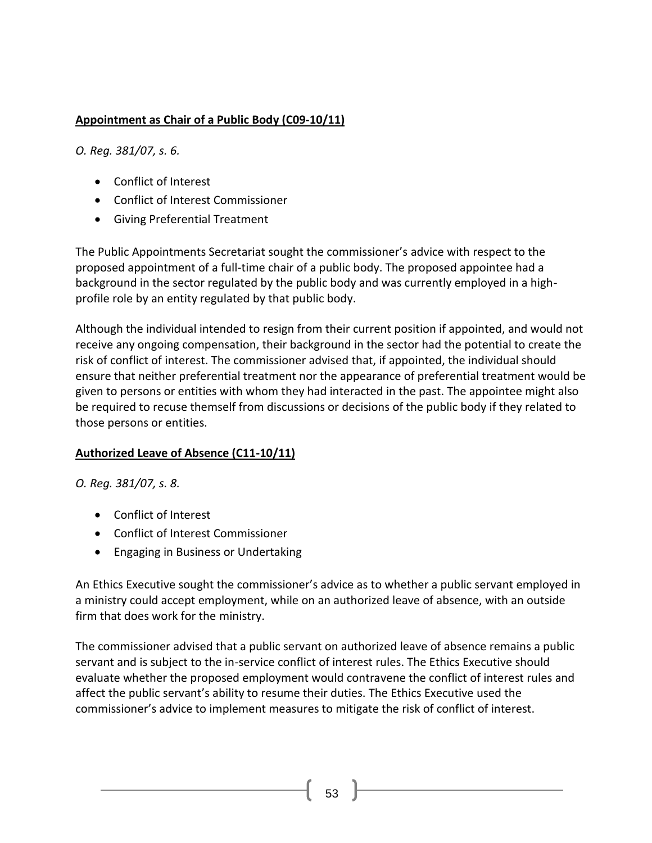## **Appointment as Chair of a Public Body (C09-10/11)**

*O. Reg. 381/07, s. 6.*

- [Conflict of Interest](http://www.coicommissioner.gov.on.ca/category/type-of-ethical-matter/conflict-of-interest/)
- [Conflict of Interest Commissioner](http://www.coicommissioner.gov.on.ca/category/source-of-decision/conflict-of-interest-commissioner/)
- [Giving Preferential Treatment](http://www.coicommissioner.gov.on.ca/category/type-of-rule/giving-preferential-treatment/)

The Public Appointments Secretariat sought the commissioner's advice with respect to the proposed appointment of a full-time chair of a public body. The proposed appointee had a background in the sector regulated by the public body and was currently employed in a highprofile role by an entity regulated by that public body.

Although the individual intended to resign from their current position if appointed, and would not receive any ongoing compensation, their background in the sector had the potential to create the risk of conflict of interest. The commissioner advised that, if appointed, the individual should ensure that neither preferential treatment nor the appearance of preferential treatment would be given to persons or entities with whom they had interacted in the past. The appointee might also be required to recuse themself from discussions or decisions of the public body if they related to those persons or entities.

#### **Authorized Leave of Absence (C11-10/11)**

*O. Reg. 381/07, s. 8.*

- [Conflict of Interest](http://www.coicommissioner.gov.on.ca/category/type-of-ethical-matter/conflict-of-interest/)
- [Conflict of Interest Commissioner](http://www.coicommissioner.gov.on.ca/category/source-of-decision/conflict-of-interest-commissioner/)
- [Engaging in Business or Undertaking](http://www.coicommissioner.gov.on.ca/category/type-of-rule/engaging-in-business-or-undertaking/)

An Ethics Executive sought the commissioner's advice as to whether a public servant employed in a ministry could accept employment, while on an authorized leave of absence, with an outside firm that does work for the ministry.

The commissioner advised that a public servant on authorized leave of absence remains a public servant and is subject to the in-service conflict of interest rules. The Ethics Executive should evaluate whether the proposed employment would contravene the conflict of interest rules and affect the public servant's ability to resume their duties. The Ethics Executive used the commissioner's advice to implement measures to mitigate the risk of conflict of interest.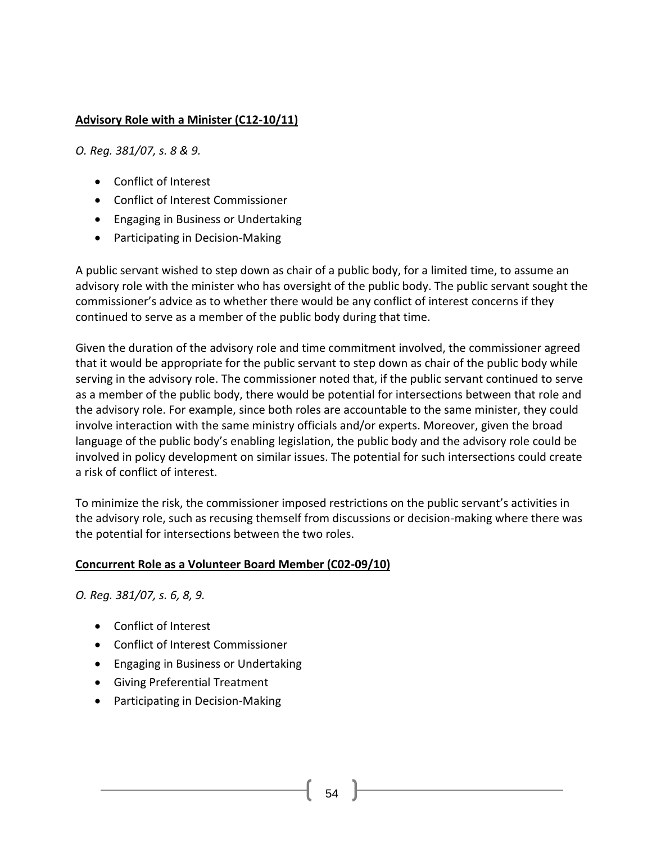### **Advisory Role with a Minister (C12-10/11)**

*O. Reg. 381/07, s. 8 & 9.*

- [Conflict of Interest](http://www.coicommissioner.gov.on.ca/category/type-of-ethical-matter/conflict-of-interest/)
- [Conflict of Interest Commissioner](http://www.coicommissioner.gov.on.ca/category/source-of-decision/conflict-of-interest-commissioner/)
- [Engaging in Business or Undertaking](http://www.coicommissioner.gov.on.ca/category/type-of-rule/engaging-in-business-or-undertaking/)
- [Participating in Decision-Making](http://www.coicommissioner.gov.on.ca/category/type-of-rule/participating-in-decision-making/)

A public servant wished to step down as chair of a public body, for a limited time, to assume an advisory role with the minister who has oversight of the public body. The public servant sought the commissioner's advice as to whether there would be any conflict of interest concerns if they continued to serve as a member of the public body during that time.

Given the duration of the advisory role and time commitment involved, the commissioner agreed that it would be appropriate for the public servant to step down as chair of the public body while serving in the advisory role. The commissioner noted that, if the public servant continued to serve as a member of the public body, there would be potential for intersections between that role and the advisory role. For example, since both roles are accountable to the same minister, they could involve interaction with the same ministry officials and/or experts. Moreover, given the broad language of the public body's enabling legislation, the public body and the advisory role could be involved in policy development on similar issues. The potential for such intersections could create a risk of conflict of interest.

To minimize the risk, the commissioner imposed restrictions on the public servant's activities in the advisory role, such as recusing themself from discussions or decision-making where there was the potential for intersections between the two roles.

#### **Concurrent Role as a Volunteer Board Member (C02-09/10)**

*O. Reg. 381/07, s. 6, 8, 9.*

- [Conflict of Interest](http://www.coicommissioner.gov.on.ca/category/type-of-ethical-matter/conflict-of-interest/)
- [Conflict of Interest Commissioner](http://www.coicommissioner.gov.on.ca/category/source-of-decision/conflict-of-interest-commissioner/)
- [Engaging in Business or Undertaking](http://www.coicommissioner.gov.on.ca/category/type-of-rule/engaging-in-business-or-undertaking/)
- [Giving Preferential Treatment](http://www.coicommissioner.gov.on.ca/category/type-of-rule/giving-preferential-treatment/)
- [Participating in Decision-Making](http://www.coicommissioner.gov.on.ca/category/type-of-rule/participating-in-decision-making/)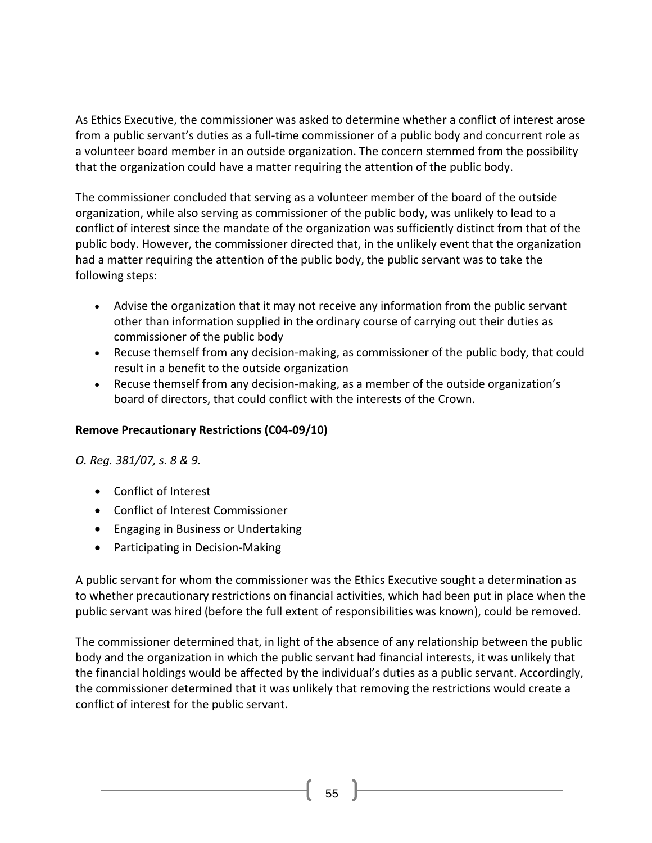As Ethics Executive, the commissioner was asked to determine whether a conflict of interest arose from a public servant's duties as a full-time commissioner of a public body and concurrent role as a volunteer board member in an outside organization. The concern stemmed from the possibility that the organization could have a matter requiring the attention of the public body.

The commissioner concluded that serving as a volunteer member of the board of the outside organization, while also serving as commissioner of the public body, was unlikely to lead to a conflict of interest since the mandate of the organization was sufficiently distinct from that of the public body. However, the commissioner directed that, in the unlikely event that the organization had a matter requiring the attention of the public body, the public servant was to take the following steps:

- Advise the organization that it may not receive any information from the public servant other than information supplied in the ordinary course of carrying out their duties as commissioner of the public body
- Recuse themself from any decision-making, as commissioner of the public body, that could result in a benefit to the outside organization
- Recuse themself from any decision-making, as a member of the outside organization's board of directors, that could conflict with the interests of the Crown.

# **Remove Precautionary Restrictions (C04-09/10)**

*O. Reg. 381/07, s. 8 & 9.*

- [Conflict of Interest](http://www.coicommissioner.gov.on.ca/category/type-of-ethical-matter/conflict-of-interest/)
- [Conflict of Interest Commissioner](http://www.coicommissioner.gov.on.ca/category/source-of-decision/conflict-of-interest-commissioner/)
- [Engaging in Business or Undertaking](http://www.coicommissioner.gov.on.ca/category/type-of-rule/engaging-in-business-or-undertaking/)
- [Participating in Decision-Making](http://www.coicommissioner.gov.on.ca/category/type-of-rule/participating-in-decision-making/)

A public servant for whom the commissioner was the Ethics Executive sought a determination as to whether precautionary restrictions on financial activities, which had been put in place when the public servant was hired (before the full extent of responsibilities was known), could be removed.

The commissioner determined that, in light of the absence of any relationship between the public body and the organization in which the public servant had financial interests, it was unlikely that the financial holdings would be affected by the individual's duties as a public servant. Accordingly, the commissioner determined that it was unlikely that removing the restrictions would create a conflict of interest for the public servant.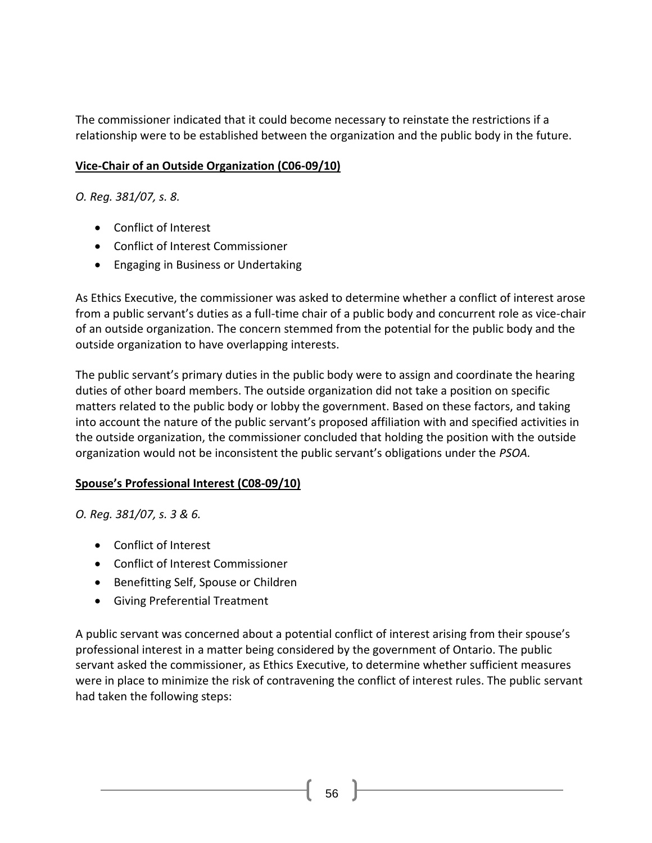The commissioner indicated that it could become necessary to reinstate the restrictions if a relationship were to be established between the organization and the public body in the future.

### **Vice-Chair of an Outside Organization (C06-09/10)**

*O. Reg. 381/07, s. 8.*

- [Conflict of Interest](http://www.coicommissioner.gov.on.ca/category/type-of-ethical-matter/conflict-of-interest/)
- [Conflict of Interest Commissioner](http://www.coicommissioner.gov.on.ca/category/source-of-decision/conflict-of-interest-commissioner/)
- [Engaging in Business or Undertaking](http://www.coicommissioner.gov.on.ca/category/type-of-rule/engaging-in-business-or-undertaking/)

As Ethics Executive, the commissioner was asked to determine whether a conflict of interest arose from a public servant's duties as a full-time chair of a public body and concurrent role as vice-chair of an outside organization. The concern stemmed from the potential for the public body and the outside organization to have overlapping interests.

The public servant's primary duties in the public body were to assign and coordinate the hearing duties of other board members. The outside organization did not take a position on specific matters related to the public body or lobby the government. Based on these factors, and taking into account the nature of the public servant's proposed affiliation with and specified activities in the outside organization, the commissioner concluded that holding the position with the outside organization would not be inconsistent the public servant's obligations under the *PSOA.*

#### **Spouse's Professional Interest (C08-09/10)**

*O. Reg. 381/07, s. 3 & 6.*

- [Conflict of Interest](http://www.coicommissioner.gov.on.ca/category/type-of-ethical-matter/conflict-of-interest/)
- [Conflict of Interest Commissioner](http://www.coicommissioner.gov.on.ca/category/source-of-decision/conflict-of-interest-commissioner/)
- [Benefitting Self, Spouse or Children](http://www.coicommissioner.gov.on.ca/category/type-of-rule/benefitting-self-spouse-or-children/)
- [Giving Preferential Treatment](http://www.coicommissioner.gov.on.ca/category/type-of-rule/giving-preferential-treatment/)

A public servant was concerned about a potential conflict of interest arising from their spouse's professional interest in a matter being considered by the government of Ontario. The public servant asked the commissioner, as Ethics Executive, to determine whether sufficient measures were in place to minimize the risk of contravening the conflict of interest rules. The public servant had taken the following steps: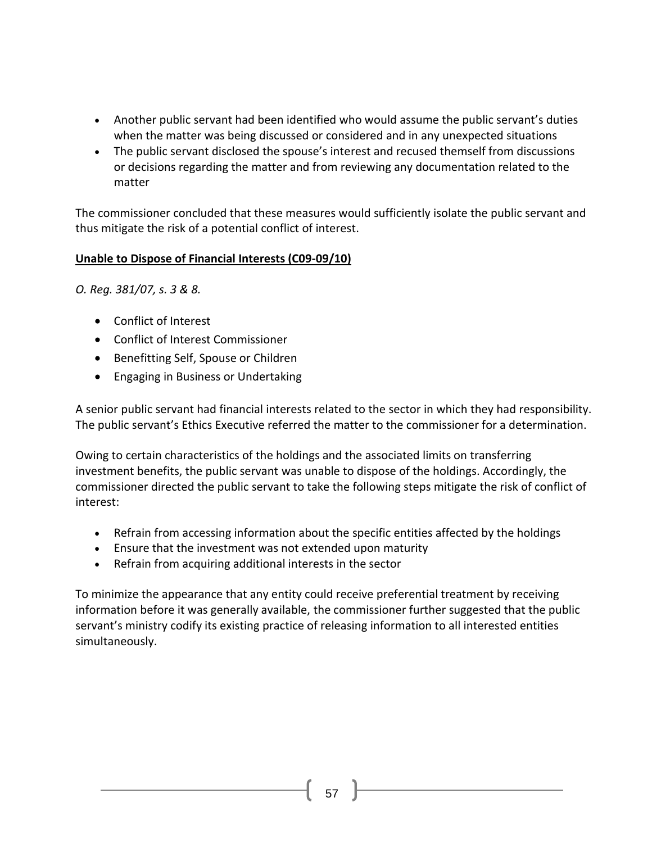- Another public servant had been identified who would assume the public servant's duties when the matter was being discussed or considered and in any unexpected situations
- The public servant disclosed the spouse's interest and recused themself from discussions or decisions regarding the matter and from reviewing any documentation related to the matter

The commissioner concluded that these measures would sufficiently isolate the public servant and thus mitigate the risk of a potential conflict of interest.

### **Unable to Dispose of Financial Interests (C09-09/10)**

*O. Reg. 381/07, s. 3 & 8.*

- [Conflict of Interest](http://www.coicommissioner.gov.on.ca/category/type-of-ethical-matter/conflict-of-interest/)
- [Conflict of Interest Commissioner](http://www.coicommissioner.gov.on.ca/category/source-of-decision/conflict-of-interest-commissioner/)
- [Benefitting Self, Spouse or Children](http://www.coicommissioner.gov.on.ca/category/type-of-rule/benefitting-self-spouse-or-children/)
- [Engaging in Business or Undertaking](http://www.coicommissioner.gov.on.ca/category/type-of-rule/engaging-in-business-or-undertaking/)

A senior public servant had financial interests related to the sector in which they had responsibility. The public servant's Ethics Executive referred the matter to the commissioner for a determination.

Owing to certain characteristics of the holdings and the associated limits on transferring investment benefits, the public servant was unable to dispose of the holdings. Accordingly, the commissioner directed the public servant to take the following steps mitigate the risk of conflict of interest:

- Refrain from accessing information about the specific entities affected by the holdings
- Ensure that the investment was not extended upon maturity
- Refrain from acquiring additional interests in the sector

To minimize the appearance that any entity could receive preferential treatment by receiving information before it was generally available, the commissioner further suggested that the public servant's ministry codify its existing practice of releasing information to all interested entities simultaneously.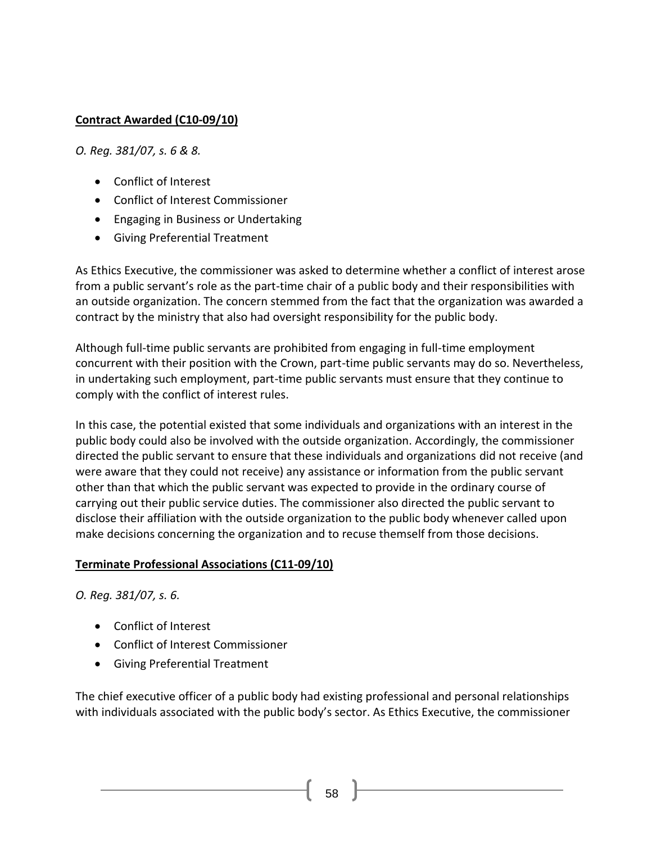### **Contract Awarded (C10-09/10)**

*O. Reg. 381/07, s. 6 & 8.*

- [Conflict of Interest](http://www.coicommissioner.gov.on.ca/category/type-of-ethical-matter/conflict-of-interest/)
- [Conflict of Interest Commissioner](http://www.coicommissioner.gov.on.ca/category/source-of-decision/conflict-of-interest-commissioner/)
- [Engaging in Business or Undertaking](http://www.coicommissioner.gov.on.ca/category/type-of-rule/engaging-in-business-or-undertaking/)
- [Giving Preferential Treatment](http://www.coicommissioner.gov.on.ca/category/type-of-rule/giving-preferential-treatment/)

As Ethics Executive, the commissioner was asked to determine whether a conflict of interest arose from a public servant's role as the part-time chair of a public body and their responsibilities with an outside organization. The concern stemmed from the fact that the organization was awarded a contract by the ministry that also had oversight responsibility for the public body.

Although full-time public servants are prohibited from engaging in full-time employment concurrent with their position with the Crown, part-time public servants may do so. Nevertheless, in undertaking such employment, part-time public servants must ensure that they continue to comply with the conflict of interest rules.

In this case, the potential existed that some individuals and organizations with an interest in the public body could also be involved with the outside organization. Accordingly, the commissioner directed the public servant to ensure that these individuals and organizations did not receive (and were aware that they could not receive) any assistance or information from the public servant other than that which the public servant was expected to provide in the ordinary course of carrying out their public service duties. The commissioner also directed the public servant to disclose their affiliation with the outside organization to the public body whenever called upon make decisions concerning the organization and to recuse themself from those decisions.

#### **Terminate Professional Associations (C11-09/10)**

*O. Reg. 381/07, s. 6.*

- [Conflict of Interest](http://www.coicommissioner.gov.on.ca/category/type-of-ethical-matter/conflict-of-interest/)
- [Conflict of Interest Commissioner](http://www.coicommissioner.gov.on.ca/category/source-of-decision/conflict-of-interest-commissioner/)
- [Giving Preferential Treatment](http://www.coicommissioner.gov.on.ca/category/type-of-rule/giving-preferential-treatment/)

The chief executive officer of a public body had existing professional and personal relationships with individuals associated with the public body's sector. As Ethics Executive, the commissioner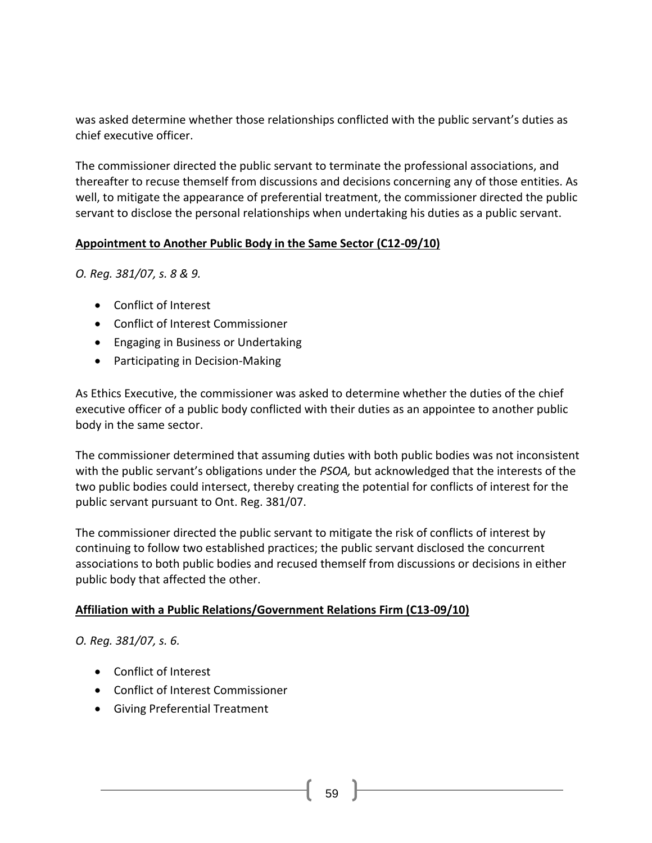was asked determine whether those relationships conflicted with the public servant's duties as chief executive officer.

The commissioner directed the public servant to terminate the professional associations, and thereafter to recuse themself from discussions and decisions concerning any of those entities. As well, to mitigate the appearance of preferential treatment, the commissioner directed the public servant to disclose the personal relationships when undertaking his duties as a public servant.

### **Appointment to Another Public Body in the Same Sector (C12-09/10)**

*O. Reg. 381/07, s. 8 & 9.*

- [Conflict of Interest](http://www.coicommissioner.gov.on.ca/category/type-of-ethical-matter/conflict-of-interest/)
- [Conflict of Interest Commissioner](http://www.coicommissioner.gov.on.ca/category/source-of-decision/conflict-of-interest-commissioner/)
- [Engaging in Business or Undertaking](http://www.coicommissioner.gov.on.ca/category/type-of-rule/engaging-in-business-or-undertaking/)
- [Participating in Decision-Making](http://www.coicommissioner.gov.on.ca/category/type-of-rule/participating-in-decision-making/)

As Ethics Executive, the commissioner was asked to determine whether the duties of the chief executive officer of a public body conflicted with their duties as an appointee to another public body in the same sector.

The commissioner determined that assuming duties with both public bodies was not inconsistent with the public servant's obligations under the *PSOA,* but acknowledged that the interests of the two public bodies could intersect, thereby creating the potential for conflicts of interest for the public servant pursuant to Ont. Reg. 381/07.

The commissioner directed the public servant to mitigate the risk of conflicts of interest by continuing to follow two established practices; the public servant disclosed the concurrent associations to both public bodies and recused themself from discussions or decisions in either public body that affected the other.

# **Affiliation with a Public Relations/Government Relations Firm (C13-09/10)**

*O. Reg. 381/07, s. 6.*

- [Conflict of Interest](http://www.coicommissioner.gov.on.ca/category/type-of-ethical-matter/conflict-of-interest/)
- [Conflict of Interest Commissioner](http://www.coicommissioner.gov.on.ca/category/source-of-decision/conflict-of-interest-commissioner/)
- [Giving Preferential Treatment](http://www.coicommissioner.gov.on.ca/category/type-of-rule/giving-preferential-treatment/)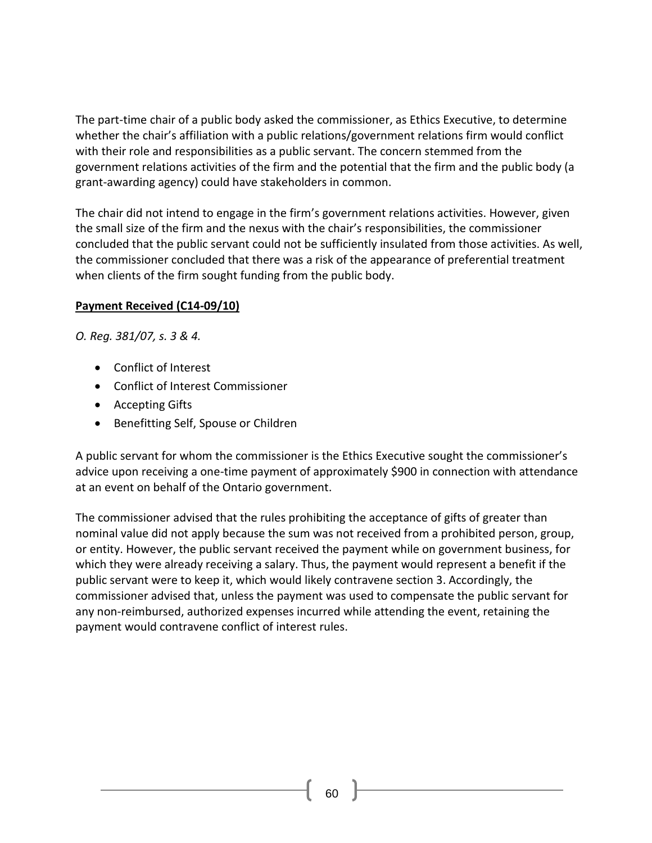The part-time chair of a public body asked the commissioner, as Ethics Executive, to determine whether the chair's affiliation with a public relations/government relations firm would conflict with their role and responsibilities as a public servant. The concern stemmed from the government relations activities of the firm and the potential that the firm and the public body (a grant-awarding agency) could have stakeholders in common.

The chair did not intend to engage in the firm's government relations activities. However, given the small size of the firm and the nexus with the chair's responsibilities, the commissioner concluded that the public servant could not be sufficiently insulated from those activities. As well, the commissioner concluded that there was a risk of the appearance of preferential treatment when clients of the firm sought funding from the public body.

### **Payment Received (C14-09/10)**

*O. Reg. 381/07, s. 3 & 4.*

- [Conflict of Interest](http://www.coicommissioner.gov.on.ca/category/type-of-ethical-matter/conflict-of-interest/)
- [Conflict of Interest Commissioner](http://www.coicommissioner.gov.on.ca/category/source-of-decision/conflict-of-interest-commissioner/)
- [Accepting Gifts](http://www.coicommissioner.gov.on.ca/category/type-of-rule/accepting-gifts/)
- [Benefitting Self, Spouse or Children](http://www.coicommissioner.gov.on.ca/category/type-of-rule/benefitting-self-spouse-or-children/)

A public servant for whom the commissioner is the Ethics Executive sought the commissioner's advice upon receiving a one-time payment of approximately \$900 in connection with attendance at an event on behalf of the Ontario government.

The commissioner advised that the rules prohibiting the acceptance of gifts of greater than nominal value did not apply because the sum was not received from a prohibited person, group, or entity. However, the public servant received the payment while on government business, for which they were already receiving a salary. Thus, the payment would represent a benefit if the public servant were to keep it, which would likely contravene section 3. Accordingly, the commissioner advised that, unless the payment was used to compensate the public servant for any non-reimbursed, authorized expenses incurred while attending the event, retaining the payment would contravene conflict of interest rules.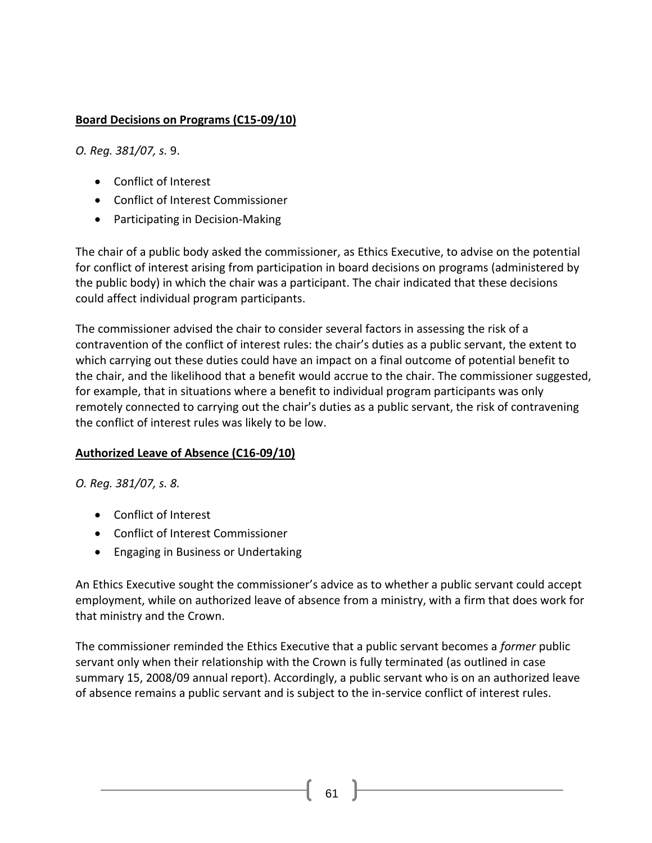### **Board Decisions on Programs (C15-09/10)**

*O. Reg. 381/07, s.* 9.

- [Conflict of Interest](http://www.coicommissioner.gov.on.ca/category/type-of-ethical-matter/conflict-of-interest/)
- [Conflict of Interest Commissioner](http://www.coicommissioner.gov.on.ca/category/source-of-decision/conflict-of-interest-commissioner/)
- [Participating in Decision-Making](http://www.coicommissioner.gov.on.ca/category/type-of-rule/participating-in-decision-making/)

The chair of a public body asked the commissioner, as Ethics Executive, to advise on the potential for conflict of interest arising from participation in board decisions on programs (administered by the public body) in which the chair was a participant. The chair indicated that these decisions could affect individual program participants.

The commissioner advised the chair to consider several factors in assessing the risk of a contravention of the conflict of interest rules: the chair's duties as a public servant, the extent to which carrying out these duties could have an impact on a final outcome of potential benefit to the chair, and the likelihood that a benefit would accrue to the chair. The commissioner suggested, for example, that in situations where a benefit to individual program participants was only remotely connected to carrying out the chair's duties as a public servant, the risk of contravening the conflict of interest rules was likely to be low.

#### **Authorized Leave of Absence (C16-09/10)**

*O. Reg. 381/07, s. 8.*

- [Conflict of Interest](http://www.coicommissioner.gov.on.ca/category/type-of-ethical-matter/conflict-of-interest/)
- [Conflict of Interest Commissioner](http://www.coicommissioner.gov.on.ca/category/source-of-decision/conflict-of-interest-commissioner/)
- [Engaging in Business or Undertaking](http://www.coicommissioner.gov.on.ca/category/type-of-rule/engaging-in-business-or-undertaking/)

An Ethics Executive sought the commissioner's advice as to whether a public servant could accept employment, while on authorized leave of absence from a ministry, with a firm that does work for that ministry and the Crown.

The commissioner reminded the Ethics Executive that a public servant becomes a *former* public servant only when their relationship with the Crown is fully terminated (as outlined in case summary 15, 2008/09 annual report). Accordingly, a public servant who is on an authorized leave of absence remains a public servant and is subject to the in-service conflict of interest rules.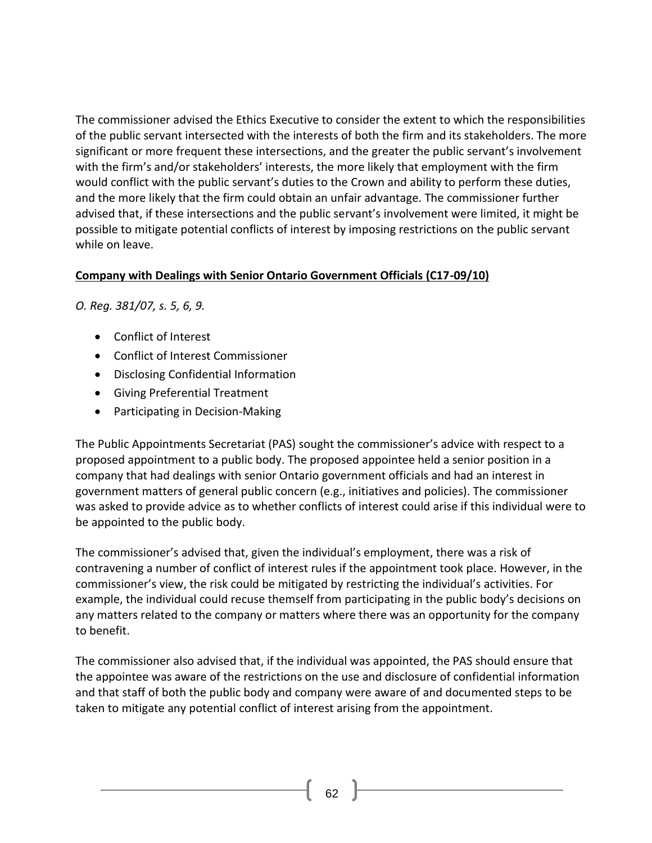The commissioner advised the Ethics Executive to consider the extent to which the responsibilities of the public servant intersected with the interests of both the firm and its stakeholders. The more significant or more frequent these intersections, and the greater the public servant's involvement with the firm's and/or stakeholders' interests, the more likely that employment with the firm would conflict with the public servant's duties to the Crown and ability to perform these duties, and the more likely that the firm could obtain an unfair advantage. The commissioner further advised that, if these intersections and the public servant's involvement were limited, it might be possible to mitigate potential conflicts of interest by imposing restrictions on the public servant while on leave.

### **Company with Dealings with Senior Ontario Government Officials (C17-09/10)**

*O. Reg. 381/07, s. 5, 6, 9.*

- [Conflict of Interest](http://www.coicommissioner.gov.on.ca/category/type-of-ethical-matter/conflict-of-interest/)
- [Conflict of Interest Commissioner](http://www.coicommissioner.gov.on.ca/category/source-of-decision/conflict-of-interest-commissioner/)
- [Disclosing Confidential Information](http://www.coicommissioner.gov.on.ca/category/type-of-rule/disclosing-confidential-information/)
- [Giving Preferential Treatment](http://www.coicommissioner.gov.on.ca/category/type-of-rule/giving-preferential-treatment/)
- Participating [in Decision-Making](http://www.coicommissioner.gov.on.ca/category/type-of-rule/participating-in-decision-making/)

The Public Appointments Secretariat (PAS) sought the commissioner's advice with respect to a proposed appointment to a public body. The proposed appointee held a senior position in a company that had dealings with senior Ontario government officials and had an interest in government matters of general public concern (e.g., initiatives and policies). The commissioner was asked to provide advice as to whether conflicts of interest could arise if this individual were to be appointed to the public body.

The commissioner's advised that, given the individual's employment, there was a risk of contravening a number of conflict of interest rules if the appointment took place. However, in the commissioner's view, the risk could be mitigated by restricting the individual's activities. For example, the individual could recuse themself from participating in the public body's decisions on any matters related to the company or matters where there was an opportunity for the company to benefit.

The commissioner also advised that, if the individual was appointed, the PAS should ensure that the appointee was aware of the restrictions on the use and disclosure of confidential information and that staff of both the public body and company were aware of and documented steps to be taken to mitigate any potential conflict of interest arising from the appointment.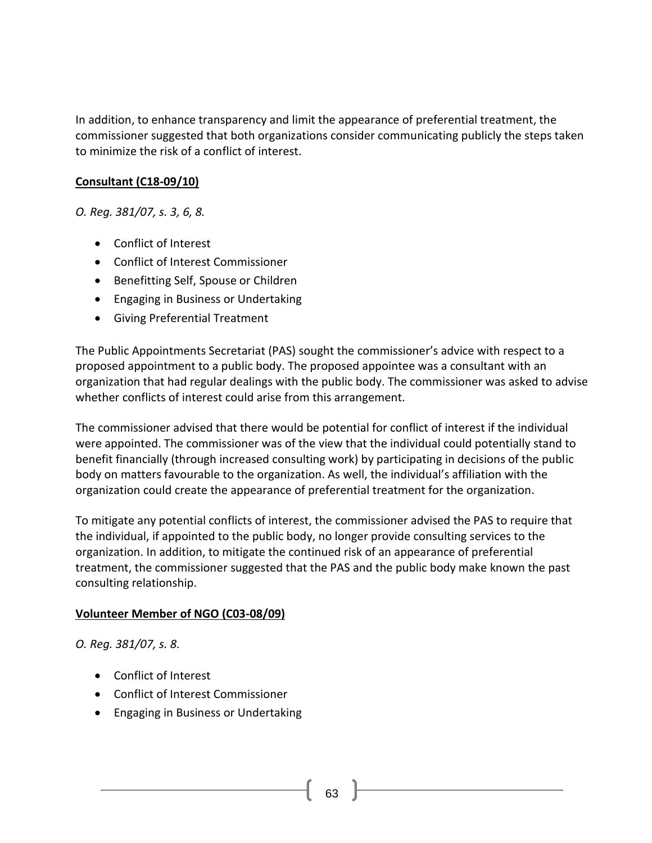In addition, to enhance transparency and limit the appearance of preferential treatment, the commissioner suggested that both organizations consider communicating publicly the steps taken to minimize the risk of a conflict of interest.

#### **Consultant (C18-09/10)**

*O. Reg. 381/07, s. 3, 6, 8.*

- [Conflict of Interest](http://www.coicommissioner.gov.on.ca/category/type-of-ethical-matter/conflict-of-interest/)
- [Conflict of Interest Commissioner](http://www.coicommissioner.gov.on.ca/category/source-of-decision/conflict-of-interest-commissioner/)
- [Benefitting Self, Spouse or Children](http://www.coicommissioner.gov.on.ca/category/type-of-rule/benefitting-self-spouse-or-children/)
- [Engaging in Business or Undertaking](http://www.coicommissioner.gov.on.ca/category/type-of-rule/engaging-in-business-or-undertaking/)
- [Giving Preferential Treatment](http://www.coicommissioner.gov.on.ca/category/type-of-rule/giving-preferential-treatment/)

The Public Appointments Secretariat (PAS) sought the commissioner's advice with respect to a proposed appointment to a public body. The proposed appointee was a consultant with an organization that had regular dealings with the public body. The commissioner was asked to advise whether conflicts of interest could arise from this arrangement.

The commissioner advised that there would be potential for conflict of interest if the individual were appointed. The commissioner was of the view that the individual could potentially stand to benefit financially (through increased consulting work) by participating in decisions of the public body on matters favourable to the organization. As well, the individual's affiliation with the organization could create the appearance of preferential treatment for the organization.

To mitigate any potential conflicts of interest, the commissioner advised the PAS to require that the individual, if appointed to the public body, no longer provide consulting services to the organization. In addition, to mitigate the continued risk of an appearance of preferential treatment, the commissioner suggested that the PAS and the public body make known the past consulting relationship.

#### **Volunteer Member of NGO (C03-08/09)**

*O. Reg. 381/07, s. 8.*

- [Conflict of Interest](http://www.coicommissioner.gov.on.ca/category/type-of-ethical-matter/conflict-of-interest/)
- [Conflict of Interest Commissioner](http://www.coicommissioner.gov.on.ca/category/source-of-decision/conflict-of-interest-commissioner/)
- [Engaging in Business or Undertaking](http://www.coicommissioner.gov.on.ca/category/type-of-rule/engaging-in-business-or-undertaking/)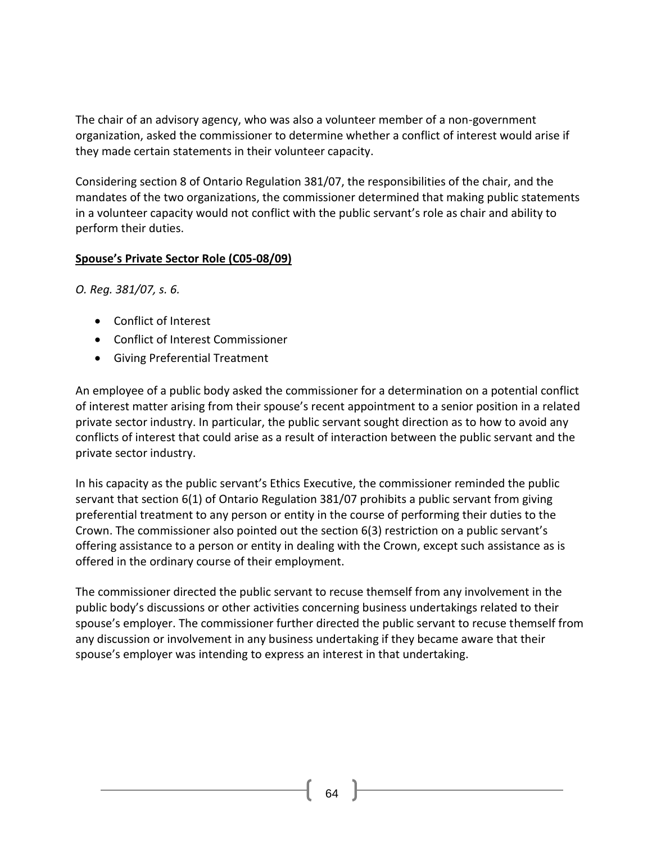The chair of an advisory agency, who was also a volunteer member of a non-government organization, asked the commissioner to determine whether a conflict of interest would arise if they made certain statements in their volunteer capacity.

Considering section 8 of Ontario Regulation 381/07, the responsibilities of the chair, and the mandates of the two organizations, the commissioner determined that making public statements in a volunteer capacity would not conflict with the public servant's role as chair and ability to perform their duties.

#### **Spouse's Private Sector Role (C05-08/09)**

*O. Reg. 381/07, s. 6.*

- [Conflict of Interest](http://www.coicommissioner.gov.on.ca/category/type-of-ethical-matter/conflict-of-interest/)
- [Conflict of Interest Commissioner](http://www.coicommissioner.gov.on.ca/category/source-of-decision/conflict-of-interest-commissioner/)
- [Giving Preferential Treatment](http://www.coicommissioner.gov.on.ca/category/type-of-rule/giving-preferential-treatment/)

An employee of a public body asked the commissioner for a determination on a potential conflict of interest matter arising from their spouse's recent appointment to a senior position in a related private sector industry. In particular, the public servant sought direction as to how to avoid any conflicts of interest that could arise as a result of interaction between the public servant and the private sector industry.

In his capacity as the public servant's Ethics Executive, the commissioner reminded the public servant that section 6(1) of Ontario Regulation 381/07 prohibits a public servant from giving preferential treatment to any person or entity in the course of performing their duties to the Crown. The commissioner also pointed out the section 6(3) restriction on a public servant's offering assistance to a person or entity in dealing with the Crown, except such assistance as is offered in the ordinary course of their employment.

The commissioner directed the public servant to recuse themself from any involvement in the public body's discussions or other activities concerning business undertakings related to their spouse's employer. The commissioner further directed the public servant to recuse themself from any discussion or involvement in any business undertaking if they became aware that their spouse's employer was intending to express an interest in that undertaking.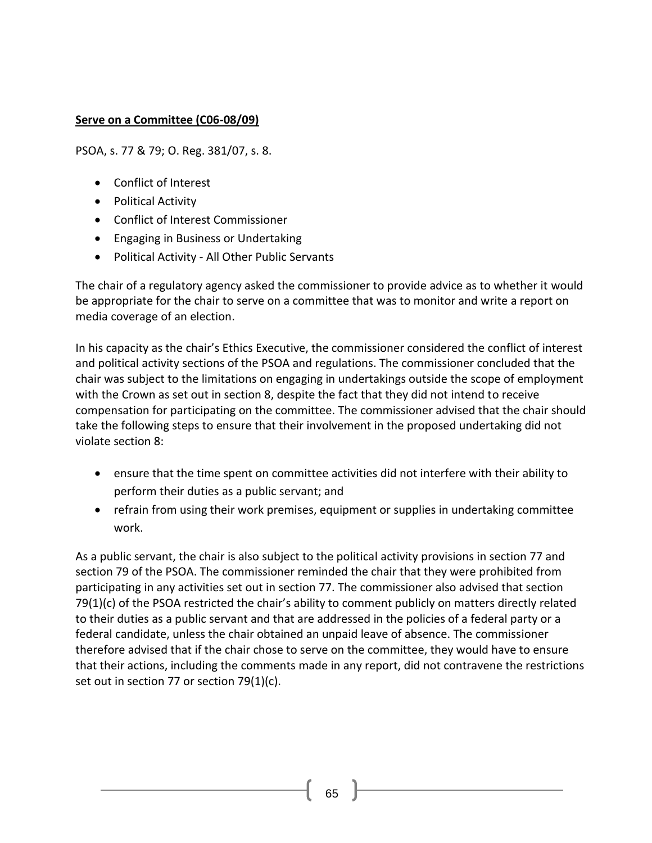#### **Serve on a Committee (C06-08/09)**

PSOA, s. 77 & 79; O. Reg. 381/07, s. 8.

- Conflict of Interest
- Political Activity
- Conflict of Interest Commissioner
- Engaging in Business or Undertaking
- Political Activity All Other Public Servants

The chair of a regulatory agency asked the commissioner to provide advice as to whether it would be appropriate for the chair to serve on a committee that was to monitor and write a report on media coverage of an election.

In his capacity as the chair's Ethics Executive, the commissioner considered the conflict of interest and political activity sections of the PSOA and regulations. The commissioner concluded that the chair was subject to the limitations on engaging in undertakings outside the scope of employment with the Crown as set out in section 8, despite the fact that they did not intend to receive compensation for participating on the committee. The commissioner advised that the chair should take the following steps to ensure that their involvement in the proposed undertaking did not violate section 8:

- ensure that the time spent on committee activities did not interfere with their ability to perform their duties as a public servant; and
- refrain from using their work premises, equipment or supplies in undertaking committee work.

As a public servant, the chair is also subject to the political activity provisions in section 77 and section 79 of the PSOA. The commissioner reminded the chair that they were prohibited from participating in any activities set out in section 77. The commissioner also advised that section 79(1)(c) of the PSOA restricted the chair's ability to comment publicly on matters directly related to their duties as a public servant and that are addressed in the policies of a federal party or a federal candidate, unless the chair obtained an unpaid leave of absence. The commissioner therefore advised that if the chair chose to serve on the committee, they would have to ensure that their actions, including the comments made in any report, did not contravene the restrictions set out in section 77 or section 79(1)(c).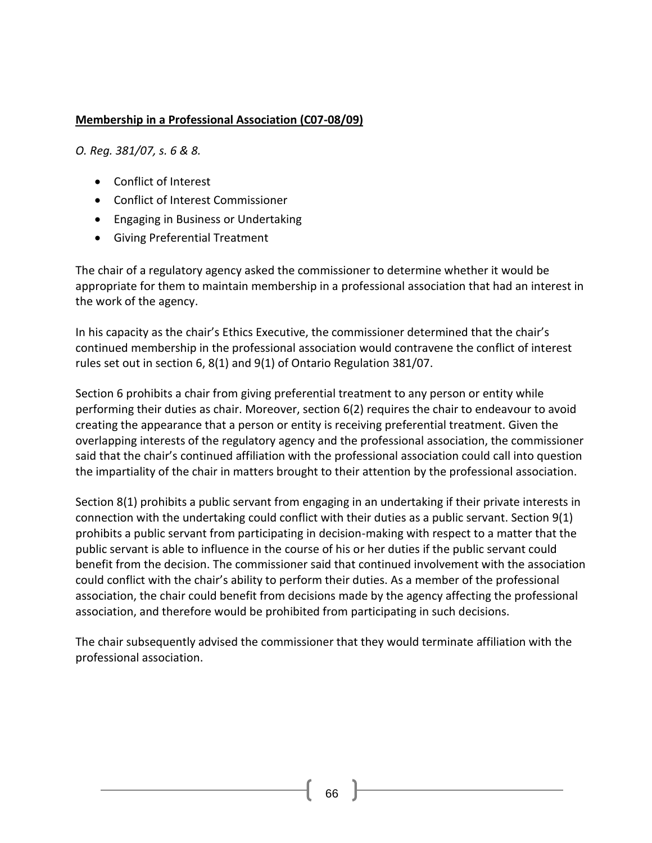### **Membership in a Professional Association (C07-08/09)**

*O. Reg. 381/07, s. 6 & 8.*

- [Conflict of Interest](http://www.coicommissioner.gov.on.ca/category/type-of-ethical-matter/conflict-of-interest/)
- [Conflict of Interest Commissioner](http://www.coicommissioner.gov.on.ca/category/source-of-decision/conflict-of-interest-commissioner/)
- [Engaging in Business or Undertaking](http://www.coicommissioner.gov.on.ca/category/type-of-rule/engaging-in-business-or-undertaking/)
- [Giving Preferential Treatment](http://www.coicommissioner.gov.on.ca/category/type-of-rule/giving-preferential-treatment/)

The chair of a regulatory agency asked the commissioner to determine whether it would be appropriate for them to maintain membership in a professional association that had an interest in the work of the agency.

In his capacity as the chair's Ethics Executive, the commissioner determined that the chair's continued membership in the professional association would contravene the conflict of interest rules set out in section 6, 8(1) and 9(1) of Ontario Regulation 381/07.

Section 6 prohibits a chair from giving preferential treatment to any person or entity while performing their duties as chair. Moreover, section 6(2) requires the chair to endeavour to avoid creating the appearance that a person or entity is receiving preferential treatment. Given the overlapping interests of the regulatory agency and the professional association, the commissioner said that the chair's continued affiliation with the professional association could call into question the impartiality of the chair in matters brought to their attention by the professional association.

Section 8(1) prohibits a public servant from engaging in an undertaking if their private interests in connection with the undertaking could conflict with their duties as a public servant. Section 9(1) prohibits a public servant from participating in decision-making with respect to a matter that the public servant is able to influence in the course of his or her duties if the public servant could benefit from the decision. The commissioner said that continued involvement with the association could conflict with the chair's ability to perform their duties. As a member of the professional association, the chair could benefit from decisions made by the agency affecting the professional association, and therefore would be prohibited from participating in such decisions.

The chair subsequently advised the commissioner that they would terminate affiliation with the professional association.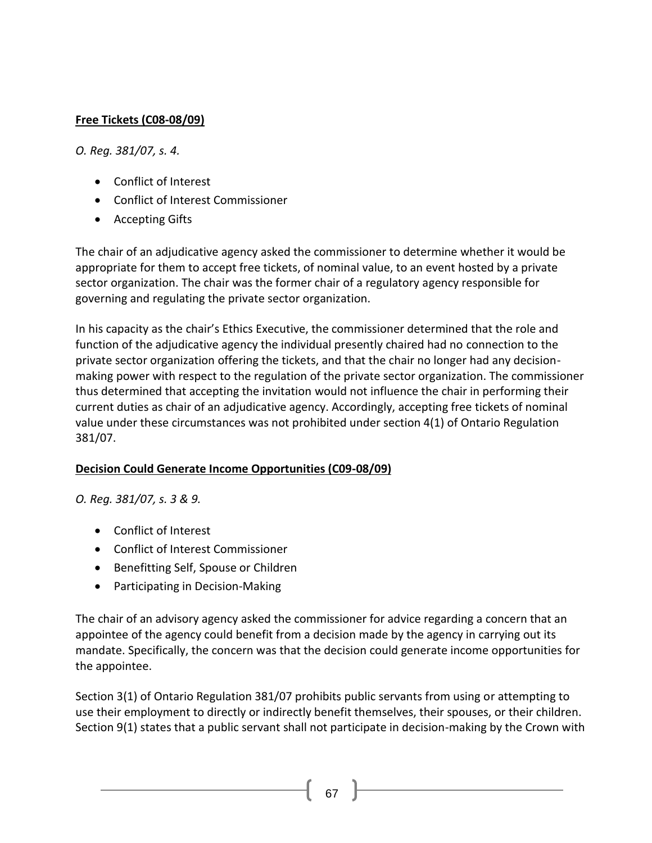## **Free Tickets (C08-08/09)**

*O. Reg. 381/07, s. 4.*

- [Conflict of Interest](http://www.coicommissioner.gov.on.ca/category/type-of-ethical-matter/conflict-of-interest/)
- [Conflict of Interest Commissioner](http://www.coicommissioner.gov.on.ca/category/source-of-decision/conflict-of-interest-commissioner/)
- [Accepting Gifts](http://www.coicommissioner.gov.on.ca/category/type-of-rule/accepting-gifts/)

The chair of an adjudicative agency asked the commissioner to determine whether it would be appropriate for them to accept free tickets, of nominal value, to an event hosted by a private sector organization. The chair was the former chair of a regulatory agency responsible for governing and regulating the private sector organization.

In his capacity as the chair's Ethics Executive, the commissioner determined that the role and function of the adjudicative agency the individual presently chaired had no connection to the private sector organization offering the tickets, and that the chair no longer had any decisionmaking power with respect to the regulation of the private sector organization. The commissioner thus determined that accepting the invitation would not influence the chair in performing their current duties as chair of an adjudicative agency. Accordingly, accepting free tickets of nominal value under these circumstances was not prohibited under section 4(1) of Ontario Regulation 381/07.

#### **Decision Could Generate Income Opportunities (C09-08/09)**

*O. Reg. 381/07, s. 3 & 9.*

- [Conflict of Interest](http://www.coicommissioner.gov.on.ca/category/type-of-ethical-matter/conflict-of-interest/)
- [Conflict of Interest Commissioner](http://www.coicommissioner.gov.on.ca/category/source-of-decision/conflict-of-interest-commissioner/)
- [Benefitting Self, Spouse or Children](http://www.coicommissioner.gov.on.ca/category/type-of-rule/benefitting-self-spouse-or-children/)
- [Participating in Decision-Making](http://www.coicommissioner.gov.on.ca/category/type-of-rule/participating-in-decision-making/)

The chair of an advisory agency asked the commissioner for advice regarding a concern that an appointee of the agency could benefit from a decision made by the agency in carrying out its mandate. Specifically, the concern was that the decision could generate income opportunities for the appointee.

Section 3(1) of Ontario Regulation 381/07 prohibits public servants from using or attempting to use their employment to directly or indirectly benefit themselves, their spouses, or their children. Section 9(1) states that a public servant shall not participate in decision-making by the Crown with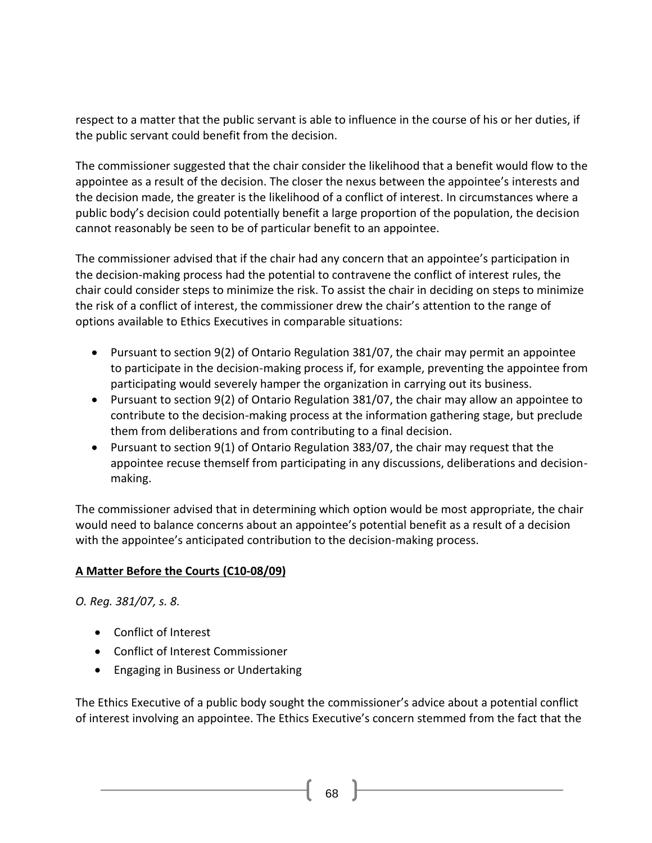respect to a matter that the public servant is able to influence in the course of his or her duties, if the public servant could benefit from the decision.

The commissioner suggested that the chair consider the likelihood that a benefit would flow to the appointee as a result of the decision. The closer the nexus between the appointee's interests and the decision made, the greater is the likelihood of a conflict of interest. In circumstances where a public body's decision could potentially benefit a large proportion of the population, the decision cannot reasonably be seen to be of particular benefit to an appointee.

The commissioner advised that if the chair had any concern that an appointee's participation in the decision-making process had the potential to contravene the conflict of interest rules, the chair could consider steps to minimize the risk. To assist the chair in deciding on steps to minimize the risk of a conflict of interest, the commissioner drew the chair's attention to the range of options available to Ethics Executives in comparable situations:

- Pursuant to section 9(2) of Ontario Regulation 381/07, the chair may permit an appointee to participate in the decision-making process if, for example, preventing the appointee from participating would severely hamper the organization in carrying out its business.
- Pursuant to section 9(2) of Ontario Regulation 381/07, the chair may allow an appointee to contribute to the decision-making process at the information gathering stage, but preclude them from deliberations and from contributing to a final decision.
- Pursuant to section 9(1) of Ontario Regulation 383/07, the chair may request that the appointee recuse themself from participating in any discussions, deliberations and decisionmaking.

The commissioner advised that in determining which option would be most appropriate, the chair would need to balance concerns about an appointee's potential benefit as a result of a decision with the appointee's anticipated contribution to the decision-making process.

# **A Matter Before the Courts (C10-08/09)**

*O. Reg. 381/07, s. 8.*

- [Conflict of Interest](http://www.coicommissioner.gov.on.ca/category/type-of-ethical-matter/conflict-of-interest/)
- [Conflict of Interest Commissioner](http://www.coicommissioner.gov.on.ca/category/source-of-decision/conflict-of-interest-commissioner/)
- [Engaging in Business or Undertaking](http://www.coicommissioner.gov.on.ca/category/type-of-rule/engaging-in-business-or-undertaking/)

The Ethics Executive of a public body sought the commissioner's advice about a potential conflict of interest involving an appointee. The Ethics Executive's concern stemmed from the fact that the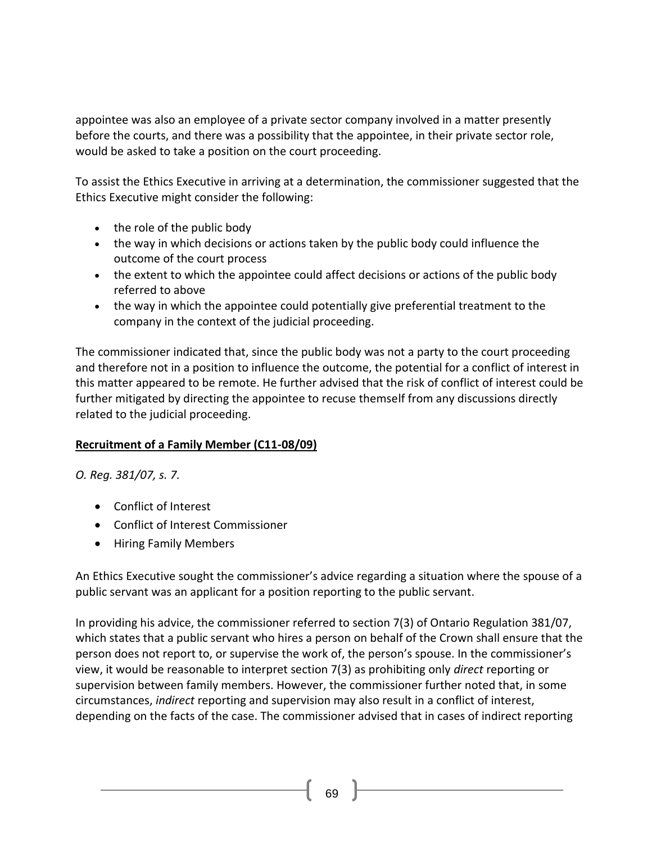appointee was also an employee of a private sector company involved in a matter presently before the courts, and there was a possibility that the appointee, in their private sector role, would be asked to take a position on the court proceeding.

To assist the Ethics Executive in arriving at a determination, the commissioner suggested that the Ethics Executive might consider the following:

- the role of the public body
- the way in which decisions or actions taken by the public body could influence the outcome of the court process
- the extent to which the appointee could affect decisions or actions of the public body referred to above
- the way in which the appointee could potentially give preferential treatment to the company in the context of the judicial proceeding.

The commissioner indicated that, since the public body was not a party to the court proceeding and therefore not in a position to influence the outcome, the potential for a conflict of interest in this matter appeared to be remote. He further advised that the risk of conflict of interest could be further mitigated by directing the appointee to recuse themself from any discussions directly related to the judicial proceeding.

#### **Recruitment of a Family Member (C11-08/09)**

*O. Reg. 381/07, s. 7.*

- [Conflict of Interest](http://www.coicommissioner.gov.on.ca/category/type-of-ethical-matter/conflict-of-interest/)
- [Conflict of Interest Commissioner](http://www.coicommissioner.gov.on.ca/category/source-of-decision/conflict-of-interest-commissioner/)
- [Hiring Family Members](http://www.coicommissioner.gov.on.ca/category/type-of-rule/hiring-family-members/)

An Ethics Executive sought the commissioner's advice regarding a situation where the spouse of a public servant was an applicant for a position reporting to the public servant.

In providing his advice, the commissioner referred to section 7(3) of Ontario Regulation 381/07, which states that a public servant who hires a person on behalf of the Crown shall ensure that the person does not report to, or supervise the work of, the person's spouse. In the commissioner's view, it would be reasonable to interpret section 7(3) as prohibiting only *direct* reporting or supervision between family members. However, the commissioner further noted that, in some circumstances, *indirect* reporting and supervision may also result in a conflict of interest, depending on the facts of the case. The commissioner advised that in cases of indirect reporting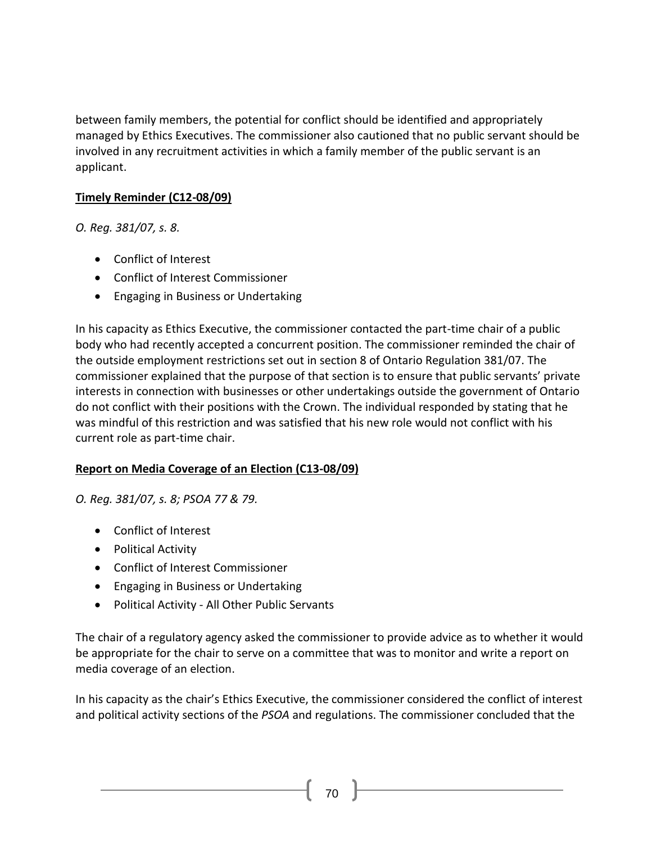between family members, the potential for conflict should be identified and appropriately managed by Ethics Executives. The commissioner also cautioned that no public servant should be involved in any recruitment activities in which a family member of the public servant is an applicant.

## **Timely Reminder (C12-08/09)**

*O. Reg. 381/07, s. 8.*

- [Conflict of Interest](http://www.coicommissioner.gov.on.ca/category/type-of-ethical-matter/conflict-of-interest/)
- [Conflict of Interest Commissioner](http://www.coicommissioner.gov.on.ca/category/source-of-decision/conflict-of-interest-commissioner/)
- [Engaging in Business or Undertaking](http://www.coicommissioner.gov.on.ca/category/type-of-rule/engaging-in-business-or-undertaking/)

In his capacity as Ethics Executive, the commissioner contacted the part-time chair of a public body who had recently accepted a concurrent position. The commissioner reminded the chair of the outside employment restrictions set out in section 8 of Ontario Regulation 381/07. The commissioner explained that the purpose of that section is to ensure that public servants' private interests in connection with businesses or other undertakings outside the government of Ontario do not conflict with their positions with the Crown. The individual responded by stating that he was mindful of this restriction and was satisfied that his new role would not conflict with his current role as part-time chair.

#### **Report on Media Coverage of an Election (C13-08/09)**

*O. Reg. 381/07, s. 8; PSOA 77 & 79.*

- [Conflict of Interest](http://www.coicommissioner.gov.on.ca/category/type-of-ethical-matter/conflict-of-interest/)
- [Political Activity](http://www.coicommissioner.gov.on.ca/category/type-of-ethical-matter/political-activity/)
- [Conflict of Interest Commissioner](http://www.coicommissioner.gov.on.ca/category/source-of-decision/conflict-of-interest-commissioner/)
- [Engaging in Business or Undertaking](http://www.coicommissioner.gov.on.ca/category/type-of-rule/engaging-in-business-or-undertaking/)
- Political Activity [All Other Public Servants](http://www.coicommissioner.gov.on.ca/category/type-of-rule/political-activity-all-other-public-servants/)

The chair of a regulatory agency asked the commissioner to provide advice as to whether it would be appropriate for the chair to serve on a committee that was to monitor and write a report on media coverage of an election.

In his capacity as the chair's Ethics Executive, the commissioner considered the conflict of interest and political activity sections of the *PSOA* and regulations. The commissioner concluded that the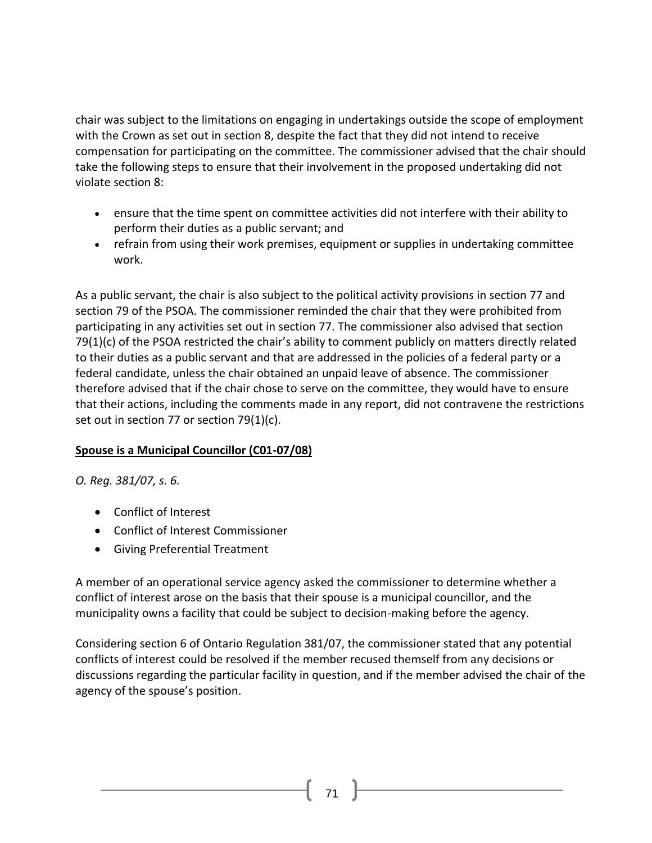chair was subject to the limitations on engaging in undertakings outside the scope of employment with the Crown as set out in section 8, despite the fact that they did not intend to receive compensation for participating on the committee. The commissioner advised that the chair should take the following steps to ensure that their involvement in the proposed undertaking did not violate section 8:

- ensure that the time spent on committee activities did not interfere with their ability to perform their duties as a public servant; and
- refrain from using their work premises, equipment or supplies in undertaking committee work.

As a public servant, the chair is also subject to the political activity provisions in section 77 and section 79 of the PSOA. The commissioner reminded the chair that they were prohibited from participating in any activities set out in section 77. The commissioner also advised that section 79(1)(c) of the PSOA restricted the chair's ability to comment publicly on matters directly related to their duties as a public servant and that are addressed in the policies of a federal party or a federal candidate, unless the chair obtained an unpaid leave of absence. The commissioner therefore advised that if the chair chose to serve on the committee, they would have to ensure that their actions, including the comments made in any report, did not contravene the restrictions set out in section 77 or section 79(1)(c).

#### **Spouse is a Municipal Councillor (C01-07/08)**

*O. Reg. 381/07, s. 6.*

- [Conflict of Interest](http://www.coicommissioner.gov.on.ca/category/type-of-ethical-matter/conflict-of-interest/)
- [Conflict of Interest Commissioner](http://www.coicommissioner.gov.on.ca/category/source-of-decision/conflict-of-interest-commissioner/)
- [Giving Preferential Treatment](http://www.coicommissioner.gov.on.ca/category/type-of-rule/giving-preferential-treatment/)

A member of an operational service agency asked the commissioner to determine whether a conflict of interest arose on the basis that their spouse is a municipal councillor, and the municipality owns a facility that could be subject to decision-making before the agency.

Considering section 6 of Ontario Regulation 381/07, the commissioner stated that any potential conflicts of interest could be resolved if the member recused themself from any decisions or discussions regarding the particular facility in question, and if the member advised the chair of the agency of the spouse's position.

71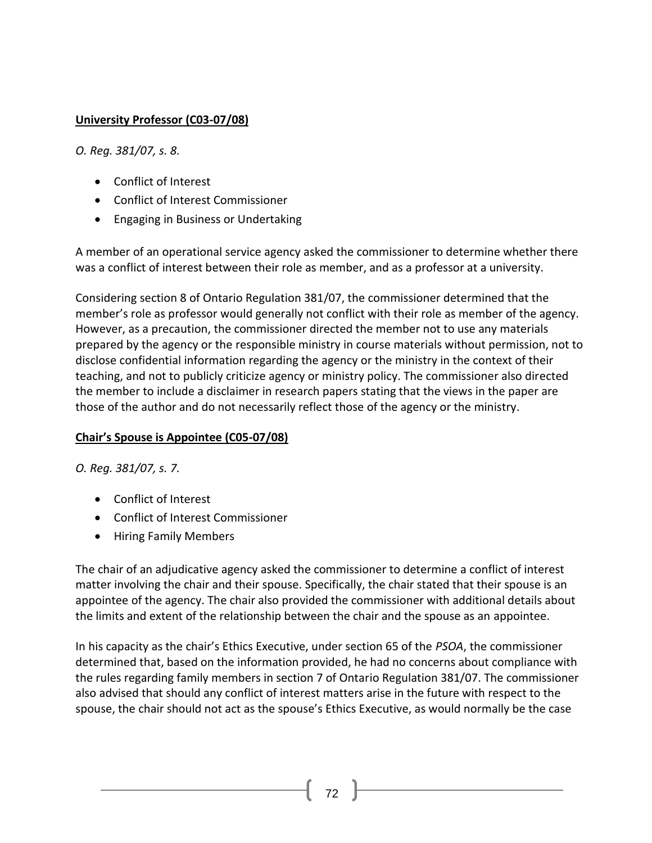### **University Professor (C03-07/08)**

*O. Reg. 381/07, s. 8.*

- [Conflict of Interest](http://www.coicommissioner.gov.on.ca/category/type-of-ethical-matter/conflict-of-interest/)
- [Conflict of Interest Commissioner](http://www.coicommissioner.gov.on.ca/category/source-of-decision/conflict-of-interest-commissioner/)
- [Engaging in Business or Undertaking](http://www.coicommissioner.gov.on.ca/category/type-of-rule/engaging-in-business-or-undertaking/)

A member of an operational service agency asked the commissioner to determine whether there was a conflict of interest between their role as member, and as a professor at a university.

Considering section 8 of Ontario Regulation 381/07, the commissioner determined that the member's role as professor would generally not conflict with their role as member of the agency. However, as a precaution, the commissioner directed the member not to use any materials prepared by the agency or the responsible ministry in course materials without permission, not to disclose confidential information regarding the agency or the ministry in the context of their teaching, and not to publicly criticize agency or ministry policy. The commissioner also directed the member to include a disclaimer in research papers stating that the views in the paper are those of the author and do not necessarily reflect those of the agency or the ministry.

#### **Chair's Spouse is Appointee (C05-07/08)**

*O. Reg. 381/07, s. 7.*

- [Conflict of Interest](http://www.coicommissioner.gov.on.ca/category/type-of-ethical-matter/conflict-of-interest/)
- [Conflict of Interest Commissioner](http://www.coicommissioner.gov.on.ca/category/source-of-decision/conflict-of-interest-commissioner/)
- [Hiring Family Members](http://www.coicommissioner.gov.on.ca/category/type-of-rule/hiring-family-members/)

The chair of an adjudicative agency asked the commissioner to determine a conflict of interest matter involving the chair and their spouse. Specifically, the chair stated that their spouse is an appointee of the agency. The chair also provided the commissioner with additional details about the limits and extent of the relationship between the chair and the spouse as an appointee.

In his capacity as the chair's Ethics Executive, under section 65 of the *PSOA*, the commissioner determined that, based on the information provided, he had no concerns about compliance with the rules regarding family members in section 7 of Ontario Regulation 381/07. The commissioner also advised that should any conflict of interest matters arise in the future with respect to the spouse, the chair should not act as the spouse's Ethics Executive, as would normally be the case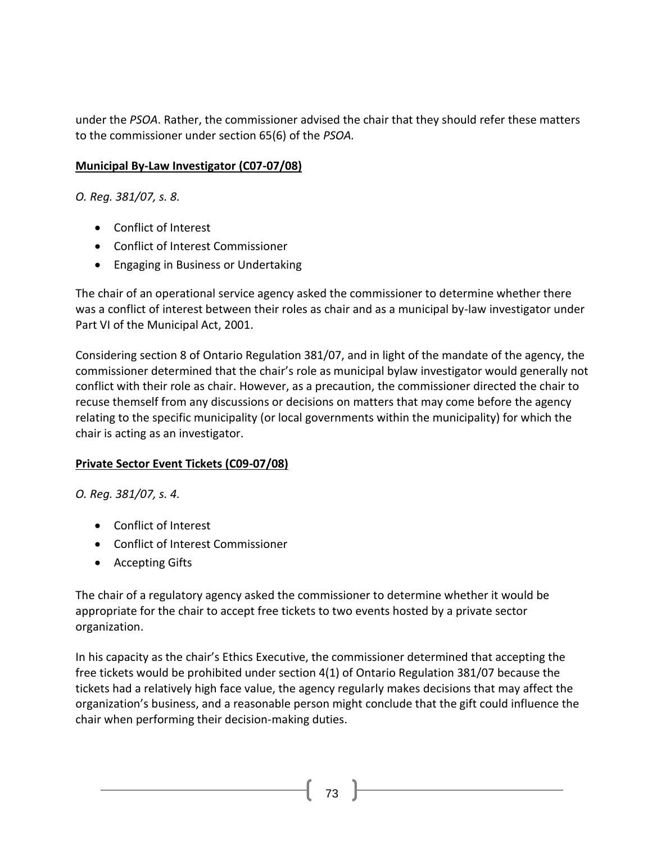under the *PSOA*. Rather, the commissioner advised the chair that they should refer these matters to the commissioner under section 65(6) of the *PSOA.*

## **Municipal By-Law Investigator (C07-07/08)**

*O. Reg. 381/07, s. 8.*

- [Conflict of Interest](http://www.coicommissioner.gov.on.ca/category/type-of-ethical-matter/conflict-of-interest/)
- [Conflict of Interest Commissioner](http://www.coicommissioner.gov.on.ca/category/source-of-decision/conflict-of-interest-commissioner/)
- [Engaging in Business or Undertaking](http://www.coicommissioner.gov.on.ca/category/type-of-rule/engaging-in-business-or-undertaking/)

The chair of an operational service agency asked the commissioner to determine whether there was a conflict of interest between their roles as chair and as a municipal by-law investigator under Part VI of the Municipal Act, 2001.

Considering section 8 of Ontario Regulation 381/07, and in light of the mandate of the agency, the commissioner determined that the chair's role as municipal bylaw investigator would generally not conflict with their role as chair. However, as a precaution, the commissioner directed the chair to recuse themself from any discussions or decisions on matters that may come before the agency relating to the specific municipality (or local governments within the municipality) for which the chair is acting as an investigator.

## **Private Sector Event Tickets (C09-07/08)**

*O. Reg. 381/07, s. 4.*

- [Conflict of Interest](http://www.coicommissioner.gov.on.ca/category/type-of-ethical-matter/conflict-of-interest/)
- [Conflict of Interest Commissioner](http://www.coicommissioner.gov.on.ca/category/source-of-decision/conflict-of-interest-commissioner/)
- [Accepting Gifts](http://www.coicommissioner.gov.on.ca/category/type-of-rule/accepting-gifts/)

The chair of a regulatory agency asked the commissioner to determine whether it would be appropriate for the chair to accept free tickets to two events hosted by a private sector organization.

In his capacity as the chair's Ethics Executive, the commissioner determined that accepting the free tickets would be prohibited under section 4(1) of Ontario Regulation 381/07 because the tickets had a relatively high face value, the agency regularly makes decisions that may affect the organization's business, and a reasonable person might conclude that the gift could influence the chair when performing their decision-making duties.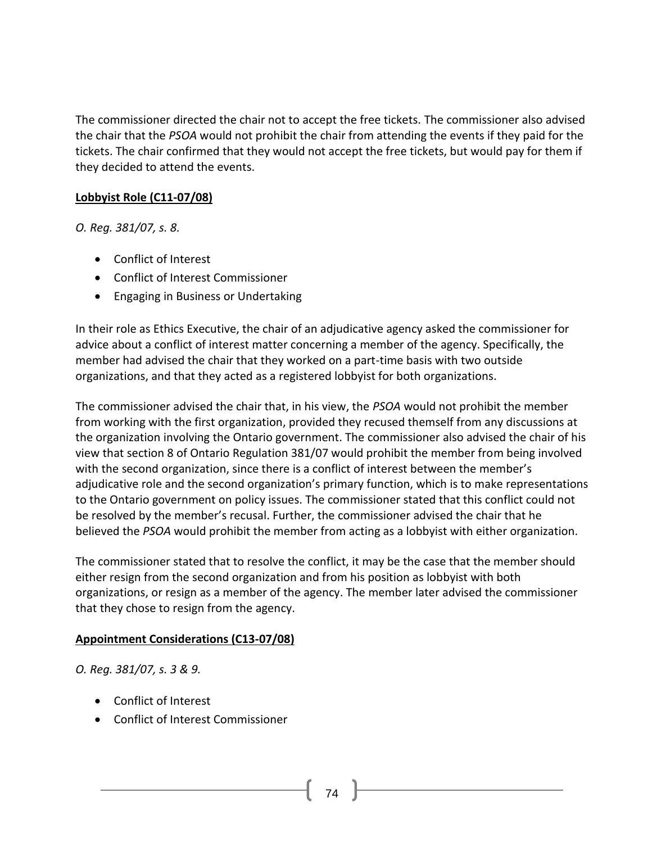The commissioner directed the chair not to accept the free tickets. The commissioner also advised the chair that the *PSOA* would not prohibit the chair from attending the events if they paid for the tickets. The chair confirmed that they would not accept the free tickets, but would pay for them if they decided to attend the events.

## **Lobbyist Role (C11-07/08)**

*O. Reg. 381/07, s. 8.*

- [Conflict of Interest](http://www.coicommissioner.gov.on.ca/category/type-of-ethical-matter/conflict-of-interest/)
- [Conflict of Interest Commissioner](http://www.coicommissioner.gov.on.ca/category/source-of-decision/conflict-of-interest-commissioner/)
- [Engaging in Business or Undertaking](http://www.coicommissioner.gov.on.ca/category/type-of-rule/engaging-in-business-or-undertaking/)

In their role as Ethics Executive, the chair of an adjudicative agency asked the commissioner for advice about a conflict of interest matter concerning a member of the agency. Specifically, the member had advised the chair that they worked on a part-time basis with two outside organizations, and that they acted as a registered lobbyist for both organizations.

The commissioner advised the chair that, in his view, the *PSOA* would not prohibit the member from working with the first organization, provided they recused themself from any discussions at the organization involving the Ontario government. The commissioner also advised the chair of his view that section 8 of Ontario Regulation 381/07 would prohibit the member from being involved with the second organization, since there is a conflict of interest between the member's adjudicative role and the second organization's primary function, which is to make representations to the Ontario government on policy issues. The commissioner stated that this conflict could not be resolved by the member's recusal. Further, the commissioner advised the chair that he believed the *PSOA* would prohibit the member from acting as a lobbyist with either organization.

The commissioner stated that to resolve the conflict, it may be the case that the member should either resign from the second organization and from his position as lobbyist with both organizations, or resign as a member of the agency. The member later advised the commissioner that they chose to resign from the agency.

## **Appointment Considerations (C13-07/08)**

*O. Reg. 381/07, s. 3 & 9.*

- [Conflict of Interest](http://www.coicommissioner.gov.on.ca/category/type-of-ethical-matter/conflict-of-interest/)
- [Conflict of Interest Commissioner](http://www.coicommissioner.gov.on.ca/category/source-of-decision/conflict-of-interest-commissioner/)